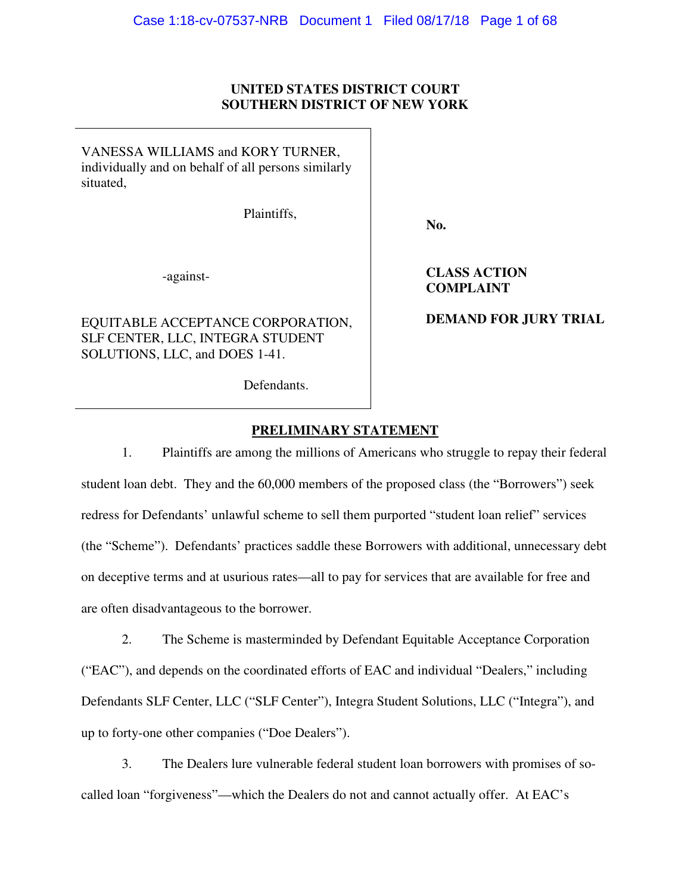## **UNITED STATES DISTRICT COURT SOUTHERN DISTRICT OF NEW YORK**

VANESSA WILLIAMS and KORY TURNER, individually and on behalf of all persons similarly situated,

Plaintiffs,

**No.** 

-against-

EQUITABLE ACCEPTANCE CORPORATION, SLF CENTER, LLC, INTEGRA STUDENT SOLUTIONS, LLC, and DOES 1-41.

**CLASS ACTION COMPLAINT** 

**DEMAND FOR JURY TRIAL** 

Defendants.

# **PRELIMINARY STATEMENT**

1. Plaintiffs are among the millions of Americans who struggle to repay their federal student loan debt. They and the 60,000 members of the proposed class (the "Borrowers") seek redress for Defendants' unlawful scheme to sell them purported "student loan relief" services (the "Scheme"). Defendants' practices saddle these Borrowers with additional, unnecessary debt on deceptive terms and at usurious rates—all to pay for services that are available for free and are often disadvantageous to the borrower.

2. The Scheme is masterminded by Defendant Equitable Acceptance Corporation ("EAC"), and depends on the coordinated efforts of EAC and individual "Dealers," including Defendants SLF Center, LLC ("SLF Center"), Integra Student Solutions, LLC ("Integra"), and up to forty-one other companies ("Doe Dealers").

3. The Dealers lure vulnerable federal student loan borrowers with promises of socalled loan "forgiveness"—which the Dealers do not and cannot actually offer. At EAC's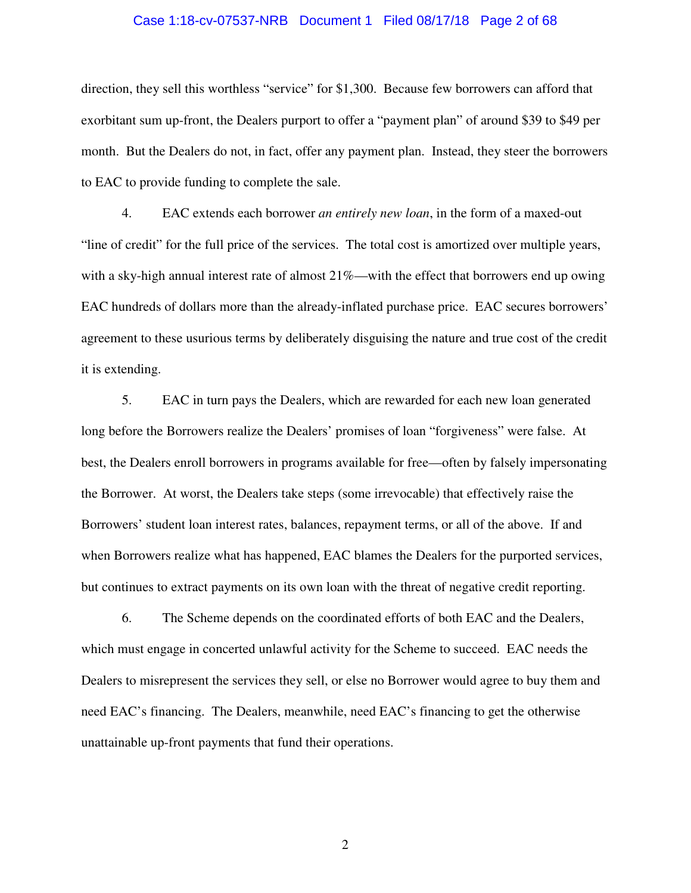#### Case 1:18-cv-07537-NRB Document 1 Filed 08/17/18 Page 2 of 68

direction, they sell this worthless "service" for \$1,300. Because few borrowers can afford that exorbitant sum up-front, the Dealers purport to offer a "payment plan" of around \$39 to \$49 per month. But the Dealers do not, in fact, offer any payment plan. Instead, they steer the borrowers to EAC to provide funding to complete the sale.

4. EAC extends each borrower *an entirely new loan*, in the form of a maxed-out "line of credit" for the full price of the services. The total cost is amortized over multiple years, with a sky-high annual interest rate of almost 21%—with the effect that borrowers end up owing EAC hundreds of dollars more than the already-inflated purchase price. EAC secures borrowers' agreement to these usurious terms by deliberately disguising the nature and true cost of the credit it is extending.

5. EAC in turn pays the Dealers, which are rewarded for each new loan generated long before the Borrowers realize the Dealers' promises of loan "forgiveness" were false. At best, the Dealers enroll borrowers in programs available for free—often by falsely impersonating the Borrower. At worst, the Dealers take steps (some irrevocable) that effectively raise the Borrowers' student loan interest rates, balances, repayment terms, or all of the above. If and when Borrowers realize what has happened, EAC blames the Dealers for the purported services, but continues to extract payments on its own loan with the threat of negative credit reporting.

6. The Scheme depends on the coordinated efforts of both EAC and the Dealers, which must engage in concerted unlawful activity for the Scheme to succeed. EAC needs the Dealers to misrepresent the services they sell, or else no Borrower would agree to buy them and need EAC's financing. The Dealers, meanwhile, need EAC's financing to get the otherwise unattainable up-front payments that fund their operations.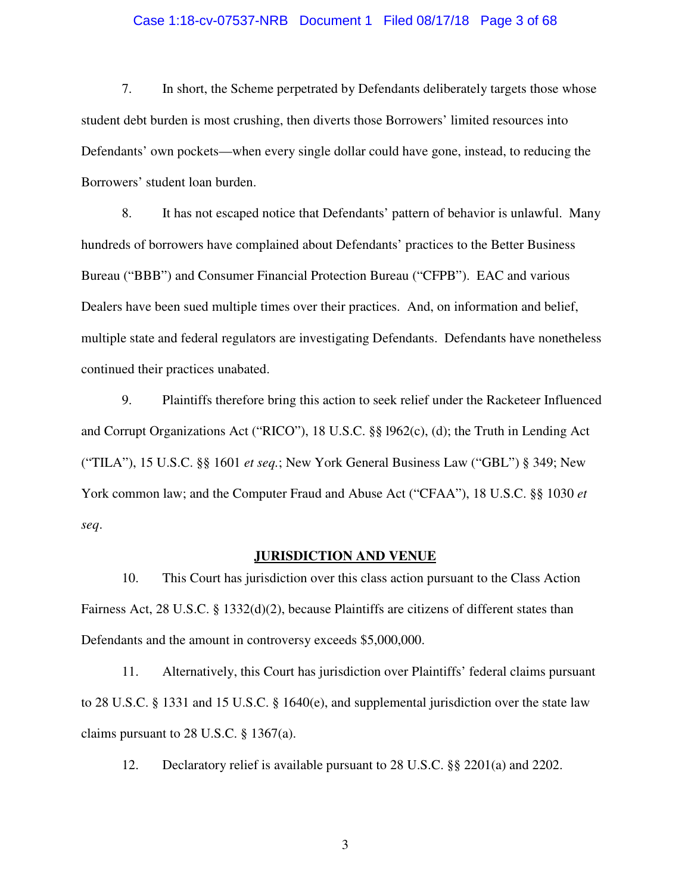#### Case 1:18-cv-07537-NRB Document 1 Filed 08/17/18 Page 3 of 68

7. In short, the Scheme perpetrated by Defendants deliberately targets those whose student debt burden is most crushing, then diverts those Borrowers' limited resources into Defendants' own pockets—when every single dollar could have gone, instead, to reducing the Borrowers' student loan burden.

8. It has not escaped notice that Defendants' pattern of behavior is unlawful. Many hundreds of borrowers have complained about Defendants' practices to the Better Business Bureau ("BBB") and Consumer Financial Protection Bureau ("CFPB"). EAC and various Dealers have been sued multiple times over their practices. And, on information and belief, multiple state and federal regulators are investigating Defendants. Defendants have nonetheless continued their practices unabated.

9. Plaintiffs therefore bring this action to seek relief under the Racketeer Influenced and Corrupt Organizations Act ("RICO"), 18 U.S.C. §§ l962(c), (d); the Truth in Lending Act ("TILA"), 15 U.S.C. §§ 1601 *et seq.*; New York General Business Law ("GBL") § 349; New York common law; and the Computer Fraud and Abuse Act ("CFAA"), 18 U.S.C. §§ 1030 *et seq*.

#### **JURISDICTION AND VENUE**

10. This Court has jurisdiction over this class action pursuant to the Class Action Fairness Act, 28 U.S.C. § 1332(d)(2), because Plaintiffs are citizens of different states than Defendants and the amount in controversy exceeds \$5,000,000.

11. Alternatively, this Court has jurisdiction over Plaintiffs' federal claims pursuant to 28 U.S.C. § 1331 and 15 U.S.C. § 1640(e), and supplemental jurisdiction over the state law claims pursuant to 28 U.S.C. § 1367(a).

12. Declaratory relief is available pursuant to 28 U.S.C. §§ 2201(a) and 2202.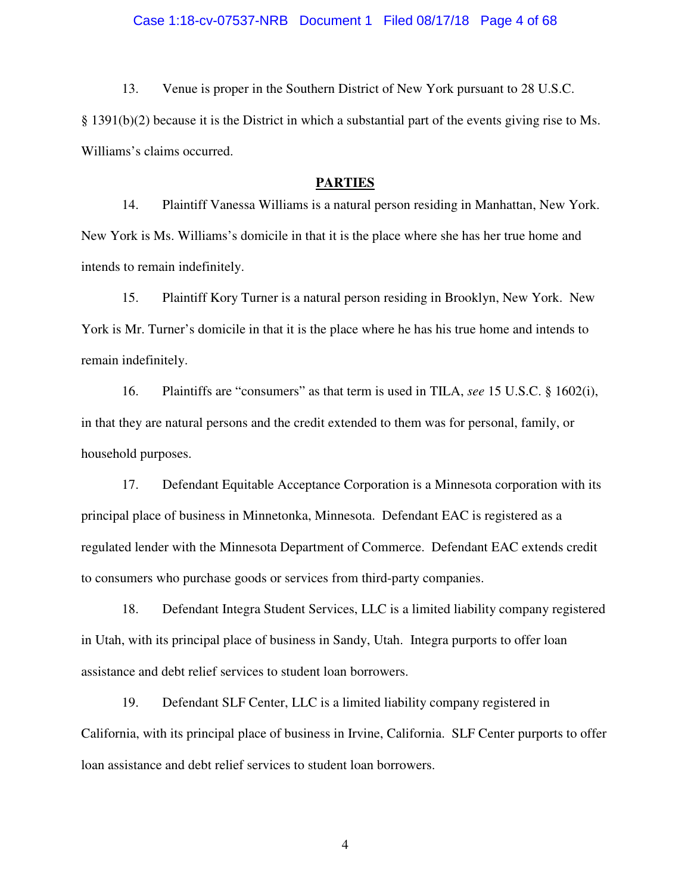#### Case 1:18-cv-07537-NRB Document 1 Filed 08/17/18 Page 4 of 68

13. Venue is proper in the Southern District of New York pursuant to 28 U.S.C.

§ 1391(b)(2) because it is the District in which a substantial part of the events giving rise to Ms. Williams's claims occurred.

#### **PARTIES**

14. Plaintiff Vanessa Williams is a natural person residing in Manhattan, New York. New York is Ms. Williams's domicile in that it is the place where she has her true home and intends to remain indefinitely.

15. Plaintiff Kory Turner is a natural person residing in Brooklyn, New York. New York is Mr. Turner's domicile in that it is the place where he has his true home and intends to remain indefinitely.

16. Plaintiffs are "consumers" as that term is used in TILA, *see* 15 U.S.C. § 1602(i), in that they are natural persons and the credit extended to them was for personal, family, or household purposes.

17. Defendant Equitable Acceptance Corporation is a Minnesota corporation with its principal place of business in Minnetonka, Minnesota. Defendant EAC is registered as a regulated lender with the Minnesota Department of Commerce. Defendant EAC extends credit to consumers who purchase goods or services from third-party companies.

18. Defendant Integra Student Services, LLC is a limited liability company registered in Utah, with its principal place of business in Sandy, Utah. Integra purports to offer loan assistance and debt relief services to student loan borrowers.

19. Defendant SLF Center, LLC is a limited liability company registered in California, with its principal place of business in Irvine, California. SLF Center purports to offer loan assistance and debt relief services to student loan borrowers.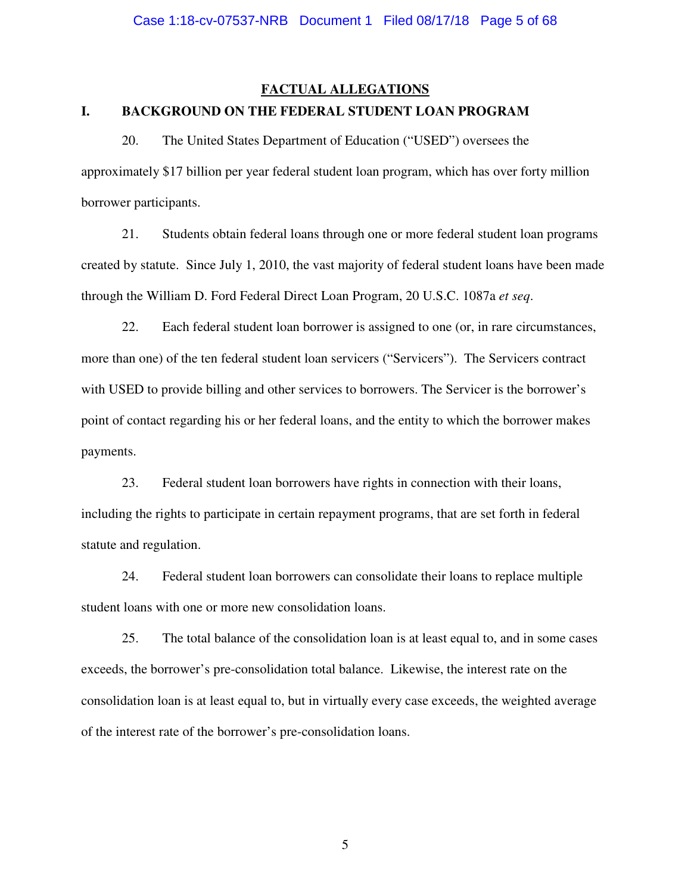# **FACTUAL ALLEGATIONS I. BACKGROUND ON THE FEDERAL STUDENT LOAN PROGRAM**

20. The United States Department of Education ("USED") oversees the approximately \$17 billion per year federal student loan program, which has over forty million borrower participants.

21. Students obtain federal loans through one or more federal student loan programs created by statute. Since July 1, 2010, the vast majority of federal student loans have been made through the William D. Ford Federal Direct Loan Program, 20 U.S.C. 1087a *et seq*.

22. Each federal student loan borrower is assigned to one (or, in rare circumstances, more than one) of the ten federal student loan servicers ("Servicers"). The Servicers contract with USED to provide billing and other services to borrowers. The Servicer is the borrower's point of contact regarding his or her federal loans, and the entity to which the borrower makes payments.

23. Federal student loan borrowers have rights in connection with their loans, including the rights to participate in certain repayment programs, that are set forth in federal statute and regulation.

24. Federal student loan borrowers can consolidate their loans to replace multiple student loans with one or more new consolidation loans.

25. The total balance of the consolidation loan is at least equal to, and in some cases exceeds, the borrower's pre-consolidation total balance. Likewise, the interest rate on the consolidation loan is at least equal to, but in virtually every case exceeds, the weighted average of the interest rate of the borrower's pre-consolidation loans.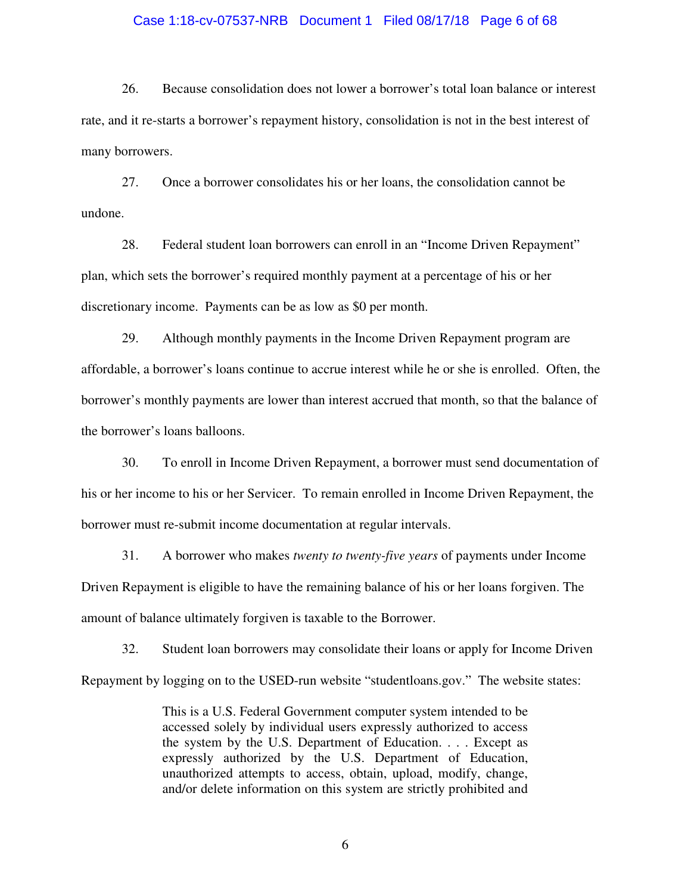#### Case 1:18-cv-07537-NRB Document 1 Filed 08/17/18 Page 6 of 68

26. Because consolidation does not lower a borrower's total loan balance or interest rate, and it re-starts a borrower's repayment history, consolidation is not in the best interest of many borrowers.

27. Once a borrower consolidates his or her loans, the consolidation cannot be undone.

28. Federal student loan borrowers can enroll in an "Income Driven Repayment" plan, which sets the borrower's required monthly payment at a percentage of his or her discretionary income. Payments can be as low as \$0 per month.

29. Although monthly payments in the Income Driven Repayment program are affordable, a borrower's loans continue to accrue interest while he or she is enrolled. Often, the borrower's monthly payments are lower than interest accrued that month, so that the balance of the borrower's loans balloons.

30. To enroll in Income Driven Repayment, a borrower must send documentation of his or her income to his or her Servicer. To remain enrolled in Income Driven Repayment, the borrower must re-submit income documentation at regular intervals.

31. A borrower who makes *twenty to twenty-five years* of payments under Income Driven Repayment is eligible to have the remaining balance of his or her loans forgiven. The amount of balance ultimately forgiven is taxable to the Borrower.

32. Student loan borrowers may consolidate their loans or apply for Income Driven Repayment by logging on to the USED-run website "studentloans.gov." The website states:

> This is a U.S. Federal Government computer system intended to be accessed solely by individual users expressly authorized to access the system by the U.S. Department of Education. . . . Except as expressly authorized by the U.S. Department of Education, unauthorized attempts to access, obtain, upload, modify, change, and/or delete information on this system are strictly prohibited and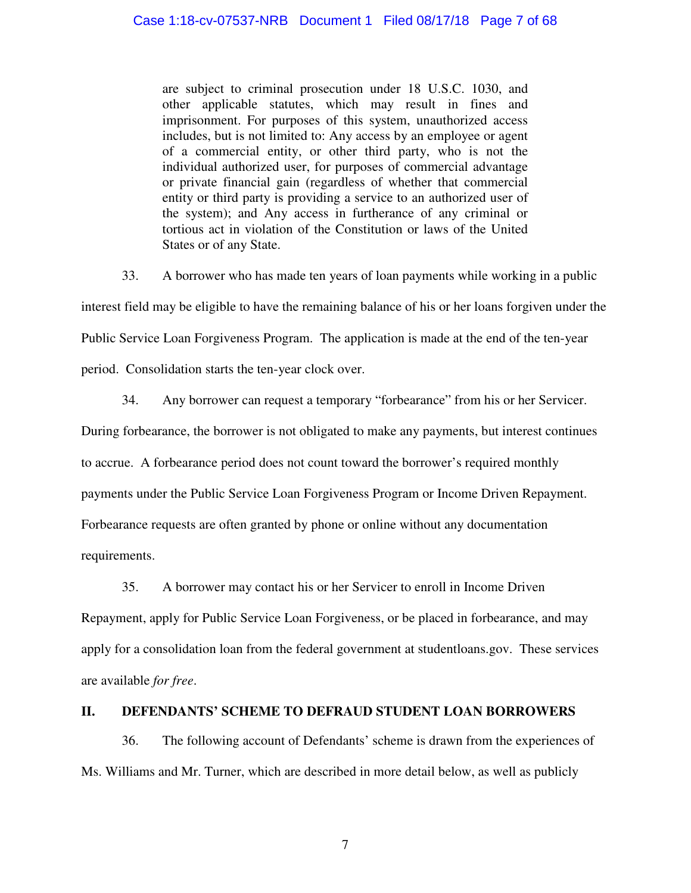are subject to criminal prosecution under 18 U.S.C. 1030, and other applicable statutes, which may result in fines and imprisonment. For purposes of this system, unauthorized access includes, but is not limited to: Any access by an employee or agent of a commercial entity, or other third party, who is not the individual authorized user, for purposes of commercial advantage or private financial gain (regardless of whether that commercial entity or third party is providing a service to an authorized user of the system); and Any access in furtherance of any criminal or tortious act in violation of the Constitution or laws of the United States or of any State.

33. A borrower who has made ten years of loan payments while working in a public interest field may be eligible to have the remaining balance of his or her loans forgiven under the Public Service Loan Forgiveness Program. The application is made at the end of the ten-year period. Consolidation starts the ten-year clock over.

34. Any borrower can request a temporary "forbearance" from his or her Servicer.

During forbearance, the borrower is not obligated to make any payments, but interest continues

to accrue. A forbearance period does not count toward the borrower's required monthly

payments under the Public Service Loan Forgiveness Program or Income Driven Repayment.

Forbearance requests are often granted by phone or online without any documentation

requirements.

35. A borrower may contact his or her Servicer to enroll in Income Driven

Repayment, apply for Public Service Loan Forgiveness, or be placed in forbearance, and may apply for a consolidation loan from the federal government at studentloans.gov. These services are available *for free*.

# **II. DEFENDANTS' SCHEME TO DEFRAUD STUDENT LOAN BORROWERS**

36. The following account of Defendants' scheme is drawn from the experiences of Ms. Williams and Mr. Turner, which are described in more detail below, as well as publicly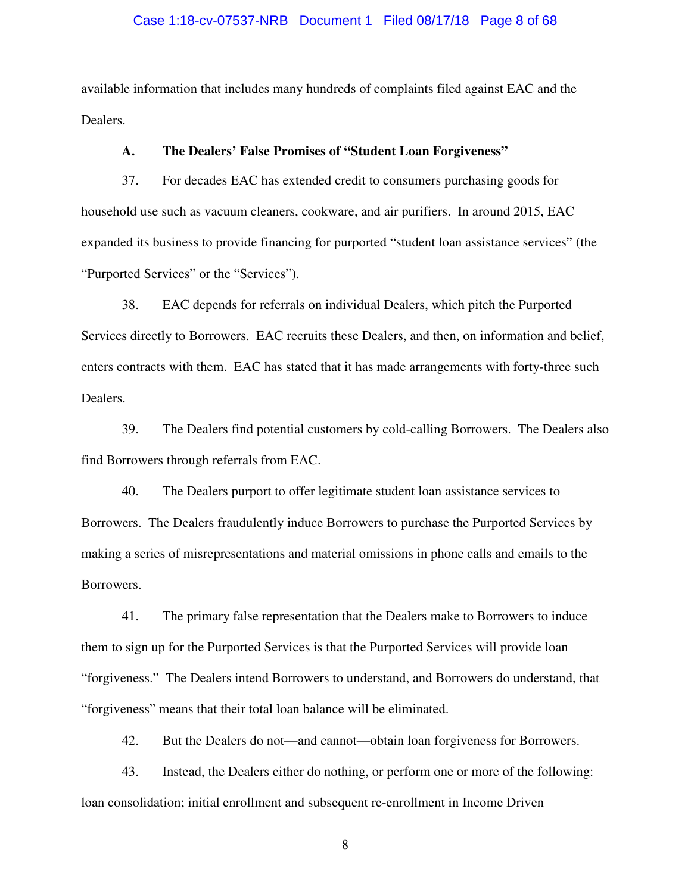#### Case 1:18-cv-07537-NRB Document 1 Filed 08/17/18 Page 8 of 68

available information that includes many hundreds of complaints filed against EAC and the Dealers.

#### **A. The Dealers' False Promises of "Student Loan Forgiveness"**

37. For decades EAC has extended credit to consumers purchasing goods for household use such as vacuum cleaners, cookware, and air purifiers. In around 2015, EAC expanded its business to provide financing for purported "student loan assistance services" (the "Purported Services" or the "Services").

38. EAC depends for referrals on individual Dealers, which pitch the Purported Services directly to Borrowers. EAC recruits these Dealers, and then, on information and belief, enters contracts with them. EAC has stated that it has made arrangements with forty-three such Dealers.

39. The Dealers find potential customers by cold-calling Borrowers. The Dealers also find Borrowers through referrals from EAC.

40. The Dealers purport to offer legitimate student loan assistance services to Borrowers. The Dealers fraudulently induce Borrowers to purchase the Purported Services by making a series of misrepresentations and material omissions in phone calls and emails to the Borrowers.

41. The primary false representation that the Dealers make to Borrowers to induce them to sign up for the Purported Services is that the Purported Services will provide loan "forgiveness." The Dealers intend Borrowers to understand, and Borrowers do understand, that "forgiveness" means that their total loan balance will be eliminated.

42. But the Dealers do not—and cannot—obtain loan forgiveness for Borrowers.

43. Instead, the Dealers either do nothing, or perform one or more of the following: loan consolidation; initial enrollment and subsequent re-enrollment in Income Driven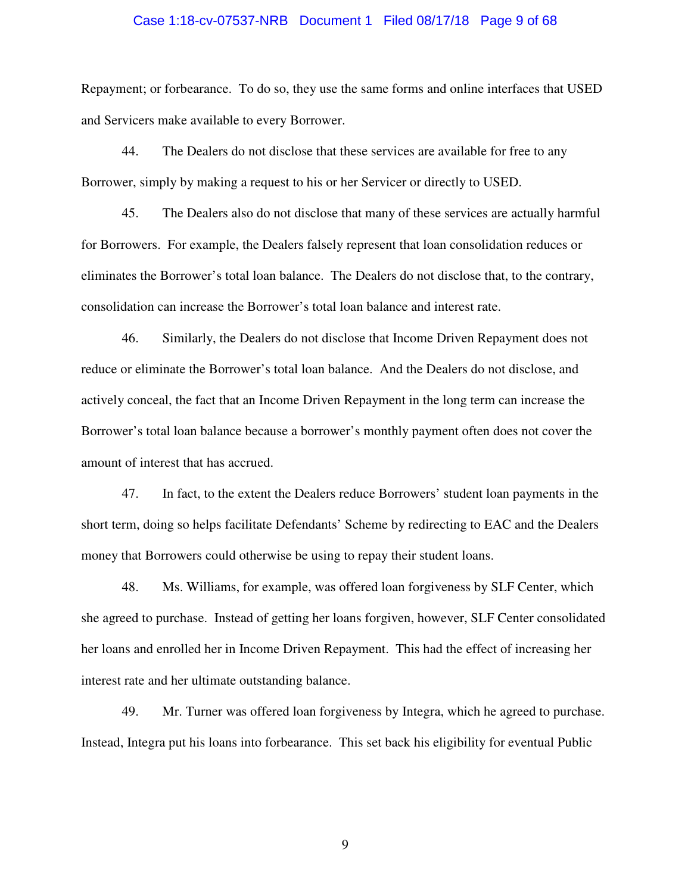#### Case 1:18-cv-07537-NRB Document 1 Filed 08/17/18 Page 9 of 68

Repayment; or forbearance. To do so, they use the same forms and online interfaces that USED and Servicers make available to every Borrower.

44. The Dealers do not disclose that these services are available for free to any Borrower, simply by making a request to his or her Servicer or directly to USED.

45. The Dealers also do not disclose that many of these services are actually harmful for Borrowers. For example, the Dealers falsely represent that loan consolidation reduces or eliminates the Borrower's total loan balance. The Dealers do not disclose that, to the contrary, consolidation can increase the Borrower's total loan balance and interest rate.

46. Similarly, the Dealers do not disclose that Income Driven Repayment does not reduce or eliminate the Borrower's total loan balance. And the Dealers do not disclose, and actively conceal, the fact that an Income Driven Repayment in the long term can increase the Borrower's total loan balance because a borrower's monthly payment often does not cover the amount of interest that has accrued.

47. In fact, to the extent the Dealers reduce Borrowers' student loan payments in the short term, doing so helps facilitate Defendants' Scheme by redirecting to EAC and the Dealers money that Borrowers could otherwise be using to repay their student loans.

48. Ms. Williams, for example, was offered loan forgiveness by SLF Center, which she agreed to purchase. Instead of getting her loans forgiven, however, SLF Center consolidated her loans and enrolled her in Income Driven Repayment. This had the effect of increasing her interest rate and her ultimate outstanding balance.

49. Mr. Turner was offered loan forgiveness by Integra, which he agreed to purchase. Instead, Integra put his loans into forbearance. This set back his eligibility for eventual Public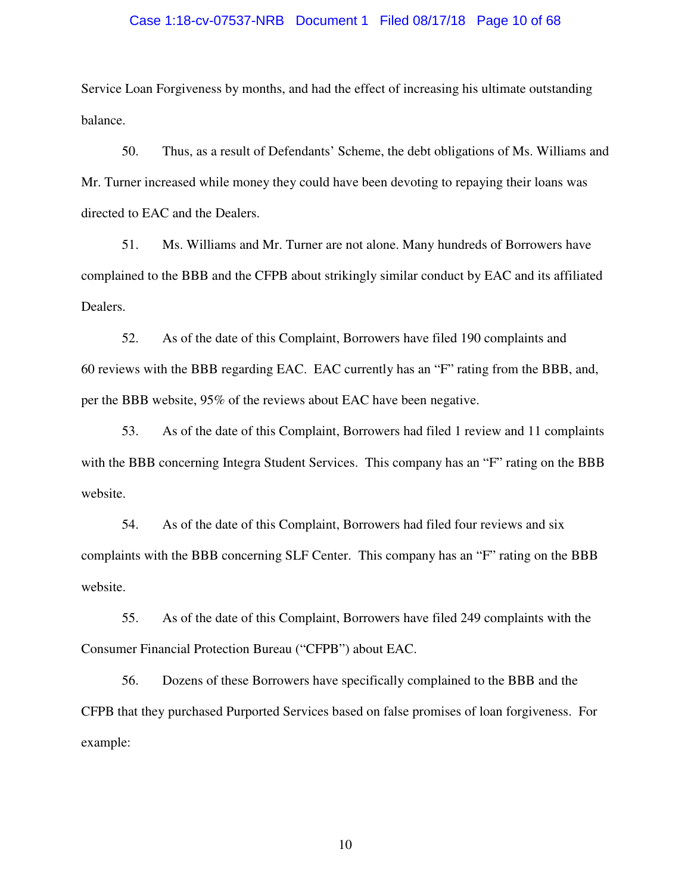#### Case 1:18-cv-07537-NRB Document 1 Filed 08/17/18 Page 10 of 68

Service Loan Forgiveness by months, and had the effect of increasing his ultimate outstanding balance.

50. Thus, as a result of Defendants' Scheme, the debt obligations of Ms. Williams and Mr. Turner increased while money they could have been devoting to repaying their loans was directed to EAC and the Dealers.

51. Ms. Williams and Mr. Turner are not alone. Many hundreds of Borrowers have complained to the BBB and the CFPB about strikingly similar conduct by EAC and its affiliated Dealers.

52. As of the date of this Complaint, Borrowers have filed 190 complaints and 60 reviews with the BBB regarding EAC. EAC currently has an "F" rating from the BBB, and, per the BBB website, 95% of the reviews about EAC have been negative.

53. As of the date of this Complaint, Borrowers had filed 1 review and 11 complaints with the BBB concerning Integra Student Services. This company has an "F" rating on the BBB website.

54. As of the date of this Complaint, Borrowers had filed four reviews and six complaints with the BBB concerning SLF Center. This company has an "F" rating on the BBB website.

55. As of the date of this Complaint, Borrowers have filed 249 complaints with the Consumer Financial Protection Bureau ("CFPB") about EAC.

56. Dozens of these Borrowers have specifically complained to the BBB and the CFPB that they purchased Purported Services based on false promises of loan forgiveness. For example: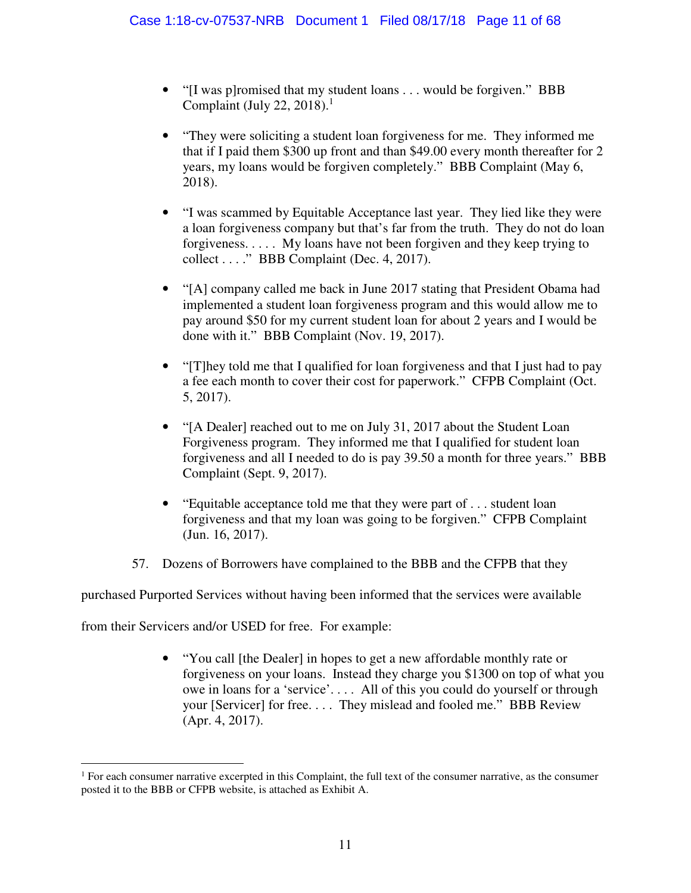- "[I was p]romised that my student loans . . . would be forgiven." BBB Complaint (July 22, 2018).<sup>1</sup>
- "They were soliciting a student loan forgiveness for me. They informed me that if I paid them \$300 up front and than \$49.00 every month thereafter for 2 years, my loans would be forgiven completely." BBB Complaint (May 6, 2018).
- "I was scammed by Equitable Acceptance last year. They lied like they were a loan forgiveness company but that's far from the truth. They do not do loan forgiveness. . . . . My loans have not been forgiven and they keep trying to collect . . . ." BBB Complaint (Dec. 4, 2017).
- "[A] company called me back in June 2017 stating that President Obama had implemented a student loan forgiveness program and this would allow me to pay around \$50 for my current student loan for about 2 years and I would be done with it." BBB Complaint (Nov. 19, 2017).
- "[T]hey told me that I qualified for loan forgiveness and that I just had to pay a fee each month to cover their cost for paperwork." CFPB Complaint (Oct. 5, 2017).
- "[A Dealer] reached out to me on July 31, 2017 about the Student Loan Forgiveness program. They informed me that I qualified for student loan forgiveness and all I needed to do is pay 39.50 a month for three years." BBB Complaint (Sept. 9, 2017).
- "Equitable acceptance told me that they were part of ... student loan forgiveness and that my loan was going to be forgiven." CFPB Complaint (Jun. 16, 2017).
- 57. Dozens of Borrowers have complained to the BBB and the CFPB that they

purchased Purported Services without having been informed that the services were available

from their Servicers and/or USED for free. For example:

 $\overline{a}$ 

• "You call [the Dealer] in hopes to get a new affordable monthly rate or forgiveness on your loans. Instead they charge you \$1300 on top of what you owe in loans for a 'service'. . . . All of this you could do yourself or through your [Servicer] for free. . . . They mislead and fooled me." BBB Review (Apr. 4, 2017).

<sup>1</sup> For each consumer narrative excerpted in this Complaint, the full text of the consumer narrative, as the consumer posted it to the BBB or CFPB website, is attached as Exhibit A.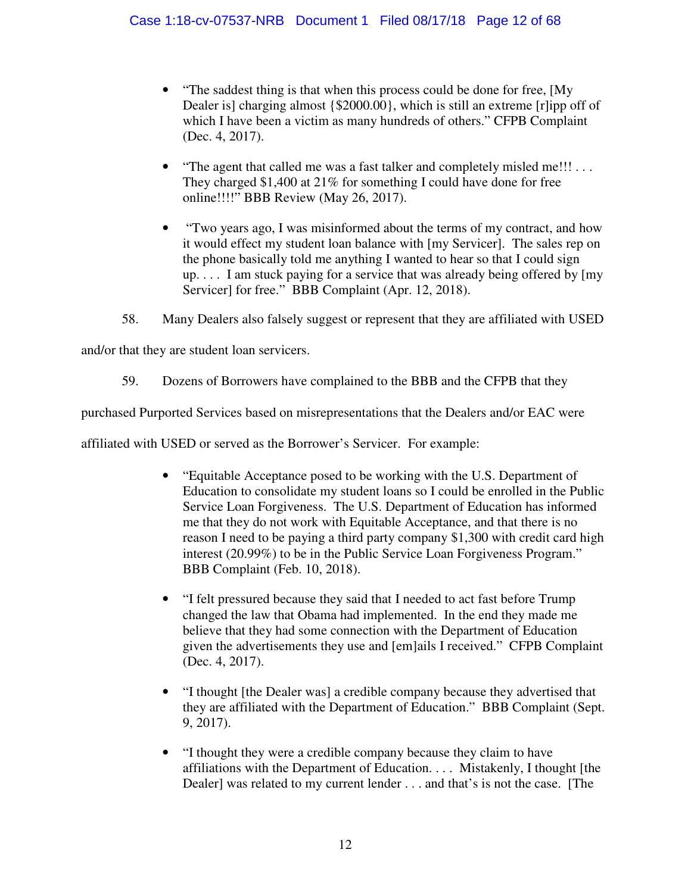- "The saddest thing is that when this process could be done for free, [My Dealer is] charging almost {\$2000.00}, which is still an extreme [r]ipp off of which I have been a victim as many hundreds of others." CFPB Complaint (Dec. 4, 2017).
- "The agent that called me was a fast talker and completely misled me!!! . . . They charged \$1,400 at 21% for something I could have done for free online!!!!" BBB Review (May 26, 2017).
- "Two years ago, I was misinformed about the terms of my contract, and how it would effect my student loan balance with [my Servicer]. The sales rep on the phone basically told me anything I wanted to hear so that I could sign up. . . . I am stuck paying for a service that was already being offered by [my Servicer] for free." BBB Complaint (Apr. 12, 2018).
- 58. Many Dealers also falsely suggest or represent that they are affiliated with USED

and/or that they are student loan servicers.

59. Dozens of Borrowers have complained to the BBB and the CFPB that they

purchased Purported Services based on misrepresentations that the Dealers and/or EAC were

affiliated with USED or served as the Borrower's Servicer. For example:

- "Equitable Acceptance posed to be working with the U.S. Department of Education to consolidate my student loans so I could be enrolled in the Public Service Loan Forgiveness. The U.S. Department of Education has informed me that they do not work with Equitable Acceptance, and that there is no reason I need to be paying a third party company \$1,300 with credit card high interest (20.99%) to be in the Public Service Loan Forgiveness Program." BBB Complaint (Feb. 10, 2018).
- "I felt pressured because they said that I needed to act fast before Trump changed the law that Obama had implemented. In the end they made me believe that they had some connection with the Department of Education given the advertisements they use and [em]ails I received." CFPB Complaint (Dec. 4, 2017).
- "I thought [the Dealer was] a credible company because they advertised that they are affiliated with the Department of Education." BBB Complaint (Sept. 9, 2017).
- "I thought they were a credible company because they claim to have affiliations with the Department of Education. . . . Mistakenly, I thought [the Dealer] was related to my current lender . . . and that's is not the case. [The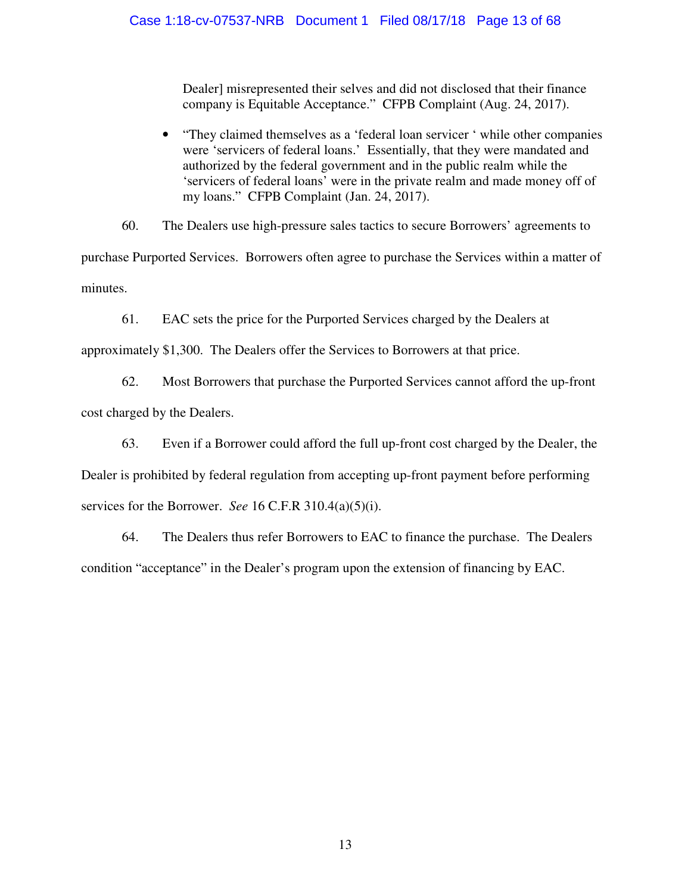Dealer] misrepresented their selves and did not disclosed that their finance company is Equitable Acceptance." CFPB Complaint (Aug. 24, 2017).

• "They claimed themselves as a 'federal loan servicer ' while other companies were 'servicers of federal loans.' Essentially, that they were mandated and authorized by the federal government and in the public realm while the 'servicers of federal loans' were in the private realm and made money off of my loans." CFPB Complaint (Jan. 24, 2017).

60. The Dealers use high-pressure sales tactics to secure Borrowers' agreements to purchase Purported Services. Borrowers often agree to purchase the Services within a matter of minutes.

61. EAC sets the price for the Purported Services charged by the Dealers at

approximately \$1,300. The Dealers offer the Services to Borrowers at that price.

62. Most Borrowers that purchase the Purported Services cannot afford the up-front cost charged by the Dealers.

63. Even if a Borrower could afford the full up-front cost charged by the Dealer, the Dealer is prohibited by federal regulation from accepting up-front payment before performing

services for the Borrower. *See* 16 C.F.R 310.4(a)(5)(i).

64. The Dealers thus refer Borrowers to EAC to finance the purchase. The Dealers condition "acceptance" in the Dealer's program upon the extension of financing by EAC.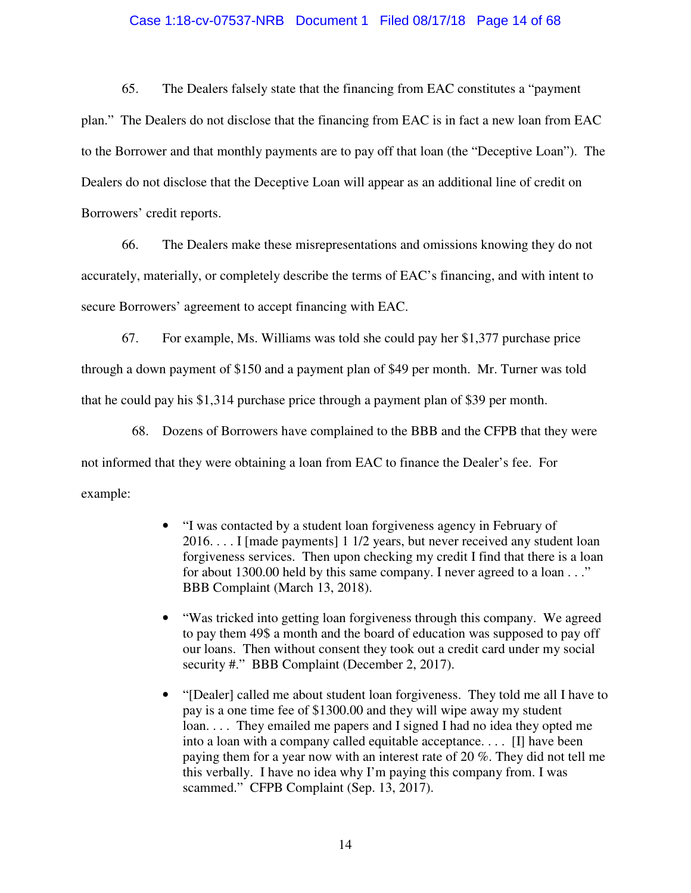#### Case 1:18-cv-07537-NRB Document 1 Filed 08/17/18 Page 14 of 68

65. The Dealers falsely state that the financing from EAC constitutes a "payment plan." The Dealers do not disclose that the financing from EAC is in fact a new loan from EAC to the Borrower and that monthly payments are to pay off that loan (the "Deceptive Loan"). The Dealers do not disclose that the Deceptive Loan will appear as an additional line of credit on

Borrowers' credit reports.

66. The Dealers make these misrepresentations and omissions knowing they do not accurately, materially, or completely describe the terms of EAC's financing, and with intent to secure Borrowers' agreement to accept financing with EAC.

67. For example, Ms. Williams was told she could pay her \$1,377 purchase price through a down payment of \$150 and a payment plan of \$49 per month. Mr. Turner was told that he could pay his \$1,314 purchase price through a payment plan of \$39 per month.

68. Dozens of Borrowers have complained to the BBB and the CFPB that they were not informed that they were obtaining a loan from EAC to finance the Dealer's fee. For example:

- "I was contacted by a student loan forgiveness agency in February of 2016. . . . I [made payments] 1 1/2 years, but never received any student loan forgiveness services. Then upon checking my credit I find that there is a loan for about 1300.00 held by this same company. I never agreed to a loan . . ." BBB Complaint (March 13, 2018).
- "Was tricked into getting loan forgiveness through this company. We agreed to pay them 49\$ a month and the board of education was supposed to pay off our loans. Then without consent they took out a credit card under my social security #." BBB Complaint (December 2, 2017).
- "[Dealer] called me about student loan forgiveness. They told me all I have to pay is a one time fee of \$1300.00 and they will wipe away my student loan. . . . They emailed me papers and I signed I had no idea they opted me into a loan with a company called equitable acceptance. . . . [I] have been paying them for a year now with an interest rate of 20 %. They did not tell me this verbally. I have no idea why I'm paying this company from. I was scammed." CFPB Complaint (Sep. 13, 2017).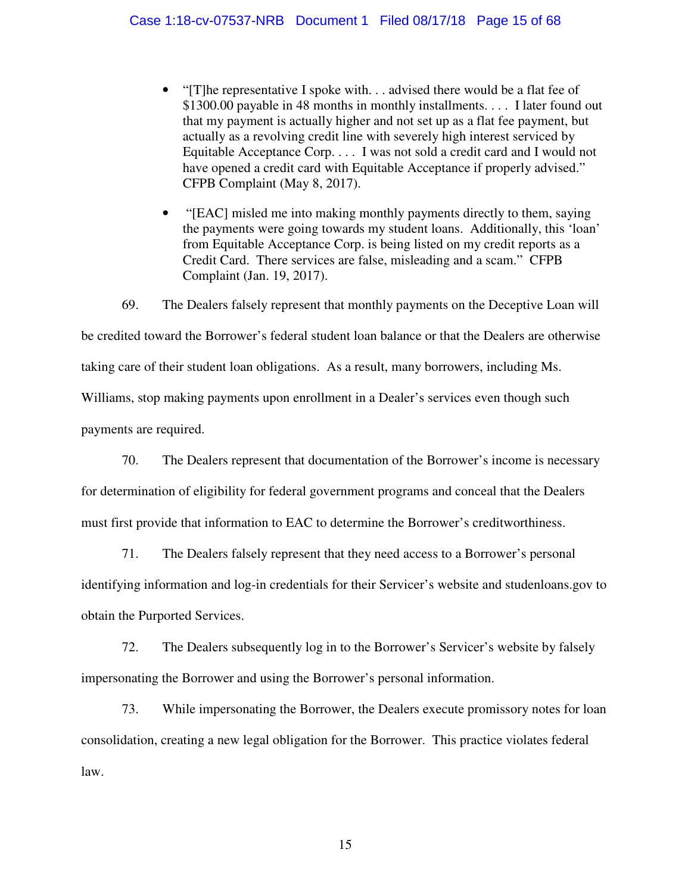- "[T]he representative I spoke with... advised there would be a flat fee of \$1300.00 payable in 48 months in monthly installments. . . . I later found out that my payment is actually higher and not set up as a flat fee payment, but actually as a revolving credit line with severely high interest serviced by Equitable Acceptance Corp. . . . I was not sold a credit card and I would not have opened a credit card with Equitable Acceptance if properly advised." CFPB Complaint (May 8, 2017).
- "[EAC] misled me into making monthly payments directly to them, saying the payments were going towards my student loans. Additionally, this 'loan' from Equitable Acceptance Corp. is being listed on my credit reports as a Credit Card. There services are false, misleading and a scam." CFPB Complaint (Jan. 19, 2017).

69. The Dealers falsely represent that monthly payments on the Deceptive Loan will be credited toward the Borrower's federal student loan balance or that the Dealers are otherwise taking care of their student loan obligations. As a result, many borrowers, including Ms. Williams, stop making payments upon enrollment in a Dealer's services even though such payments are required.

70. The Dealers represent that documentation of the Borrower's income is necessary for determination of eligibility for federal government programs and conceal that the Dealers must first provide that information to EAC to determine the Borrower's creditworthiness.

71. The Dealers falsely represent that they need access to a Borrower's personal

identifying information and log-in credentials for their Servicer's website and studenloans.gov to obtain the Purported Services.

72. The Dealers subsequently log in to the Borrower's Servicer's website by falsely impersonating the Borrower and using the Borrower's personal information.

73. While impersonating the Borrower, the Dealers execute promissory notes for loan consolidation, creating a new legal obligation for the Borrower. This practice violates federal law.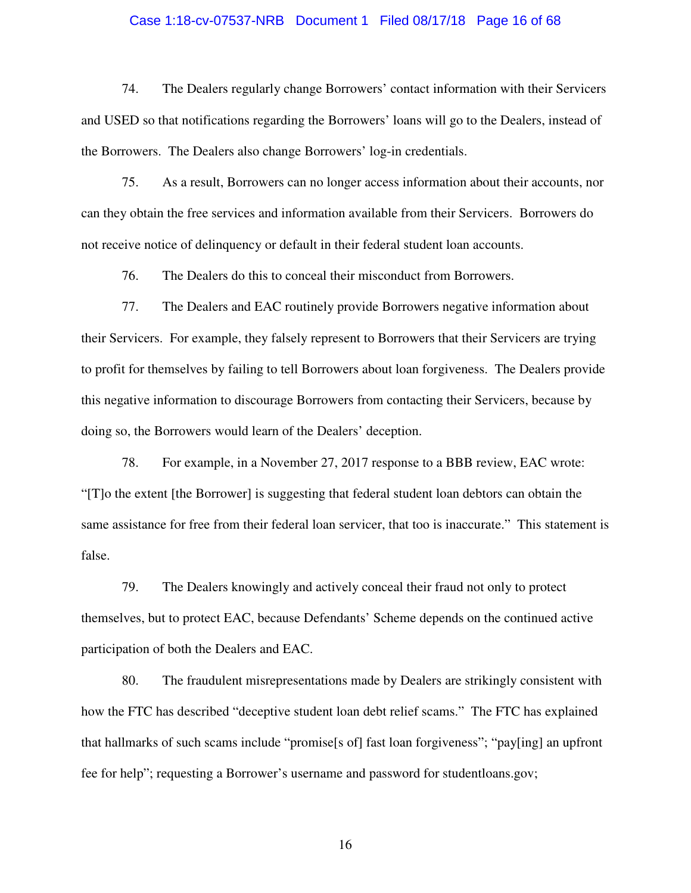#### Case 1:18-cv-07537-NRB Document 1 Filed 08/17/18 Page 16 of 68

74. The Dealers regularly change Borrowers' contact information with their Servicers and USED so that notifications regarding the Borrowers' loans will go to the Dealers, instead of the Borrowers. The Dealers also change Borrowers' log-in credentials.

75. As a result, Borrowers can no longer access information about their accounts, nor can they obtain the free services and information available from their Servicers. Borrowers do not receive notice of delinquency or default in their federal student loan accounts.

76. The Dealers do this to conceal their misconduct from Borrowers.

77. The Dealers and EAC routinely provide Borrowers negative information about their Servicers. For example, they falsely represent to Borrowers that their Servicers are trying to profit for themselves by failing to tell Borrowers about loan forgiveness. The Dealers provide this negative information to discourage Borrowers from contacting their Servicers, because by doing so, the Borrowers would learn of the Dealers' deception.

78. For example, in a November 27, 2017 response to a BBB review, EAC wrote: "[T]o the extent [the Borrower] is suggesting that federal student loan debtors can obtain the same assistance for free from their federal loan servicer, that too is inaccurate." This statement is false.

79. The Dealers knowingly and actively conceal their fraud not only to protect themselves, but to protect EAC, because Defendants' Scheme depends on the continued active participation of both the Dealers and EAC.

80. The fraudulent misrepresentations made by Dealers are strikingly consistent with how the FTC has described "deceptive student loan debt relief scams." The FTC has explained that hallmarks of such scams include "promise[s of] fast loan forgiveness"; "pay[ing] an upfront fee for help"; requesting a Borrower's username and password for studentloans.gov;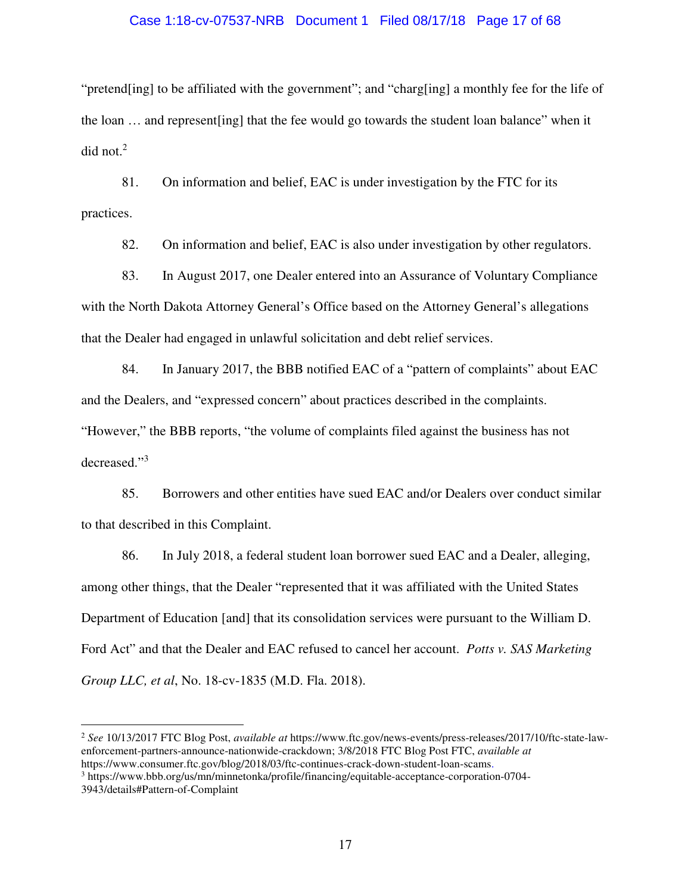#### Case 1:18-cv-07537-NRB Document 1 Filed 08/17/18 Page 17 of 68

"pretend[ing] to be affiliated with the government"; and "charg[ing] a monthly fee for the life of the loan … and represent[ing] that the fee would go towards the student loan balance" when it did not. $2$ 

81. On information and belief, EAC is under investigation by the FTC for its practices.

82. On information and belief, EAC is also under investigation by other regulators.

83. In August 2017, one Dealer entered into an Assurance of Voluntary Compliance with the North Dakota Attorney General's Office based on the Attorney General's allegations that the Dealer had engaged in unlawful solicitation and debt relief services.

84. In January 2017, the BBB notified EAC of a "pattern of complaints" about EAC and the Dealers, and "expressed concern" about practices described in the complaints. "However," the BBB reports, "the volume of complaints filed against the business has not decreased."<sup>3</sup>

85. Borrowers and other entities have sued EAC and/or Dealers over conduct similar to that described in this Complaint.

86. In July 2018, a federal student loan borrower sued EAC and a Dealer, alleging, among other things, that the Dealer "represented that it was affiliated with the United States Department of Education [and] that its consolidation services were pursuant to the William D. Ford Act" and that the Dealer and EAC refused to cancel her account. *Potts v. SAS Marketing Group LLC, et al*, No. 18-cv-1835 (M.D. Fla. 2018).

<sup>2</sup> *See* 10/13/2017 FTC Blog Post, *available at* https://www.ftc.gov/news-events/press-releases/2017/10/ftc-state-lawenforcement-partners-announce-nationwide-crackdown; 3/8/2018 FTC Blog Post FTC, *available at* 

https://www.consumer.ftc.gov/blog/2018/03/ftc-continues-crack-down-student-loan-scams.

 $\overline{a}$ 

<sup>3</sup> https://www.bbb.org/us/mn/minnetonka/profile/financing/equitable-acceptance-corporation-0704- 3943/details#Pattern-of-Complaint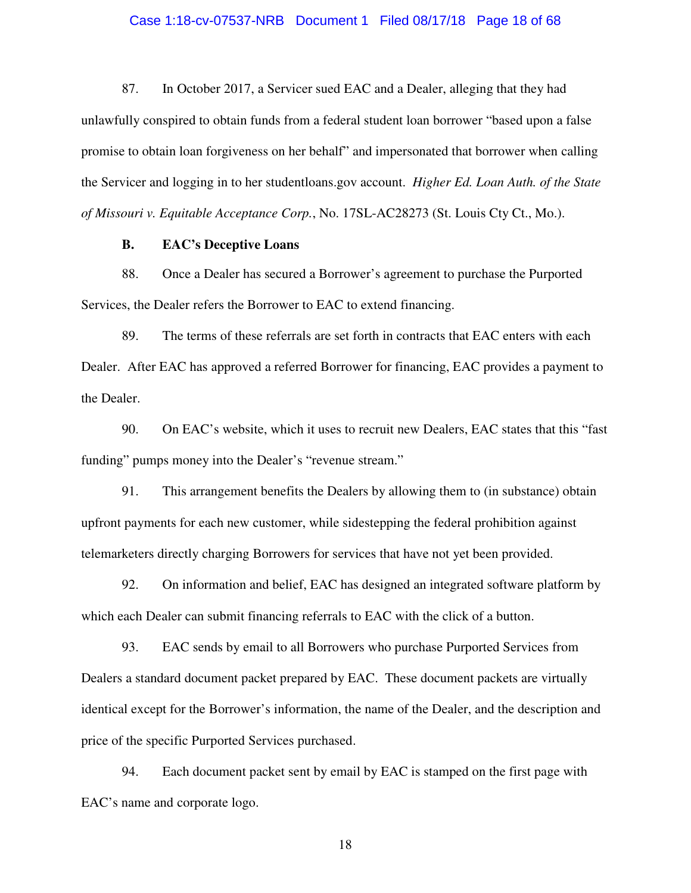#### Case 1:18-cv-07537-NRB Document 1 Filed 08/17/18 Page 18 of 68

87. In October 2017, a Servicer sued EAC and a Dealer, alleging that they had unlawfully conspired to obtain funds from a federal student loan borrower "based upon a false promise to obtain loan forgiveness on her behalf" and impersonated that borrower when calling the Servicer and logging in to her studentloans.gov account. *Higher Ed. Loan Auth. of the State of Missouri v. Equitable Acceptance Corp.*, No. 17SL-AC28273 (St. Louis Cty Ct., Mo.).

#### **B. EAC's Deceptive Loans**

88. Once a Dealer has secured a Borrower's agreement to purchase the Purported Services, the Dealer refers the Borrower to EAC to extend financing.

89. The terms of these referrals are set forth in contracts that EAC enters with each Dealer. After EAC has approved a referred Borrower for financing, EAC provides a payment to the Dealer.

90. On EAC's website, which it uses to recruit new Dealers, EAC states that this "fast funding" pumps money into the Dealer's "revenue stream."

91. This arrangement benefits the Dealers by allowing them to (in substance) obtain upfront payments for each new customer, while sidestepping the federal prohibition against telemarketers directly charging Borrowers for services that have not yet been provided.

92. On information and belief, EAC has designed an integrated software platform by which each Dealer can submit financing referrals to EAC with the click of a button.

93. EAC sends by email to all Borrowers who purchase Purported Services from Dealers a standard document packet prepared by EAC. These document packets are virtually identical except for the Borrower's information, the name of the Dealer, and the description and price of the specific Purported Services purchased.

94. Each document packet sent by email by EAC is stamped on the first page with EAC's name and corporate logo.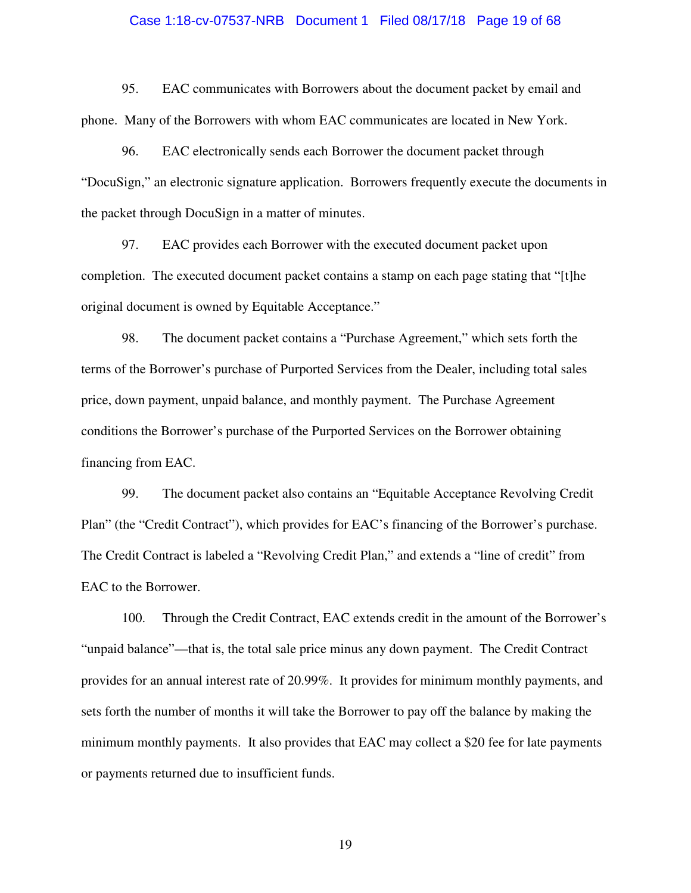#### Case 1:18-cv-07537-NRB Document 1 Filed 08/17/18 Page 19 of 68

95. EAC communicates with Borrowers about the document packet by email and phone. Many of the Borrowers with whom EAC communicates are located in New York.

96. EAC electronically sends each Borrower the document packet through "DocuSign," an electronic signature application. Borrowers frequently execute the documents in the packet through DocuSign in a matter of minutes.

97. EAC provides each Borrower with the executed document packet upon completion. The executed document packet contains a stamp on each page stating that "[t]he original document is owned by Equitable Acceptance."

98. The document packet contains a "Purchase Agreement," which sets forth the terms of the Borrower's purchase of Purported Services from the Dealer, including total sales price, down payment, unpaid balance, and monthly payment. The Purchase Agreement conditions the Borrower's purchase of the Purported Services on the Borrower obtaining financing from EAC.

99. The document packet also contains an "Equitable Acceptance Revolving Credit Plan" (the "Credit Contract"), which provides for EAC's financing of the Borrower's purchase. The Credit Contract is labeled a "Revolving Credit Plan," and extends a "line of credit" from EAC to the Borrower.

100. Through the Credit Contract, EAC extends credit in the amount of the Borrower's "unpaid balance"—that is, the total sale price minus any down payment. The Credit Contract provides for an annual interest rate of 20.99%. It provides for minimum monthly payments, and sets forth the number of months it will take the Borrower to pay off the balance by making the minimum monthly payments. It also provides that EAC may collect a \$20 fee for late payments or payments returned due to insufficient funds.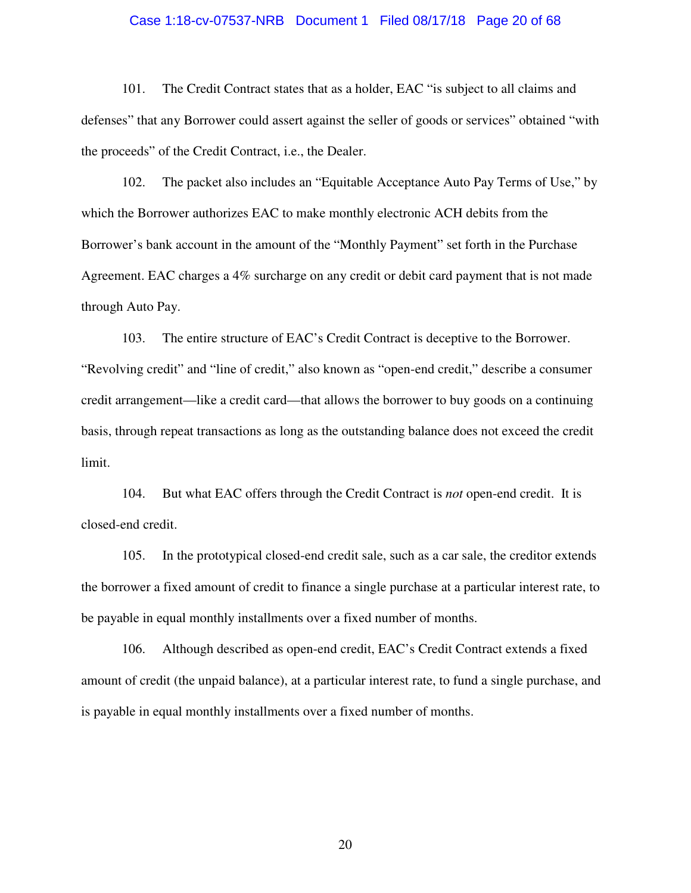#### Case 1:18-cv-07537-NRB Document 1 Filed 08/17/18 Page 20 of 68

101. The Credit Contract states that as a holder, EAC "is subject to all claims and defenses" that any Borrower could assert against the seller of goods or services" obtained "with the proceeds" of the Credit Contract, i.e., the Dealer.

102. The packet also includes an "Equitable Acceptance Auto Pay Terms of Use," by which the Borrower authorizes EAC to make monthly electronic ACH debits from the Borrower's bank account in the amount of the "Monthly Payment" set forth in the Purchase Agreement. EAC charges a 4% surcharge on any credit or debit card payment that is not made through Auto Pay.

103. The entire structure of EAC's Credit Contract is deceptive to the Borrower. "Revolving credit" and "line of credit," also known as "open-end credit," describe a consumer credit arrangement—like a credit card—that allows the borrower to buy goods on a continuing basis, through repeat transactions as long as the outstanding balance does not exceed the credit limit.

104. But what EAC offers through the Credit Contract is *not* open-end credit. It is closed-end credit.

105. In the prototypical closed-end credit sale, such as a car sale, the creditor extends the borrower a fixed amount of credit to finance a single purchase at a particular interest rate, to be payable in equal monthly installments over a fixed number of months.

106. Although described as open-end credit, EAC's Credit Contract extends a fixed amount of credit (the unpaid balance), at a particular interest rate, to fund a single purchase, and is payable in equal monthly installments over a fixed number of months.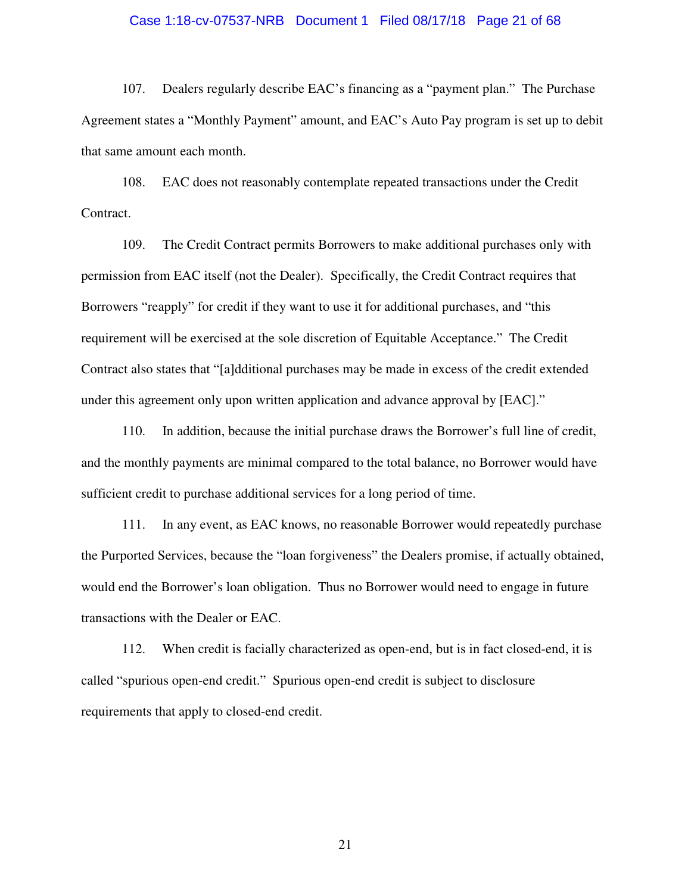#### Case 1:18-cv-07537-NRB Document 1 Filed 08/17/18 Page 21 of 68

107. Dealers regularly describe EAC's financing as a "payment plan." The Purchase Agreement states a "Monthly Payment" amount, and EAC's Auto Pay program is set up to debit that same amount each month.

108. EAC does not reasonably contemplate repeated transactions under the Credit Contract.

109. The Credit Contract permits Borrowers to make additional purchases only with permission from EAC itself (not the Dealer). Specifically, the Credit Contract requires that Borrowers "reapply" for credit if they want to use it for additional purchases, and "this requirement will be exercised at the sole discretion of Equitable Acceptance." The Credit Contract also states that "[a]dditional purchases may be made in excess of the credit extended under this agreement only upon written application and advance approval by [EAC]."

110. In addition, because the initial purchase draws the Borrower's full line of credit, and the monthly payments are minimal compared to the total balance, no Borrower would have sufficient credit to purchase additional services for a long period of time.

111. In any event, as EAC knows, no reasonable Borrower would repeatedly purchase the Purported Services, because the "loan forgiveness" the Dealers promise, if actually obtained, would end the Borrower's loan obligation. Thus no Borrower would need to engage in future transactions with the Dealer or EAC.

112. When credit is facially characterized as open-end, but is in fact closed-end, it is called "spurious open-end credit." Spurious open-end credit is subject to disclosure requirements that apply to closed-end credit.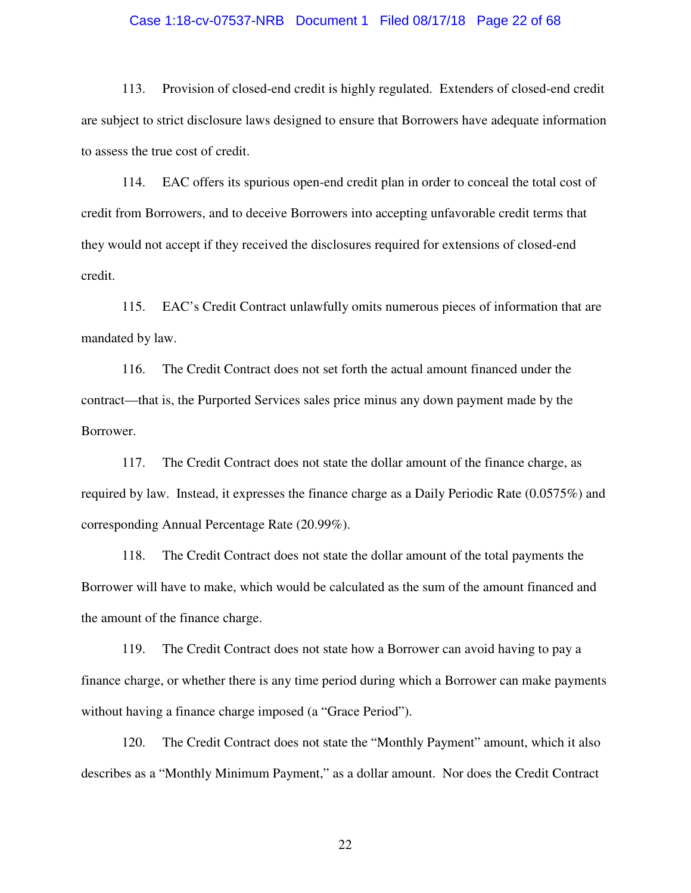#### Case 1:18-cv-07537-NRB Document 1 Filed 08/17/18 Page 22 of 68

113. Provision of closed-end credit is highly regulated. Extenders of closed-end credit are subject to strict disclosure laws designed to ensure that Borrowers have adequate information to assess the true cost of credit.

114. EAC offers its spurious open-end credit plan in order to conceal the total cost of credit from Borrowers, and to deceive Borrowers into accepting unfavorable credit terms that they would not accept if they received the disclosures required for extensions of closed-end credit.

115. EAC's Credit Contract unlawfully omits numerous pieces of information that are mandated by law.

116. The Credit Contract does not set forth the actual amount financed under the contract—that is, the Purported Services sales price minus any down payment made by the Borrower.

117. The Credit Contract does not state the dollar amount of the finance charge, as required by law. Instead, it expresses the finance charge as a Daily Periodic Rate (0.0575%) and corresponding Annual Percentage Rate (20.99%).

118. The Credit Contract does not state the dollar amount of the total payments the Borrower will have to make, which would be calculated as the sum of the amount financed and the amount of the finance charge.

119. The Credit Contract does not state how a Borrower can avoid having to pay a finance charge, or whether there is any time period during which a Borrower can make payments without having a finance charge imposed (a "Grace Period").

120. The Credit Contract does not state the "Monthly Payment" amount, which it also describes as a "Monthly Minimum Payment," as a dollar amount. Nor does the Credit Contract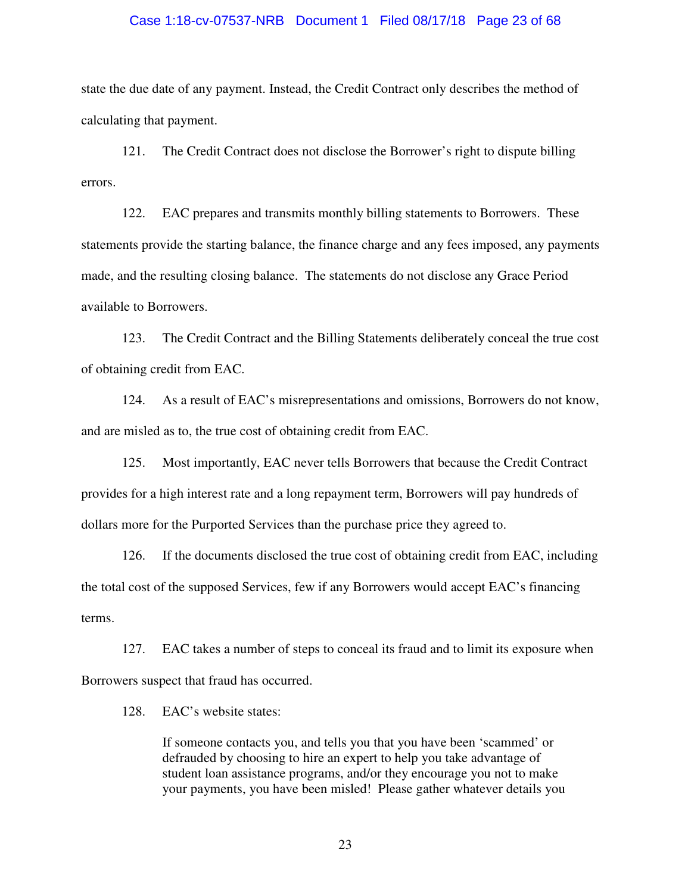#### Case 1:18-cv-07537-NRB Document 1 Filed 08/17/18 Page 23 of 68

state the due date of any payment. Instead, the Credit Contract only describes the method of calculating that payment.

121. The Credit Contract does not disclose the Borrower's right to dispute billing errors.

122. EAC prepares and transmits monthly billing statements to Borrowers. These statements provide the starting balance, the finance charge and any fees imposed, any payments made, and the resulting closing balance. The statements do not disclose any Grace Period available to Borrowers.

123. The Credit Contract and the Billing Statements deliberately conceal the true cost of obtaining credit from EAC.

124. As a result of EAC's misrepresentations and omissions, Borrowers do not know, and are misled as to, the true cost of obtaining credit from EAC.

125. Most importantly, EAC never tells Borrowers that because the Credit Contract provides for a high interest rate and a long repayment term, Borrowers will pay hundreds of dollars more for the Purported Services than the purchase price they agreed to.

126. If the documents disclosed the true cost of obtaining credit from EAC, including the total cost of the supposed Services, few if any Borrowers would accept EAC's financing terms.

127. EAC takes a number of steps to conceal its fraud and to limit its exposure when Borrowers suspect that fraud has occurred.

128. EAC's website states:

If someone contacts you, and tells you that you have been 'scammed' or defrauded by choosing to hire an expert to help you take advantage of student loan assistance programs, and/or they encourage you not to make your payments, you have been misled! Please gather whatever details you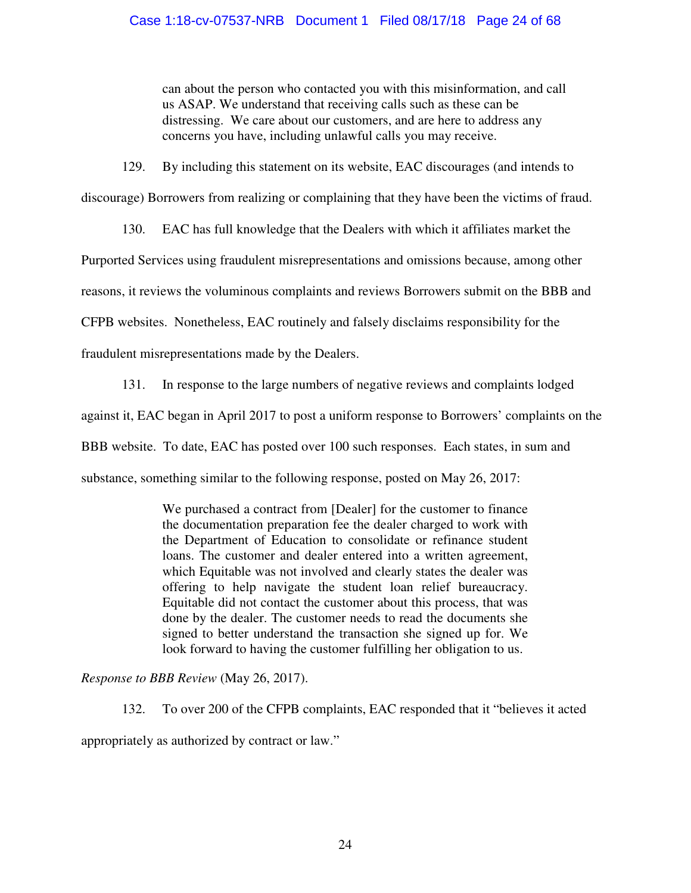can about the person who contacted you with this misinformation, and call us ASAP. We understand that receiving calls such as these can be distressing. We care about our customers, and are here to address any concerns you have, including unlawful calls you may receive.

129. By including this statement on its website, EAC discourages (and intends to

discourage) Borrowers from realizing or complaining that they have been the victims of fraud.

130. EAC has full knowledge that the Dealers with which it affiliates market the

Purported Services using fraudulent misrepresentations and omissions because, among other

reasons, it reviews the voluminous complaints and reviews Borrowers submit on the BBB and

CFPB websites. Nonetheless, EAC routinely and falsely disclaims responsibility for the

fraudulent misrepresentations made by the Dealers.

131. In response to the large numbers of negative reviews and complaints lodged against it, EAC began in April 2017 to post a uniform response to Borrowers' complaints on the BBB website. To date, EAC has posted over 100 such responses. Each states, in sum and substance, something similar to the following response, posted on May 26, 2017:

> We purchased a contract from [Dealer] for the customer to finance the documentation preparation fee the dealer charged to work with the Department of Education to consolidate or refinance student loans. The customer and dealer entered into a written agreement, which Equitable was not involved and clearly states the dealer was offering to help navigate the student loan relief bureaucracy. Equitable did not contact the customer about this process, that was done by the dealer. The customer needs to read the documents she signed to better understand the transaction she signed up for. We look forward to having the customer fulfilling her obligation to us.

*Response to BBB Review* (May 26, 2017).

132. To over 200 of the CFPB complaints, EAC responded that it "believes it acted appropriately as authorized by contract or law."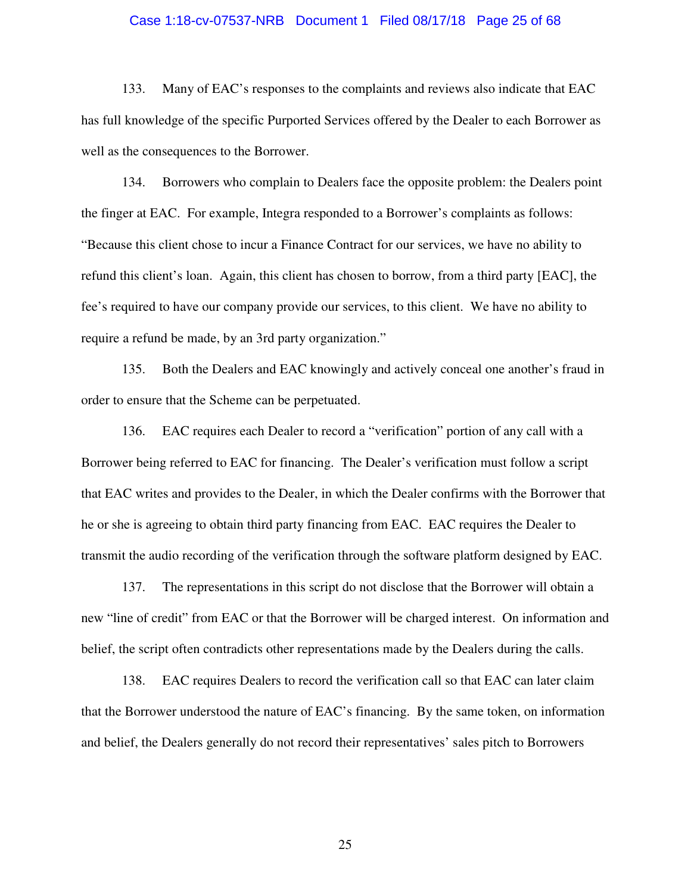#### Case 1:18-cv-07537-NRB Document 1 Filed 08/17/18 Page 25 of 68

133. Many of EAC's responses to the complaints and reviews also indicate that EAC has full knowledge of the specific Purported Services offered by the Dealer to each Borrower as well as the consequences to the Borrower.

134. Borrowers who complain to Dealers face the opposite problem: the Dealers point the finger at EAC. For example, Integra responded to a Borrower's complaints as follows: "Because this client chose to incur a Finance Contract for our services, we have no ability to refund this client's loan. Again, this client has chosen to borrow, from a third party [EAC], the fee's required to have our company provide our services, to this client. We have no ability to require a refund be made, by an 3rd party organization."

135. Both the Dealers and EAC knowingly and actively conceal one another's fraud in order to ensure that the Scheme can be perpetuated.

136. EAC requires each Dealer to record a "verification" portion of any call with a Borrower being referred to EAC for financing. The Dealer's verification must follow a script that EAC writes and provides to the Dealer, in which the Dealer confirms with the Borrower that he or she is agreeing to obtain third party financing from EAC. EAC requires the Dealer to transmit the audio recording of the verification through the software platform designed by EAC.

137. The representations in this script do not disclose that the Borrower will obtain a new "line of credit" from EAC or that the Borrower will be charged interest. On information and belief, the script often contradicts other representations made by the Dealers during the calls.

138. EAC requires Dealers to record the verification call so that EAC can later claim that the Borrower understood the nature of EAC's financing. By the same token, on information and belief, the Dealers generally do not record their representatives' sales pitch to Borrowers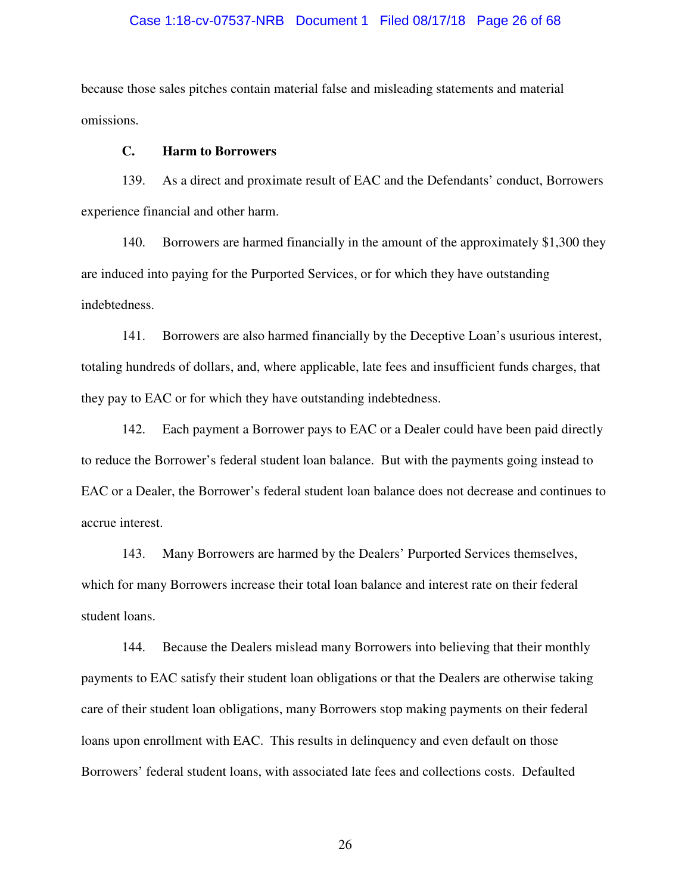#### Case 1:18-cv-07537-NRB Document 1 Filed 08/17/18 Page 26 of 68

because those sales pitches contain material false and misleading statements and material omissions.

#### **C. Harm to Borrowers**

139. As a direct and proximate result of EAC and the Defendants' conduct, Borrowers experience financial and other harm.

140. Borrowers are harmed financially in the amount of the approximately \$1,300 they are induced into paying for the Purported Services, or for which they have outstanding indebtedness.

141. Borrowers are also harmed financially by the Deceptive Loan's usurious interest, totaling hundreds of dollars, and, where applicable, late fees and insufficient funds charges, that they pay to EAC or for which they have outstanding indebtedness.

142. Each payment a Borrower pays to EAC or a Dealer could have been paid directly to reduce the Borrower's federal student loan balance. But with the payments going instead to EAC or a Dealer, the Borrower's federal student loan balance does not decrease and continues to accrue interest.

143. Many Borrowers are harmed by the Dealers' Purported Services themselves, which for many Borrowers increase their total loan balance and interest rate on their federal student loans.

144. Because the Dealers mislead many Borrowers into believing that their monthly payments to EAC satisfy their student loan obligations or that the Dealers are otherwise taking care of their student loan obligations, many Borrowers stop making payments on their federal loans upon enrollment with EAC. This results in delinquency and even default on those Borrowers' federal student loans, with associated late fees and collections costs. Defaulted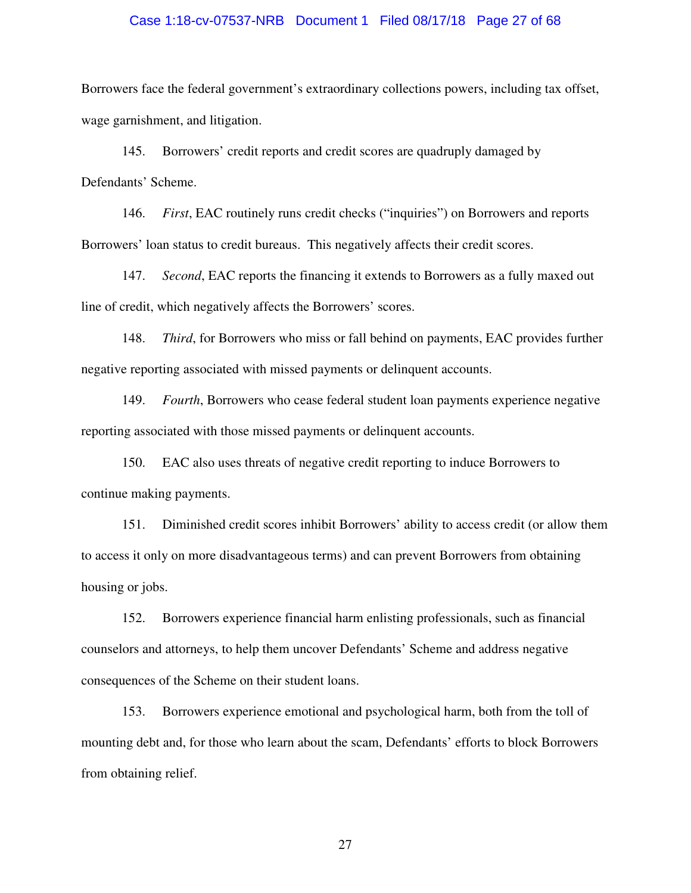#### Case 1:18-cv-07537-NRB Document 1 Filed 08/17/18 Page 27 of 68

Borrowers face the federal government's extraordinary collections powers, including tax offset, wage garnishment, and litigation.

145. Borrowers' credit reports and credit scores are quadruply damaged by Defendants' Scheme.

146. *First*, EAC routinely runs credit checks ("inquiries") on Borrowers and reports Borrowers' loan status to credit bureaus. This negatively affects their credit scores.

147. *Second*, EAC reports the financing it extends to Borrowers as a fully maxed out line of credit, which negatively affects the Borrowers' scores.

148. *Third*, for Borrowers who miss or fall behind on payments, EAC provides further negative reporting associated with missed payments or delinquent accounts.

149. *Fourth*, Borrowers who cease federal student loan payments experience negative reporting associated with those missed payments or delinquent accounts.

150. EAC also uses threats of negative credit reporting to induce Borrowers to continue making payments.

151. Diminished credit scores inhibit Borrowers' ability to access credit (or allow them to access it only on more disadvantageous terms) and can prevent Borrowers from obtaining housing or jobs.

152. Borrowers experience financial harm enlisting professionals, such as financial counselors and attorneys, to help them uncover Defendants' Scheme and address negative consequences of the Scheme on their student loans.

153. Borrowers experience emotional and psychological harm, both from the toll of mounting debt and, for those who learn about the scam, Defendants' efforts to block Borrowers from obtaining relief.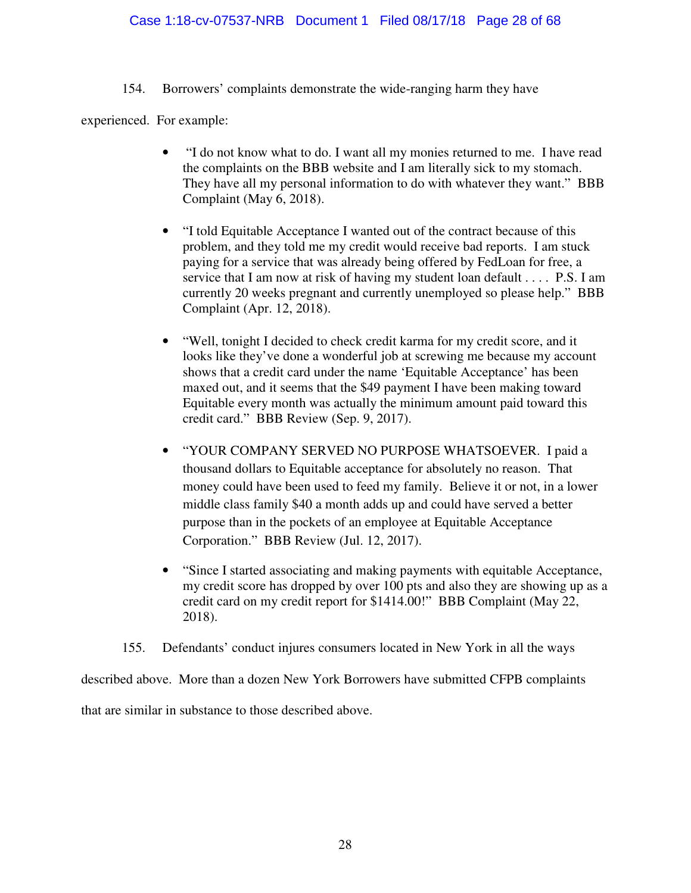154. Borrowers' complaints demonstrate the wide-ranging harm they have

experienced. For example:

- "I do not know what to do. I want all my monies returned to me. I have read the complaints on the BBB website and I am literally sick to my stomach. They have all my personal information to do with whatever they want." BBB Complaint (May 6, 2018).
- "I told Equitable Acceptance I wanted out of the contract because of this problem, and they told me my credit would receive bad reports. I am stuck paying for a service that was already being offered by FedLoan for free, a service that I am now at risk of having my student loan default . . . . P.S. I am currently 20 weeks pregnant and currently unemployed so please help." BBB Complaint (Apr. 12, 2018).
- "Well, tonight I decided to check credit karma for my credit score, and it looks like they've done a wonderful job at screwing me because my account shows that a credit card under the name 'Equitable Acceptance' has been maxed out, and it seems that the \$49 payment I have been making toward Equitable every month was actually the minimum amount paid toward this credit card." BBB Review (Sep. 9, 2017).
- "YOUR COMPANY SERVED NO PURPOSE WHATSOEVER. I paid a thousand dollars to Equitable acceptance for absolutely no reason. That money could have been used to feed my family. Believe it or not, in a lower middle class family \$40 a month adds up and could have served a better purpose than in the pockets of an employee at Equitable Acceptance Corporation." BBB Review (Jul. 12, 2017).
- "Since I started associating and making payments with equitable Acceptance, my credit score has dropped by over 100 pts and also they are showing up as a credit card on my credit report for \$1414.00!" BBB Complaint (May 22, 2018).
- 155. Defendants' conduct injures consumers located in New York in all the ways

described above. More than a dozen New York Borrowers have submitted CFPB complaints that are similar in substance to those described above.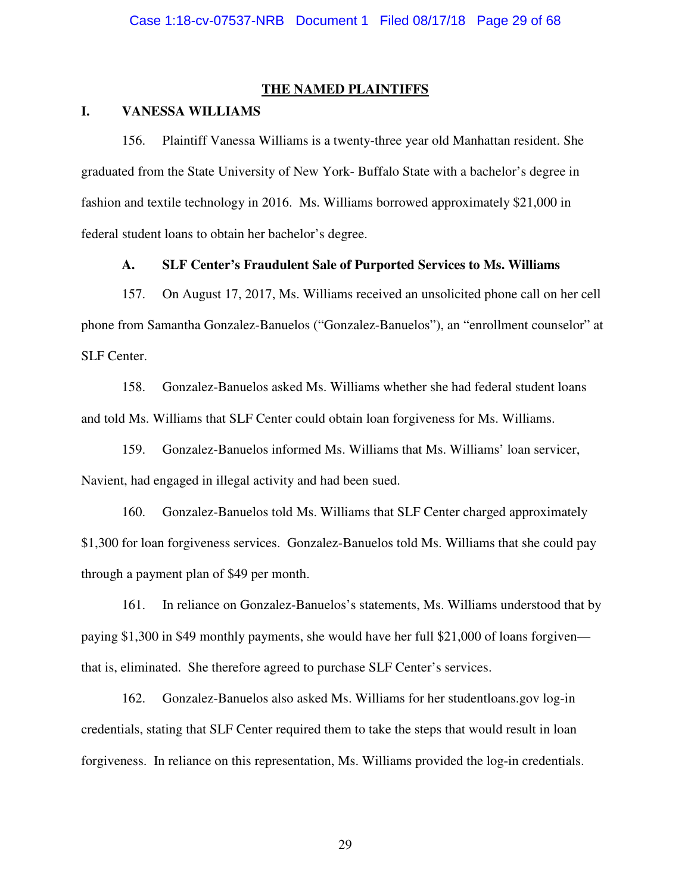#### **THE NAMED PLAINTIFFS**

## **I. VANESSA WILLIAMS**

156. Plaintiff Vanessa Williams is a twenty-three year old Manhattan resident. She graduated from the State University of New York- Buffalo State with a bachelor's degree in fashion and textile technology in 2016. Ms. Williams borrowed approximately \$21,000 in federal student loans to obtain her bachelor's degree.

#### **A. SLF Center's Fraudulent Sale of Purported Services to Ms. Williams**

157. On August 17, 2017, Ms. Williams received an unsolicited phone call on her cell phone from Samantha Gonzalez-Banuelos ("Gonzalez-Banuelos"), an "enrollment counselor" at SLF Center.

158. Gonzalez-Banuelos asked Ms. Williams whether she had federal student loans and told Ms. Williams that SLF Center could obtain loan forgiveness for Ms. Williams.

159. Gonzalez-Banuelos informed Ms. Williams that Ms. Williams' loan servicer, Navient, had engaged in illegal activity and had been sued.

160. Gonzalez-Banuelos told Ms. Williams that SLF Center charged approximately \$1,300 for loan forgiveness services. Gonzalez-Banuelos told Ms. Williams that she could pay through a payment plan of \$49 per month.

161. In reliance on Gonzalez-Banuelos's statements, Ms. Williams understood that by paying \$1,300 in \$49 monthly payments, she would have her full \$21,000 of loans forgiven that is, eliminated. She therefore agreed to purchase SLF Center's services.

162. Gonzalez-Banuelos also asked Ms. Williams for her studentloans.gov log-in credentials, stating that SLF Center required them to take the steps that would result in loan forgiveness. In reliance on this representation, Ms. Williams provided the log-in credentials.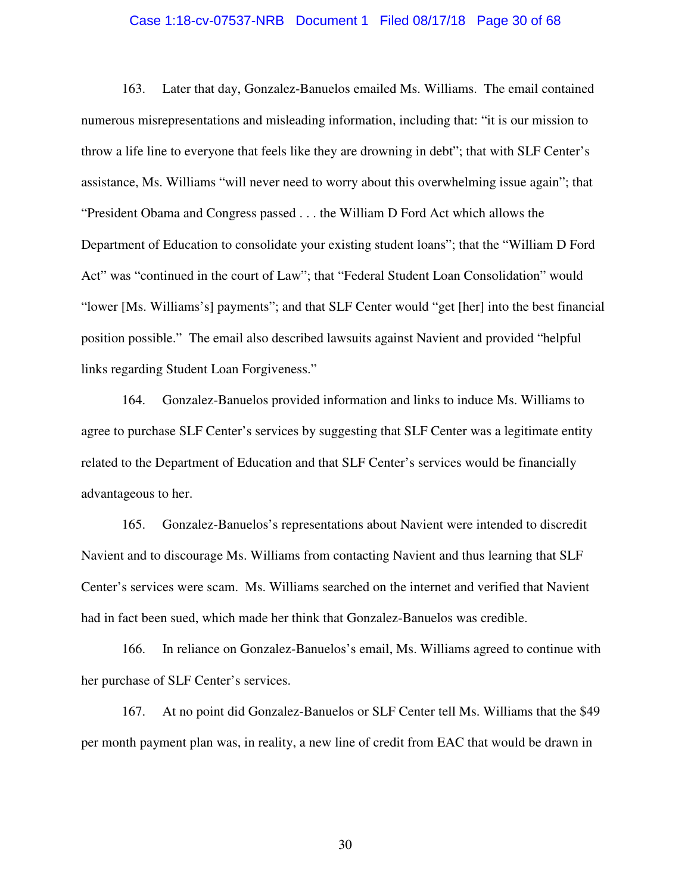#### Case 1:18-cv-07537-NRB Document 1 Filed 08/17/18 Page 30 of 68

163. Later that day, Gonzalez-Banuelos emailed Ms. Williams. The email contained numerous misrepresentations and misleading information, including that: "it is our mission to throw a life line to everyone that feels like they are drowning in debt"; that with SLF Center's assistance, Ms. Williams "will never need to worry about this overwhelming issue again"; that "President Obama and Congress passed . . . the William D Ford Act which allows the Department of Education to consolidate your existing student loans"; that the "William D Ford Act" was "continued in the court of Law"; that "Federal Student Loan Consolidation" would "lower [Ms. Williams's] payments"; and that SLF Center would "get [her] into the best financial position possible." The email also described lawsuits against Navient and provided "helpful links regarding Student Loan Forgiveness."

164. Gonzalez-Banuelos provided information and links to induce Ms. Williams to agree to purchase SLF Center's services by suggesting that SLF Center was a legitimate entity related to the Department of Education and that SLF Center's services would be financially advantageous to her.

165. Gonzalez-Banuelos's representations about Navient were intended to discredit Navient and to discourage Ms. Williams from contacting Navient and thus learning that SLF Center's services were scam. Ms. Williams searched on the internet and verified that Navient had in fact been sued, which made her think that Gonzalez-Banuelos was credible.

166. In reliance on Gonzalez-Banuelos's email, Ms. Williams agreed to continue with her purchase of SLF Center's services.

167. At no point did Gonzalez-Banuelos or SLF Center tell Ms. Williams that the \$49 per month payment plan was, in reality, a new line of credit from EAC that would be drawn in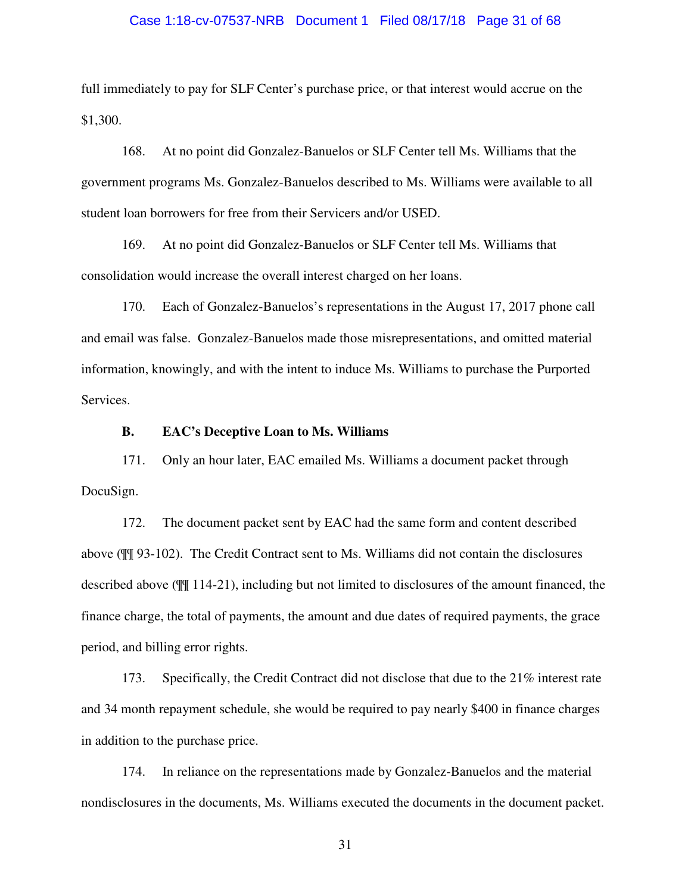#### Case 1:18-cv-07537-NRB Document 1 Filed 08/17/18 Page 31 of 68

full immediately to pay for SLF Center's purchase price, or that interest would accrue on the \$1,300.

168. At no point did Gonzalez-Banuelos or SLF Center tell Ms. Williams that the government programs Ms. Gonzalez-Banuelos described to Ms. Williams were available to all student loan borrowers for free from their Servicers and/or USED.

169. At no point did Gonzalez-Banuelos or SLF Center tell Ms. Williams that consolidation would increase the overall interest charged on her loans.

170. Each of Gonzalez-Banuelos's representations in the August 17, 2017 phone call and email was false. Gonzalez-Banuelos made those misrepresentations, and omitted material information, knowingly, and with the intent to induce Ms. Williams to purchase the Purported Services.

#### **B. EAC's Deceptive Loan to Ms. Williams**

171. Only an hour later, EAC emailed Ms. Williams a document packet through DocuSign.

172. The document packet sent by EAC had the same form and content described above (¶¶ 93-102). The Credit Contract sent to Ms. Williams did not contain the disclosures described above (¶¶ 114-21), including but not limited to disclosures of the amount financed, the finance charge, the total of payments, the amount and due dates of required payments, the grace period, and billing error rights.

173. Specifically, the Credit Contract did not disclose that due to the 21% interest rate and 34 month repayment schedule, she would be required to pay nearly \$400 in finance charges in addition to the purchase price.

174. In reliance on the representations made by Gonzalez-Banuelos and the material nondisclosures in the documents, Ms. Williams executed the documents in the document packet.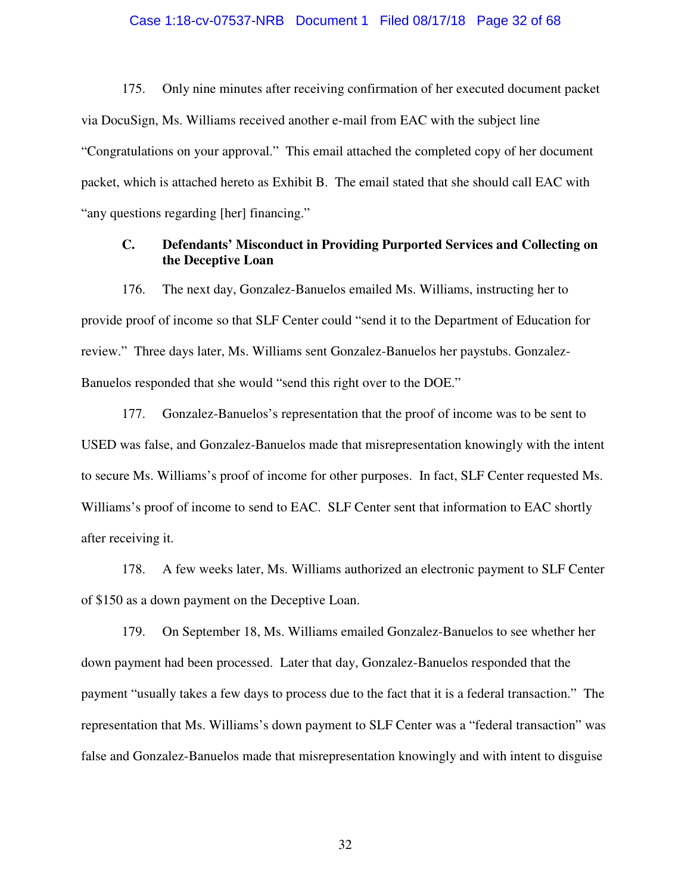#### Case 1:18-cv-07537-NRB Document 1 Filed 08/17/18 Page 32 of 68

175. Only nine minutes after receiving confirmation of her executed document packet via DocuSign, Ms. Williams received another e-mail from EAC with the subject line "Congratulations on your approval." This email attached the completed copy of her document packet, which is attached hereto as Exhibit B. The email stated that she should call EAC with "any questions regarding [her] financing."

## **C. Defendants' Misconduct in Providing Purported Services and Collecting on the Deceptive Loan**

176. The next day, Gonzalez-Banuelos emailed Ms. Williams, instructing her to provide proof of income so that SLF Center could "send it to the Department of Education for review." Three days later, Ms. Williams sent Gonzalez-Banuelos her paystubs. Gonzalez-Banuelos responded that she would "send this right over to the DOE."

177. Gonzalez-Banuelos's representation that the proof of income was to be sent to USED was false, and Gonzalez-Banuelos made that misrepresentation knowingly with the intent to secure Ms. Williams's proof of income for other purposes. In fact, SLF Center requested Ms. Williams's proof of income to send to EAC. SLF Center sent that information to EAC shortly after receiving it.

178. A few weeks later, Ms. Williams authorized an electronic payment to SLF Center of \$150 as a down payment on the Deceptive Loan.

179. On September 18, Ms. Williams emailed Gonzalez-Banuelos to see whether her down payment had been processed. Later that day, Gonzalez-Banuelos responded that the payment "usually takes a few days to process due to the fact that it is a federal transaction." The representation that Ms. Williams's down payment to SLF Center was a "federal transaction" was false and Gonzalez-Banuelos made that misrepresentation knowingly and with intent to disguise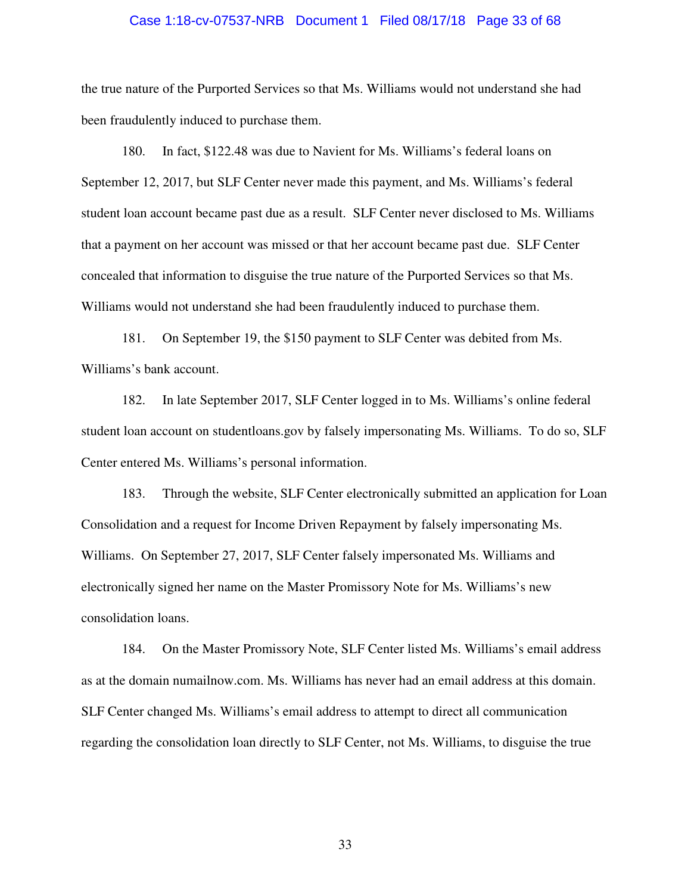#### Case 1:18-cv-07537-NRB Document 1 Filed 08/17/18 Page 33 of 68

the true nature of the Purported Services so that Ms. Williams would not understand she had been fraudulently induced to purchase them.

180. In fact, \$122.48 was due to Navient for Ms. Williams's federal loans on September 12, 2017, but SLF Center never made this payment, and Ms. Williams's federal student loan account became past due as a result. SLF Center never disclosed to Ms. Williams that a payment on her account was missed or that her account became past due. SLF Center concealed that information to disguise the true nature of the Purported Services so that Ms. Williams would not understand she had been fraudulently induced to purchase them.

181. On September 19, the \$150 payment to SLF Center was debited from Ms. Williams's bank account.

182. In late September 2017, SLF Center logged in to Ms. Williams's online federal student loan account on studentloans.gov by falsely impersonating Ms. Williams. To do so, SLF Center entered Ms. Williams's personal information.

183. Through the website, SLF Center electronically submitted an application for Loan Consolidation and a request for Income Driven Repayment by falsely impersonating Ms. Williams. On September 27, 2017, SLF Center falsely impersonated Ms. Williams and electronically signed her name on the Master Promissory Note for Ms. Williams's new consolidation loans.

184. On the Master Promissory Note, SLF Center listed Ms. Williams's email address as at the domain numailnow.com. Ms. Williams has never had an email address at this domain. SLF Center changed Ms. Williams's email address to attempt to direct all communication regarding the consolidation loan directly to SLF Center, not Ms. Williams, to disguise the true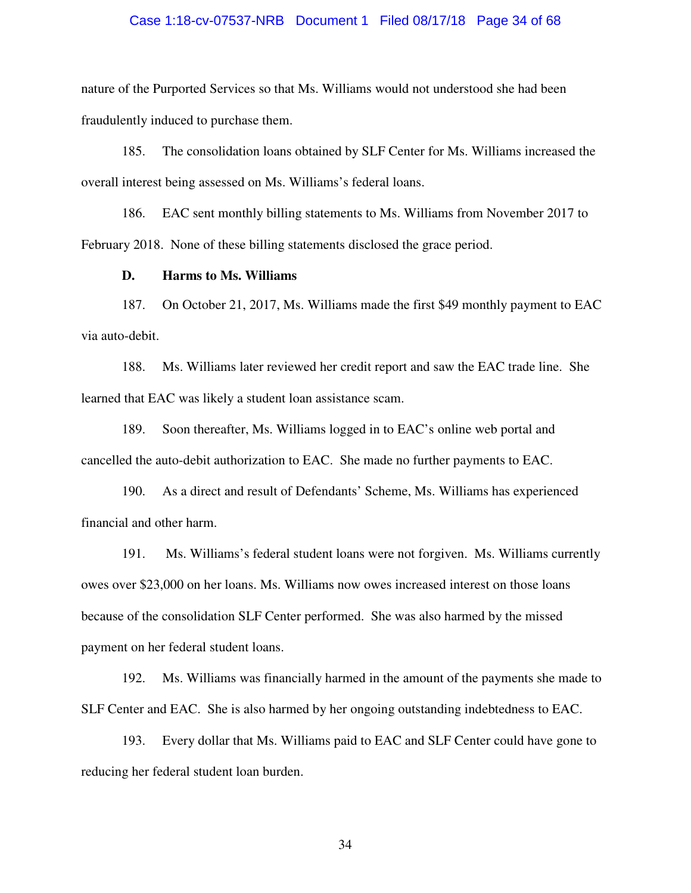# Case 1:18-cv-07537-NRB Document 1 Filed 08/17/18 Page 34 of 68

nature of the Purported Services so that Ms. Williams would not understood she had been fraudulently induced to purchase them.

185. The consolidation loans obtained by SLF Center for Ms. Williams increased the overall interest being assessed on Ms. Williams's federal loans.

186. EAC sent monthly billing statements to Ms. Williams from November 2017 to February 2018. None of these billing statements disclosed the grace period.

#### **D. Harms to Ms. Williams**

187. On October 21, 2017, Ms. Williams made the first \$49 monthly payment to EAC via auto-debit.

188. Ms. Williams later reviewed her credit report and saw the EAC trade line. She learned that EAC was likely a student loan assistance scam.

189. Soon thereafter, Ms. Williams logged in to EAC's online web portal and cancelled the auto-debit authorization to EAC. She made no further payments to EAC.

190. As a direct and result of Defendants' Scheme, Ms. Williams has experienced financial and other harm.

191. Ms. Williams's federal student loans were not forgiven. Ms. Williams currently owes over \$23,000 on her loans. Ms. Williams now owes increased interest on those loans because of the consolidation SLF Center performed. She was also harmed by the missed payment on her federal student loans.

192. Ms. Williams was financially harmed in the amount of the payments she made to SLF Center and EAC. She is also harmed by her ongoing outstanding indebtedness to EAC.

193. Every dollar that Ms. Williams paid to EAC and SLF Center could have gone to reducing her federal student loan burden.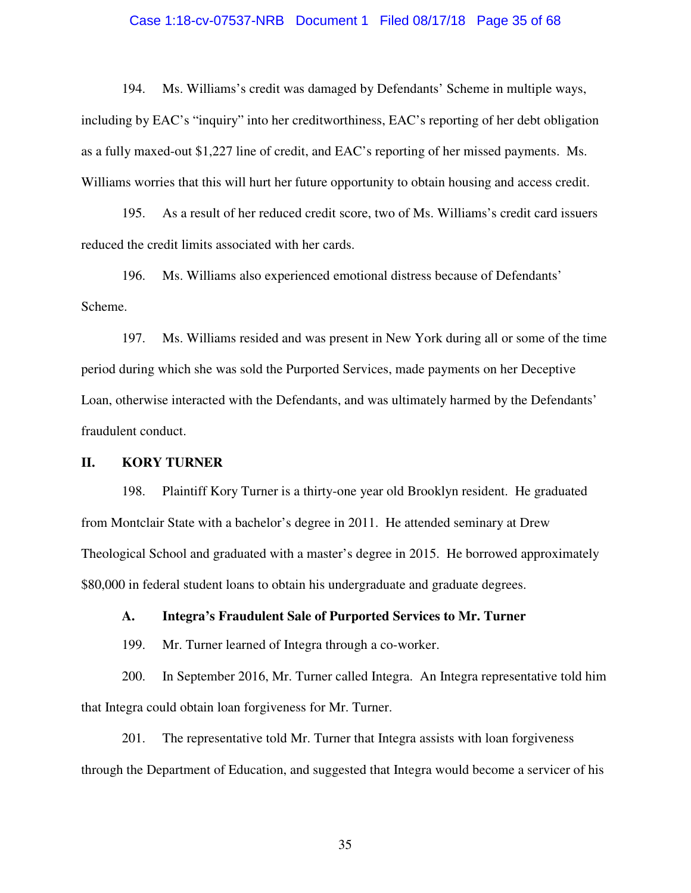#### Case 1:18-cv-07537-NRB Document 1 Filed 08/17/18 Page 35 of 68

194. Ms. Williams's credit was damaged by Defendants' Scheme in multiple ways, including by EAC's "inquiry" into her creditworthiness, EAC's reporting of her debt obligation as a fully maxed-out \$1,227 line of credit, and EAC's reporting of her missed payments. Ms. Williams worries that this will hurt her future opportunity to obtain housing and access credit.

195. As a result of her reduced credit score, two of Ms. Williams's credit card issuers reduced the credit limits associated with her cards.

196. Ms. Williams also experienced emotional distress because of Defendants' Scheme.

197. Ms. Williams resided and was present in New York during all or some of the time period during which she was sold the Purported Services, made payments on her Deceptive Loan, otherwise interacted with the Defendants, and was ultimately harmed by the Defendants' fraudulent conduct.

#### **II. KORY TURNER**

198. Plaintiff Kory Turner is a thirty-one year old Brooklyn resident. He graduated from Montclair State with a bachelor's degree in 2011. He attended seminary at Drew Theological School and graduated with a master's degree in 2015. He borrowed approximately \$80,000 in federal student loans to obtain his undergraduate and graduate degrees.

**A. Integra's Fraudulent Sale of Purported Services to Mr. Turner** 

199. Mr. Turner learned of Integra through a co-worker.

200. In September 2016, Mr. Turner called Integra. An Integra representative told him that Integra could obtain loan forgiveness for Mr. Turner.

201. The representative told Mr. Turner that Integra assists with loan forgiveness through the Department of Education, and suggested that Integra would become a servicer of his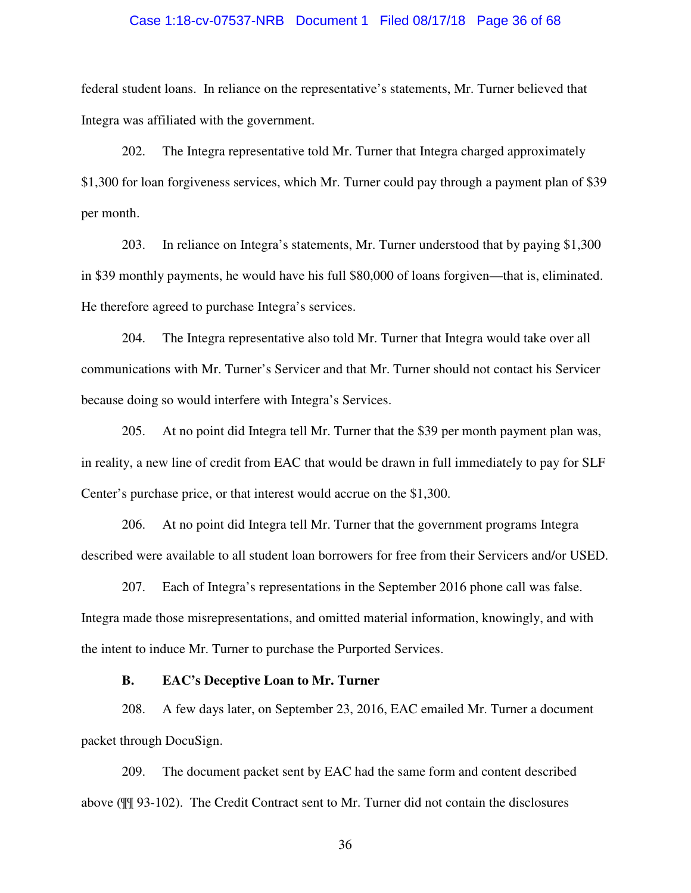#### Case 1:18-cv-07537-NRB Document 1 Filed 08/17/18 Page 36 of 68

federal student loans. In reliance on the representative's statements, Mr. Turner believed that Integra was affiliated with the government.

202. The Integra representative told Mr. Turner that Integra charged approximately \$1,300 for loan forgiveness services, which Mr. Turner could pay through a payment plan of \$39 per month.

203. In reliance on Integra's statements, Mr. Turner understood that by paying \$1,300 in \$39 monthly payments, he would have his full \$80,000 of loans forgiven—that is, eliminated. He therefore agreed to purchase Integra's services.

204. The Integra representative also told Mr. Turner that Integra would take over all communications with Mr. Turner's Servicer and that Mr. Turner should not contact his Servicer because doing so would interfere with Integra's Services.

205. At no point did Integra tell Mr. Turner that the \$39 per month payment plan was, in reality, a new line of credit from EAC that would be drawn in full immediately to pay for SLF Center's purchase price, or that interest would accrue on the \$1,300.

206. At no point did Integra tell Mr. Turner that the government programs Integra described were available to all student loan borrowers for free from their Servicers and/or USED.

207. Each of Integra's representations in the September 2016 phone call was false. Integra made those misrepresentations, and omitted material information, knowingly, and with the intent to induce Mr. Turner to purchase the Purported Services.

#### **B. EAC's Deceptive Loan to Mr. Turner**

208. A few days later, on September 23, 2016, EAC emailed Mr. Turner a document packet through DocuSign.

209. The document packet sent by EAC had the same form and content described above (¶¶ 93-102). The Credit Contract sent to Mr. Turner did not contain the disclosures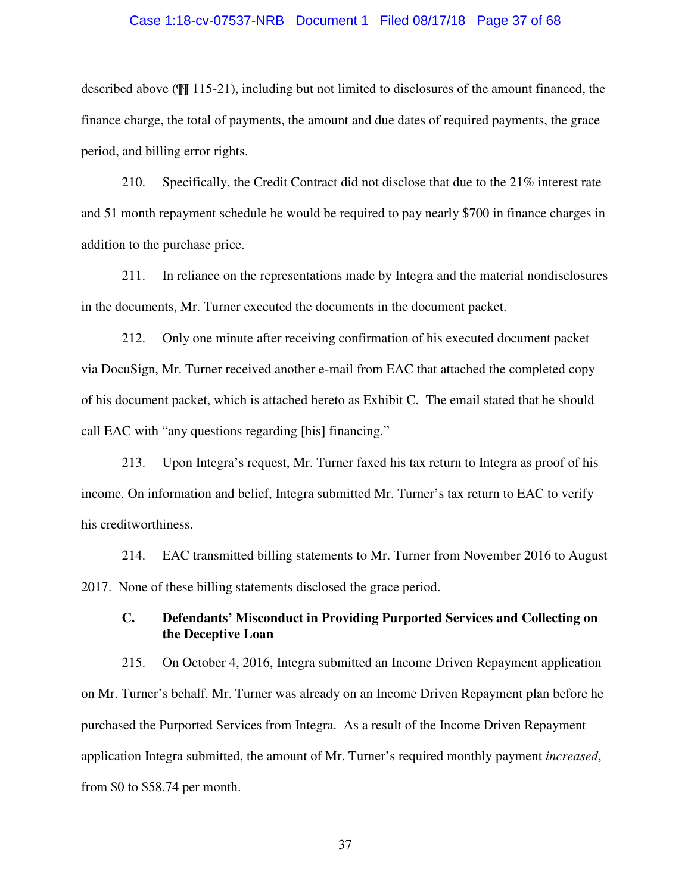#### Case 1:18-cv-07537-NRB Document 1 Filed 08/17/18 Page 37 of 68

described above (¶¶ 115-21), including but not limited to disclosures of the amount financed, the finance charge, the total of payments, the amount and due dates of required payments, the grace period, and billing error rights.

210. Specifically, the Credit Contract did not disclose that due to the 21% interest rate and 51 month repayment schedule he would be required to pay nearly \$700 in finance charges in addition to the purchase price.

211. In reliance on the representations made by Integra and the material nondisclosures in the documents, Mr. Turner executed the documents in the document packet.

212. Only one minute after receiving confirmation of his executed document packet via DocuSign, Mr. Turner received another e-mail from EAC that attached the completed copy of his document packet, which is attached hereto as Exhibit C. The email stated that he should call EAC with "any questions regarding [his] financing."

213. Upon Integra's request, Mr. Turner faxed his tax return to Integra as proof of his income. On information and belief, Integra submitted Mr. Turner's tax return to EAC to verify his creditworthiness.

214. EAC transmitted billing statements to Mr. Turner from November 2016 to August 2017. None of these billing statements disclosed the grace period.

# **C. Defendants' Misconduct in Providing Purported Services and Collecting on the Deceptive Loan**

215. On October 4, 2016, Integra submitted an Income Driven Repayment application on Mr. Turner's behalf. Mr. Turner was already on an Income Driven Repayment plan before he purchased the Purported Services from Integra. As a result of the Income Driven Repayment application Integra submitted, the amount of Mr. Turner's required monthly payment *increased*, from \$0 to \$58.74 per month.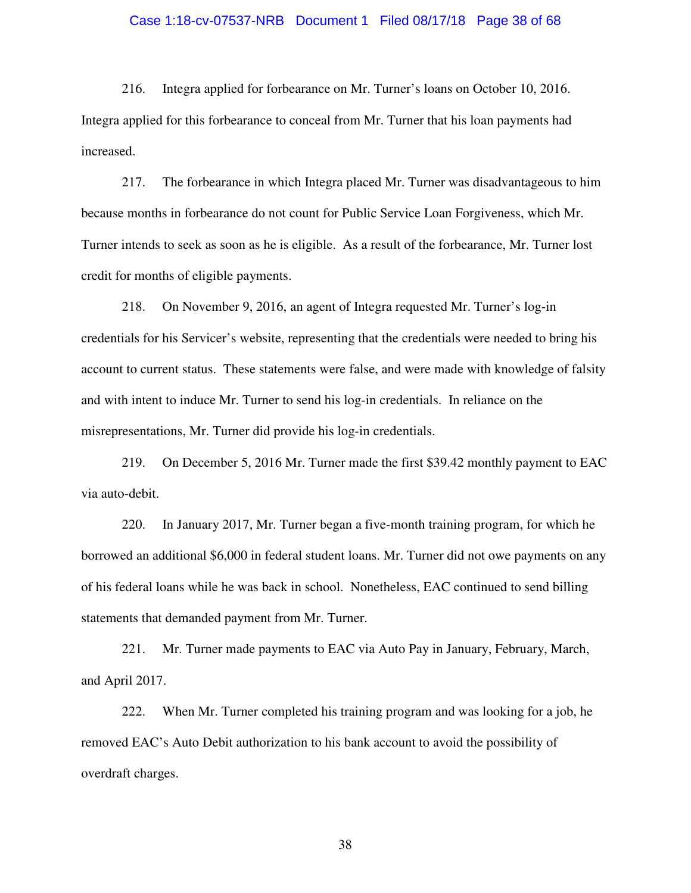#### Case 1:18-cv-07537-NRB Document 1 Filed 08/17/18 Page 38 of 68

216. Integra applied for forbearance on Mr. Turner's loans on October 10, 2016. Integra applied for this forbearance to conceal from Mr. Turner that his loan payments had increased.

217. The forbearance in which Integra placed Mr. Turner was disadvantageous to him because months in forbearance do not count for Public Service Loan Forgiveness, which Mr. Turner intends to seek as soon as he is eligible. As a result of the forbearance, Mr. Turner lost credit for months of eligible payments.

218. On November 9, 2016, an agent of Integra requested Mr. Turner's log-in credentials for his Servicer's website, representing that the credentials were needed to bring his account to current status. These statements were false, and were made with knowledge of falsity and with intent to induce Mr. Turner to send his log-in credentials. In reliance on the misrepresentations, Mr. Turner did provide his log-in credentials.

219. On December 5, 2016 Mr. Turner made the first \$39.42 monthly payment to EAC via auto-debit.

220. In January 2017, Mr. Turner began a five-month training program, for which he borrowed an additional \$6,000 in federal student loans. Mr. Turner did not owe payments on any of his federal loans while he was back in school. Nonetheless, EAC continued to send billing statements that demanded payment from Mr. Turner.

221. Mr. Turner made payments to EAC via Auto Pay in January, February, March, and April 2017.

222. When Mr. Turner completed his training program and was looking for a job, he removed EAC's Auto Debit authorization to his bank account to avoid the possibility of overdraft charges.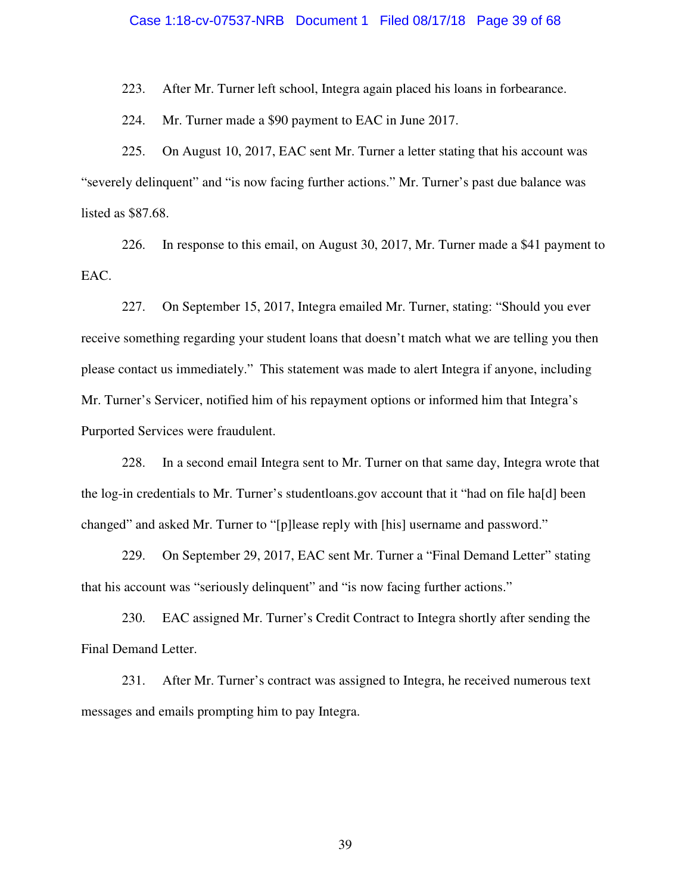#### Case 1:18-cv-07537-NRB Document 1 Filed 08/17/18 Page 39 of 68

223. After Mr. Turner left school, Integra again placed his loans in forbearance.

224. Mr. Turner made a \$90 payment to EAC in June 2017.

225. On August 10, 2017, EAC sent Mr. Turner a letter stating that his account was "severely delinquent" and "is now facing further actions." Mr. Turner's past due balance was listed as \$87.68.

226. In response to this email, on August 30, 2017, Mr. Turner made a \$41 payment to EAC.

227. On September 15, 2017, Integra emailed Mr. Turner, stating: "Should you ever receive something regarding your student loans that doesn't match what we are telling you then please contact us immediately." This statement was made to alert Integra if anyone, including Mr. Turner's Servicer, notified him of his repayment options or informed him that Integra's Purported Services were fraudulent.

228. In a second email Integra sent to Mr. Turner on that same day, Integra wrote that the log-in credentials to Mr. Turner's studentloans.gov account that it "had on file ha[d] been changed" and asked Mr. Turner to "[p]lease reply with [his] username and password."

229. On September 29, 2017, EAC sent Mr. Turner a "Final Demand Letter" stating that his account was "seriously delinquent" and "is now facing further actions."

230. EAC assigned Mr. Turner's Credit Contract to Integra shortly after sending the Final Demand Letter.

231. After Mr. Turner's contract was assigned to Integra, he received numerous text messages and emails prompting him to pay Integra.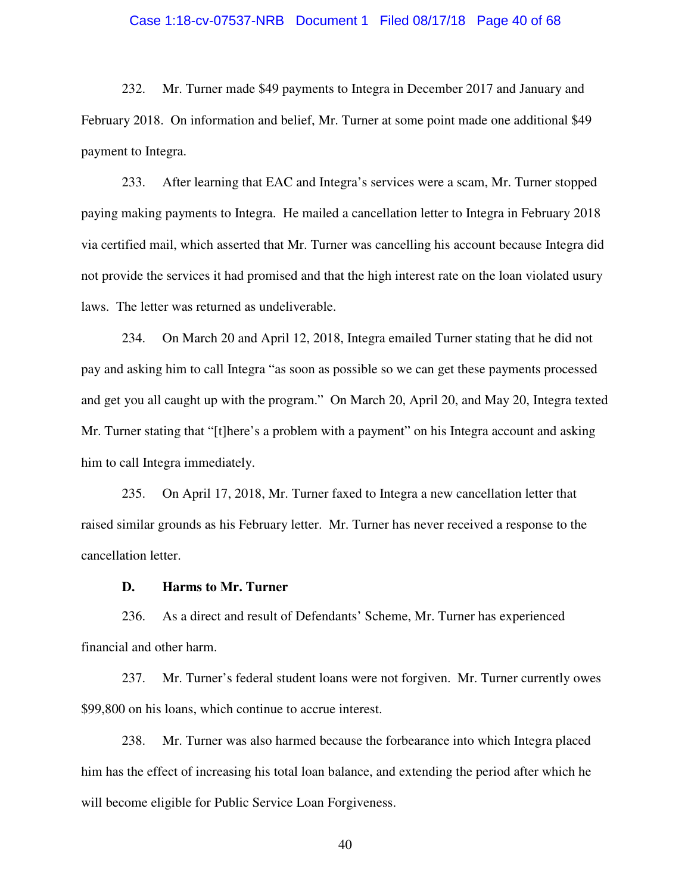#### Case 1:18-cv-07537-NRB Document 1 Filed 08/17/18 Page 40 of 68

232. Mr. Turner made \$49 payments to Integra in December 2017 and January and February 2018. On information and belief, Mr. Turner at some point made one additional \$49 payment to Integra.

233. After learning that EAC and Integra's services were a scam, Mr. Turner stopped paying making payments to Integra. He mailed a cancellation letter to Integra in February 2018 via certified mail, which asserted that Mr. Turner was cancelling his account because Integra did not provide the services it had promised and that the high interest rate on the loan violated usury laws. The letter was returned as undeliverable.

234. On March 20 and April 12, 2018, Integra emailed Turner stating that he did not pay and asking him to call Integra "as soon as possible so we can get these payments processed and get you all caught up with the program." On March 20, April 20, and May 20, Integra texted Mr. Turner stating that "[t]here's a problem with a payment" on his Integra account and asking him to call Integra immediately.

235. On April 17, 2018, Mr. Turner faxed to Integra a new cancellation letter that raised similar grounds as his February letter. Mr. Turner has never received a response to the cancellation letter.

#### **D. Harms to Mr. Turner**

236. As a direct and result of Defendants' Scheme, Mr. Turner has experienced financial and other harm.

237. Mr. Turner's federal student loans were not forgiven. Mr. Turner currently owes \$99,800 on his loans, which continue to accrue interest.

238. Mr. Turner was also harmed because the forbearance into which Integra placed him has the effect of increasing his total loan balance, and extending the period after which he will become eligible for Public Service Loan Forgiveness.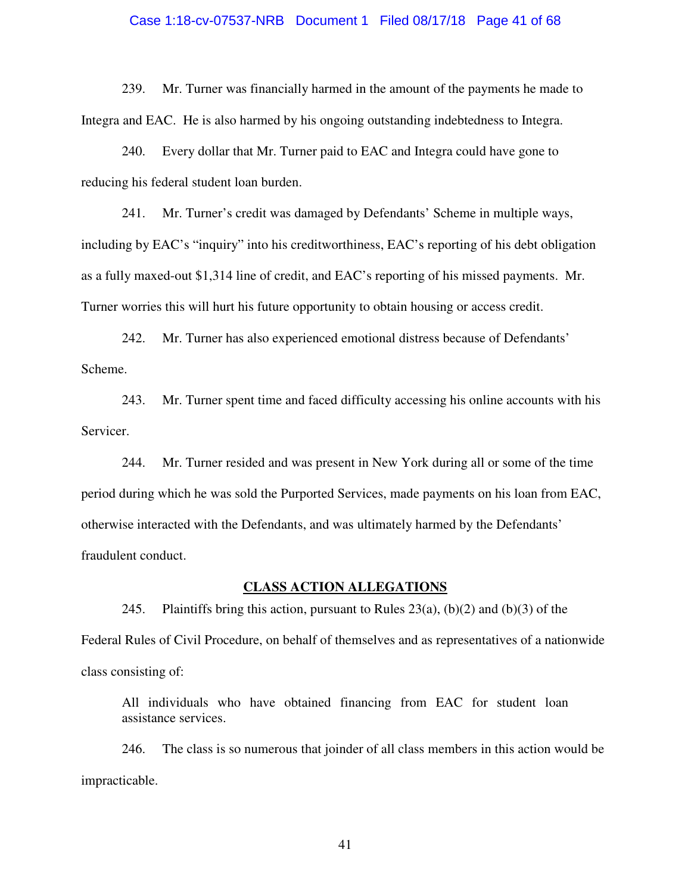#### Case 1:18-cv-07537-NRB Document 1 Filed 08/17/18 Page 41 of 68

239. Mr. Turner was financially harmed in the amount of the payments he made to Integra and EAC. He is also harmed by his ongoing outstanding indebtedness to Integra.

240. Every dollar that Mr. Turner paid to EAC and Integra could have gone to reducing his federal student loan burden.

241. Mr. Turner's credit was damaged by Defendants' Scheme in multiple ways, including by EAC's "inquiry" into his creditworthiness, EAC's reporting of his debt obligation as a fully maxed-out \$1,314 line of credit, and EAC's reporting of his missed payments. Mr. Turner worries this will hurt his future opportunity to obtain housing or access credit.

242. Mr. Turner has also experienced emotional distress because of Defendants' Scheme.

243. Mr. Turner spent time and faced difficulty accessing his online accounts with his Servicer.

244. Mr. Turner resided and was present in New York during all or some of the time period during which he was sold the Purported Services, made payments on his loan from EAC, otherwise interacted with the Defendants, and was ultimately harmed by the Defendants' fraudulent conduct.

#### **CLASS ACTION ALLEGATIONS**

245. Plaintiffs bring this action, pursuant to Rules  $23(a)$ , (b)(2) and (b)(3) of the Federal Rules of Civil Procedure, on behalf of themselves and as representatives of a nationwide class consisting of:

All individuals who have obtained financing from EAC for student loan assistance services.

246. The class is so numerous that joinder of all class members in this action would be impracticable.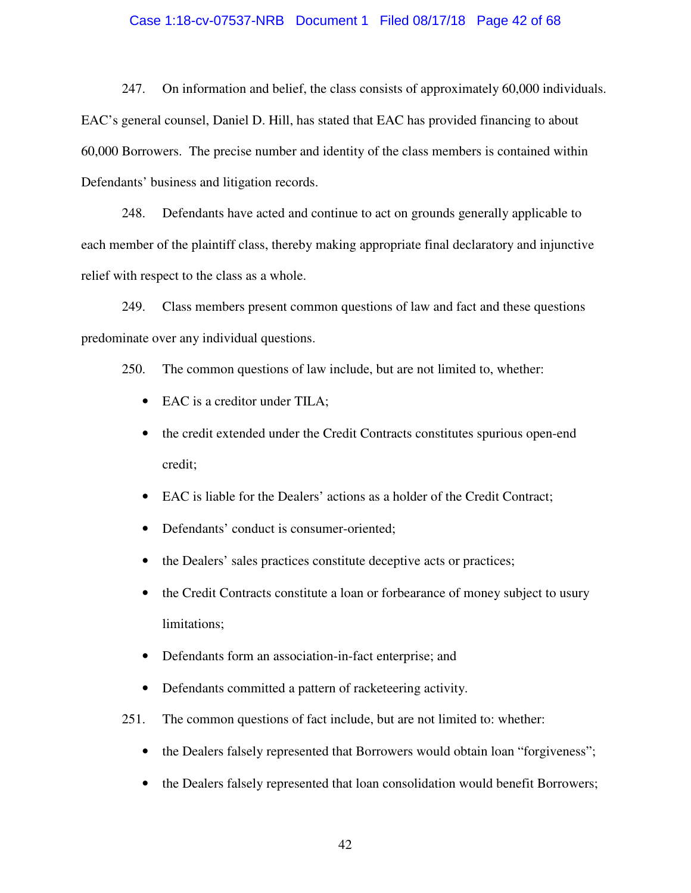#### Case 1:18-cv-07537-NRB Document 1 Filed 08/17/18 Page 42 of 68

247. On information and belief, the class consists of approximately 60,000 individuals. EAC's general counsel, Daniel D. Hill, has stated that EAC has provided financing to about 60,000 Borrowers. The precise number and identity of the class members is contained within Defendants' business and litigation records.

248. Defendants have acted and continue to act on grounds generally applicable to each member of the plaintiff class, thereby making appropriate final declaratory and injunctive relief with respect to the class as a whole.

249. Class members present common questions of law and fact and these questions predominate over any individual questions.

250. The common questions of law include, but are not limited to, whether:

- EAC is a creditor under TILA;
- the credit extended under the Credit Contracts constitutes spurious open-end credit;
- EAC is liable for the Dealers' actions as a holder of the Credit Contract;
- Defendants' conduct is consumer-oriented;
- the Dealers' sales practices constitute deceptive acts or practices;
- the Credit Contracts constitute a loan or forbearance of money subject to usury limitations;
- Defendants form an association-in-fact enterprise; and
- Defendants committed a pattern of racketeering activity.
- 251. The common questions of fact include, but are not limited to: whether:
	- the Dealers falsely represented that Borrowers would obtain loan "forgiveness";
	- the Dealers falsely represented that loan consolidation would benefit Borrowers;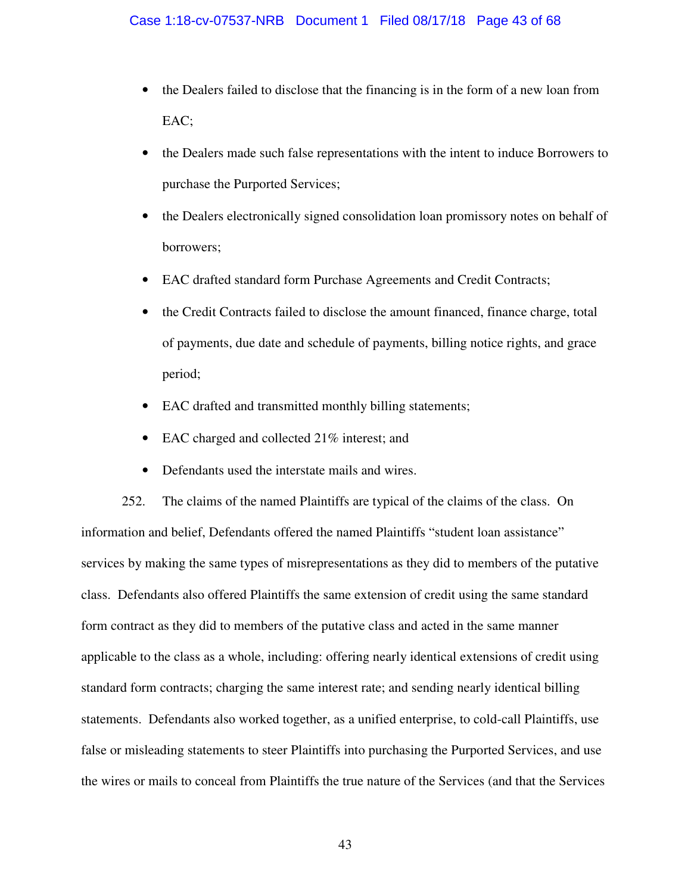- the Dealers failed to disclose that the financing is in the form of a new loan from EAC;
- the Dealers made such false representations with the intent to induce Borrowers to purchase the Purported Services;
- the Dealers electronically signed consolidation loan promissory notes on behalf of borrowers;
- EAC drafted standard form Purchase Agreements and Credit Contracts;
- the Credit Contracts failed to disclose the amount financed, finance charge, total of payments, due date and schedule of payments, billing notice rights, and grace period;
- EAC drafted and transmitted monthly billing statements;
- EAC charged and collected 21% interest; and
- Defendants used the interstate mails and wires.

252. The claims of the named Plaintiffs are typical of the claims of the class. On information and belief, Defendants offered the named Plaintiffs "student loan assistance" services by making the same types of misrepresentations as they did to members of the putative class. Defendants also offered Plaintiffs the same extension of credit using the same standard form contract as they did to members of the putative class and acted in the same manner applicable to the class as a whole, including: offering nearly identical extensions of credit using standard form contracts; charging the same interest rate; and sending nearly identical billing statements. Defendants also worked together, as a unified enterprise, to cold-call Plaintiffs, use false or misleading statements to steer Plaintiffs into purchasing the Purported Services, and use the wires or mails to conceal from Plaintiffs the true nature of the Services (and that the Services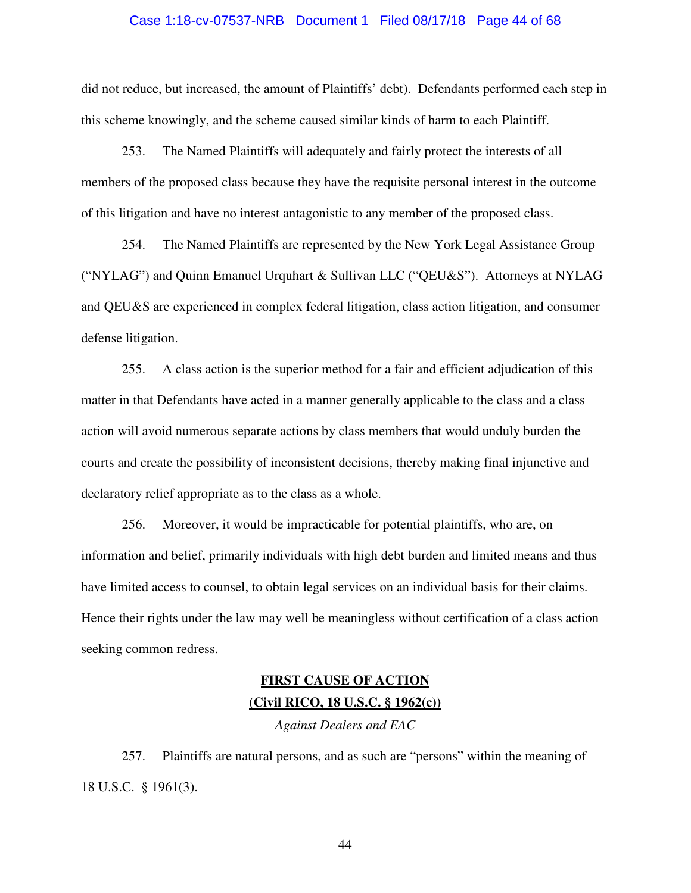#### Case 1:18-cv-07537-NRB Document 1 Filed 08/17/18 Page 44 of 68

did not reduce, but increased, the amount of Plaintiffs' debt). Defendants performed each step in this scheme knowingly, and the scheme caused similar kinds of harm to each Plaintiff.

253. The Named Plaintiffs will adequately and fairly protect the interests of all members of the proposed class because they have the requisite personal interest in the outcome of this litigation and have no interest antagonistic to any member of the proposed class.

254. The Named Plaintiffs are represented by the New York Legal Assistance Group ("NYLAG") and Quinn Emanuel Urquhart & Sullivan LLC ("QEU&S"). Attorneys at NYLAG and QEU&S are experienced in complex federal litigation, class action litigation, and consumer defense litigation.

255. A class action is the superior method for a fair and efficient adjudication of this matter in that Defendants have acted in a manner generally applicable to the class and a class action will avoid numerous separate actions by class members that would unduly burden the courts and create the possibility of inconsistent decisions, thereby making final injunctive and declaratory relief appropriate as to the class as a whole.

256. Moreover, it would be impracticable for potential plaintiffs, who are, on information and belief, primarily individuals with high debt burden and limited means and thus have limited access to counsel, to obtain legal services on an individual basis for their claims. Hence their rights under the law may well be meaningless without certification of a class action seeking common redress.

# **FIRST CAUSE OF ACTION (Civil RICO, 18 U.S.C. § 1962(c))**

*Against Dealers and EAC* 

257. Plaintiffs are natural persons, and as such are "persons" within the meaning of 18 U.S.C. § 1961(3).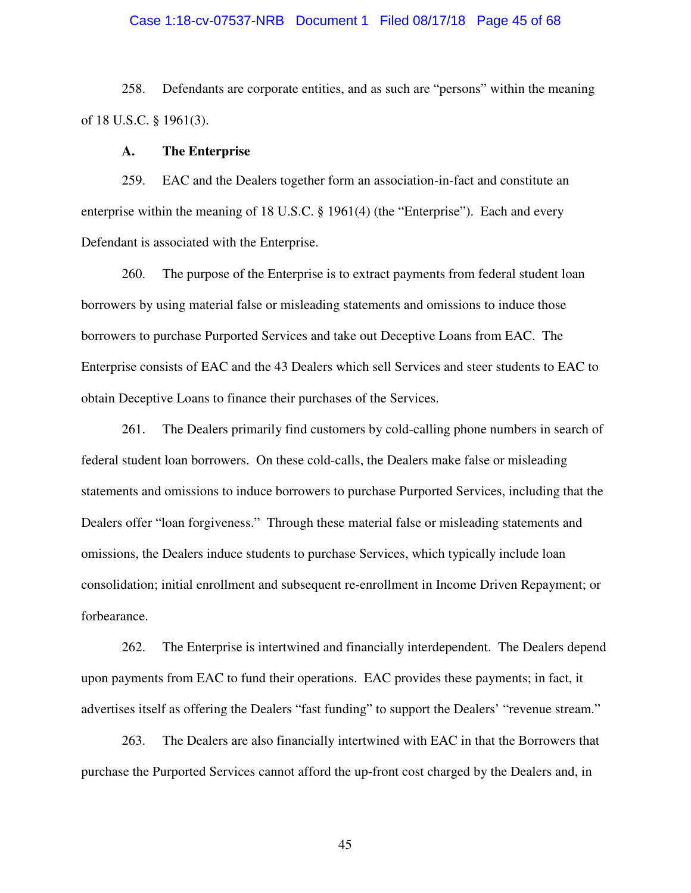#### Case 1:18-cv-07537-NRB Document 1 Filed 08/17/18 Page 45 of 68

258. Defendants are corporate entities, and as such are "persons" within the meaning of 18 U.S.C. § 1961(3).

#### **A. The Enterprise**

259. EAC and the Dealers together form an association-in-fact and constitute an enterprise within the meaning of 18 U.S.C. § 1961(4) (the "Enterprise"). Each and every Defendant is associated with the Enterprise.

260. The purpose of the Enterprise is to extract payments from federal student loan borrowers by using material false or misleading statements and omissions to induce those borrowers to purchase Purported Services and take out Deceptive Loans from EAC. The Enterprise consists of EAC and the 43 Dealers which sell Services and steer students to EAC to obtain Deceptive Loans to finance their purchases of the Services.

261. The Dealers primarily find customers by cold-calling phone numbers in search of federal student loan borrowers. On these cold-calls, the Dealers make false or misleading statements and omissions to induce borrowers to purchase Purported Services, including that the Dealers offer "loan forgiveness." Through these material false or misleading statements and omissions, the Dealers induce students to purchase Services, which typically include loan consolidation; initial enrollment and subsequent re-enrollment in Income Driven Repayment; or forbearance.

262. The Enterprise is intertwined and financially interdependent. The Dealers depend upon payments from EAC to fund their operations. EAC provides these payments; in fact, it advertises itself as offering the Dealers "fast funding" to support the Dealers' "revenue stream."

263. The Dealers are also financially intertwined with EAC in that the Borrowers that purchase the Purported Services cannot afford the up-front cost charged by the Dealers and, in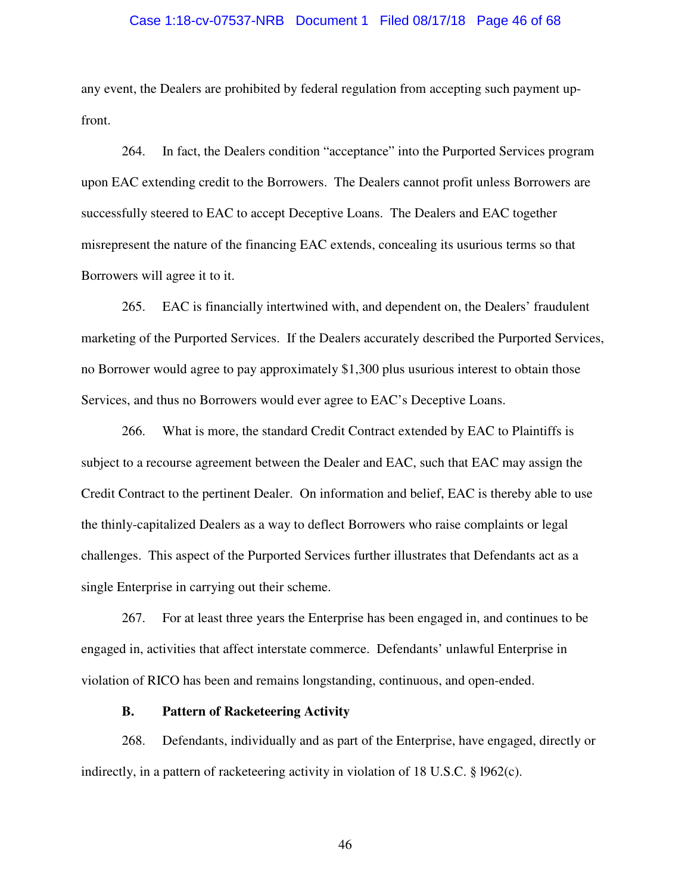#### Case 1:18-cv-07537-NRB Document 1 Filed 08/17/18 Page 46 of 68

any event, the Dealers are prohibited by federal regulation from accepting such payment upfront.

264. In fact, the Dealers condition "acceptance" into the Purported Services program upon EAC extending credit to the Borrowers. The Dealers cannot profit unless Borrowers are successfully steered to EAC to accept Deceptive Loans. The Dealers and EAC together misrepresent the nature of the financing EAC extends, concealing its usurious terms so that Borrowers will agree it to it.

265. EAC is financially intertwined with, and dependent on, the Dealers' fraudulent marketing of the Purported Services. If the Dealers accurately described the Purported Services, no Borrower would agree to pay approximately \$1,300 plus usurious interest to obtain those Services, and thus no Borrowers would ever agree to EAC's Deceptive Loans.

266. What is more, the standard Credit Contract extended by EAC to Plaintiffs is subject to a recourse agreement between the Dealer and EAC, such that EAC may assign the Credit Contract to the pertinent Dealer. On information and belief, EAC is thereby able to use the thinly-capitalized Dealers as a way to deflect Borrowers who raise complaints or legal challenges. This aspect of the Purported Services further illustrates that Defendants act as a single Enterprise in carrying out their scheme.

267. For at least three years the Enterprise has been engaged in, and continues to be engaged in, activities that affect interstate commerce. Defendants' unlawful Enterprise in violation of RICO has been and remains longstanding, continuous, and open-ended.

## **B. Pattern of Racketeering Activity**

268. Defendants, individually and as part of the Enterprise, have engaged, directly or indirectly, in a pattern of racketeering activity in violation of 18 U.S.C. § l962(c).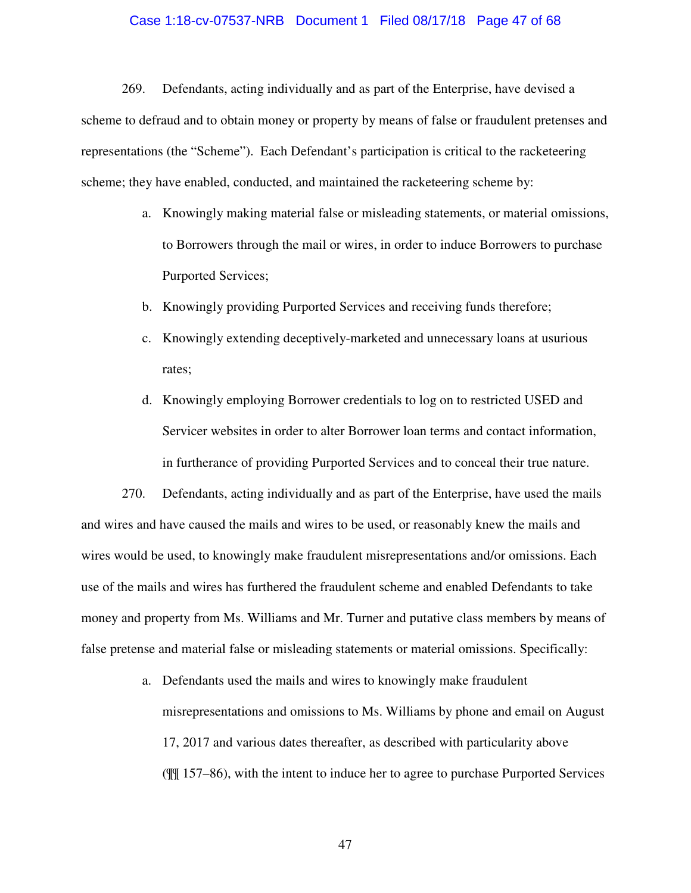#### Case 1:18-cv-07537-NRB Document 1 Filed 08/17/18 Page 47 of 68

269. Defendants, acting individually and as part of the Enterprise, have devised a scheme to defraud and to obtain money or property by means of false or fraudulent pretenses and representations (the "Scheme"). Each Defendant's participation is critical to the racketeering scheme; they have enabled, conducted, and maintained the racketeering scheme by:

- a. Knowingly making material false or misleading statements, or material omissions, to Borrowers through the mail or wires, in order to induce Borrowers to purchase Purported Services;
- b. Knowingly providing Purported Services and receiving funds therefore;
- c. Knowingly extending deceptively-marketed and unnecessary loans at usurious rates;
- d. Knowingly employing Borrower credentials to log on to restricted USED and Servicer websites in order to alter Borrower loan terms and contact information, in furtherance of providing Purported Services and to conceal their true nature.

270. Defendants, acting individually and as part of the Enterprise, have used the mails and wires and have caused the mails and wires to be used, or reasonably knew the mails and wires would be used, to knowingly make fraudulent misrepresentations and/or omissions. Each use of the mails and wires has furthered the fraudulent scheme and enabled Defendants to take money and property from Ms. Williams and Mr. Turner and putative class members by means of false pretense and material false or misleading statements or material omissions. Specifically:

> a. Defendants used the mails and wires to knowingly make fraudulent misrepresentations and omissions to Ms. Williams by phone and email on August 17, 2017 and various dates thereafter, as described with particularity above (¶¶ 157–86), with the intent to induce her to agree to purchase Purported Services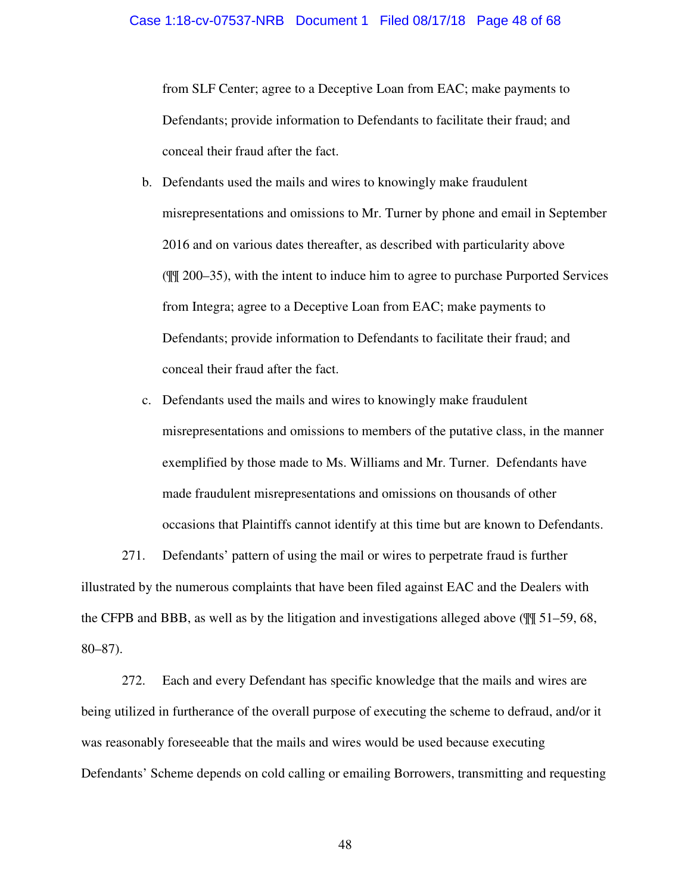from SLF Center; agree to a Deceptive Loan from EAC; make payments to Defendants; provide information to Defendants to facilitate their fraud; and conceal their fraud after the fact.

- b. Defendants used the mails and wires to knowingly make fraudulent misrepresentations and omissions to Mr. Turner by phone and email in September 2016 and on various dates thereafter, as described with particularity above (¶¶ 200–35), with the intent to induce him to agree to purchase Purported Services from Integra; agree to a Deceptive Loan from EAC; make payments to Defendants; provide information to Defendants to facilitate their fraud; and conceal their fraud after the fact.
- c. Defendants used the mails and wires to knowingly make fraudulent misrepresentations and omissions to members of the putative class, in the manner exemplified by those made to Ms. Williams and Mr. Turner. Defendants have made fraudulent misrepresentations and omissions on thousands of other occasions that Plaintiffs cannot identify at this time but are known to Defendants.

271. Defendants' pattern of using the mail or wires to perpetrate fraud is further illustrated by the numerous complaints that have been filed against EAC and the Dealers with the CFPB and BBB, as well as by the litigation and investigations alleged above (¶¶ 51–59, 68, 80–87).

272. Each and every Defendant has specific knowledge that the mails and wires are being utilized in furtherance of the overall purpose of executing the scheme to defraud, and/or it was reasonably foreseeable that the mails and wires would be used because executing Defendants' Scheme depends on cold calling or emailing Borrowers, transmitting and requesting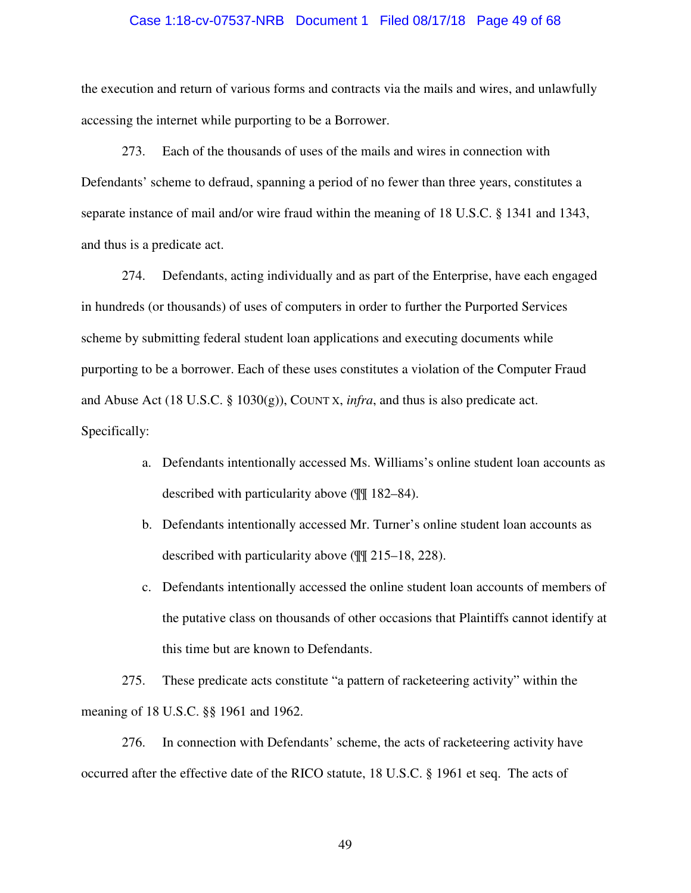#### Case 1:18-cv-07537-NRB Document 1 Filed 08/17/18 Page 49 of 68

the execution and return of various forms and contracts via the mails and wires, and unlawfully accessing the internet while purporting to be a Borrower.

273. Each of the thousands of uses of the mails and wires in connection with Defendants' scheme to defraud, spanning a period of no fewer than three years, constitutes a separate instance of mail and/or wire fraud within the meaning of 18 U.S.C. § 1341 and 1343, and thus is a predicate act.

274. Defendants, acting individually and as part of the Enterprise, have each engaged in hundreds (or thousands) of uses of computers in order to further the Purported Services scheme by submitting federal student loan applications and executing documents while purporting to be a borrower. Each of these uses constitutes a violation of the Computer Fraud and Abuse Act (18 U.S.C. § 1030(g)), COUNT X, *infra*, and thus is also predicate act. Specifically:

- a. Defendants intentionally accessed Ms. Williams's online student loan accounts as described with particularity above (¶¶ 182–84).
- b. Defendants intentionally accessed Mr. Turner's online student loan accounts as described with particularity above (¶¶ 215–18, 228).
- c. Defendants intentionally accessed the online student loan accounts of members of the putative class on thousands of other occasions that Plaintiffs cannot identify at this time but are known to Defendants.

275. These predicate acts constitute "a pattern of racketeering activity" within the meaning of 18 U.S.C. §§ 1961 and 1962.

276. In connection with Defendants' scheme, the acts of racketeering activity have occurred after the effective date of the RICO statute, 18 U.S.C. § 1961 et seq. The acts of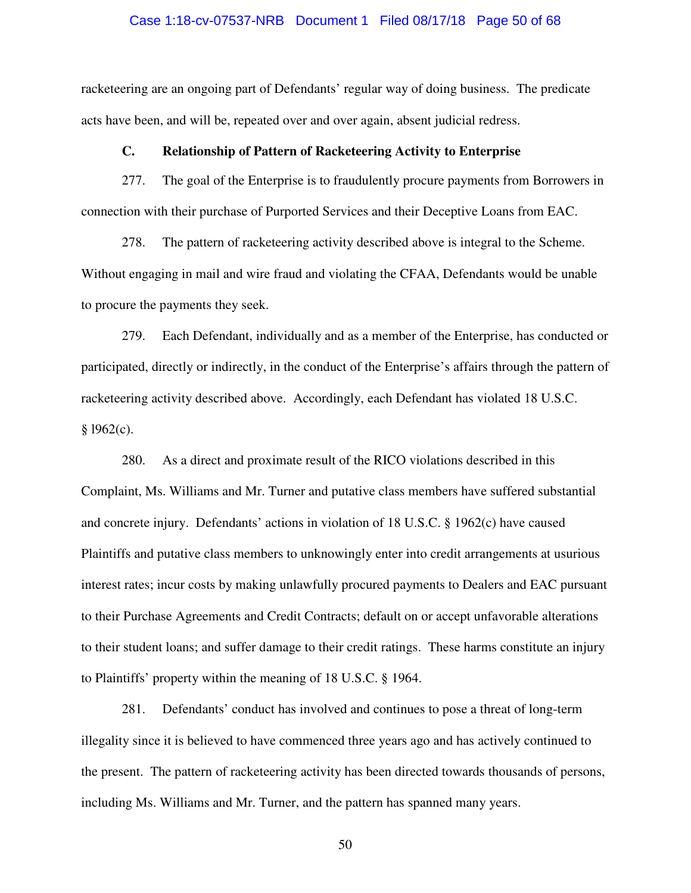#### Case 1:18-cv-07537-NRB Document 1 Filed 08/17/18 Page 50 of 68

racketeering are an ongoing part of Defendants' regular way of doing business. The predicate acts have been, and will be, repeated over and over again, absent judicial redress.

#### **C. Relationship of Pattern of Racketeering Activity to Enterprise**

277. The goal of the Enterprise is to fraudulently procure payments from Borrowers in connection with their purchase of Purported Services and their Deceptive Loans from EAC.

278. The pattern of racketeering activity described above is integral to the Scheme. Without engaging in mail and wire fraud and violating the CFAA, Defendants would be unable to procure the payments they seek.

279. Each Defendant, individually and as a member of the Enterprise, has conducted or participated, directly or indirectly, in the conduct of the Enterprise's affairs through the pattern of racketeering activity described above. Accordingly, each Defendant has violated 18 U.S.C.  $§$  1962(c).

280. As a direct and proximate result of the RICO violations described in this Complaint, Ms. Williams and Mr. Turner and putative class members have suffered substantial and concrete injury. Defendants' actions in violation of 18 U.S.C. § 1962(c) have caused Plaintiffs and putative class members to unknowingly enter into credit arrangements at usurious interest rates; incur costs by making unlawfully procured payments to Dealers and EAC pursuant to their Purchase Agreements and Credit Contracts; default on or accept unfavorable alterations to their student loans; and suffer damage to their credit ratings. These harms constitute an injury to Plaintiffs' property within the meaning of 18 U.S.C. § 1964.

281. Defendants' conduct has involved and continues to pose a threat of long-term illegality since it is believed to have commenced three years ago and has actively continued to the present. The pattern of racketeering activity has been directed towards thousands of persons, including Ms. Williams and Mr. Turner, and the pattern has spanned many years.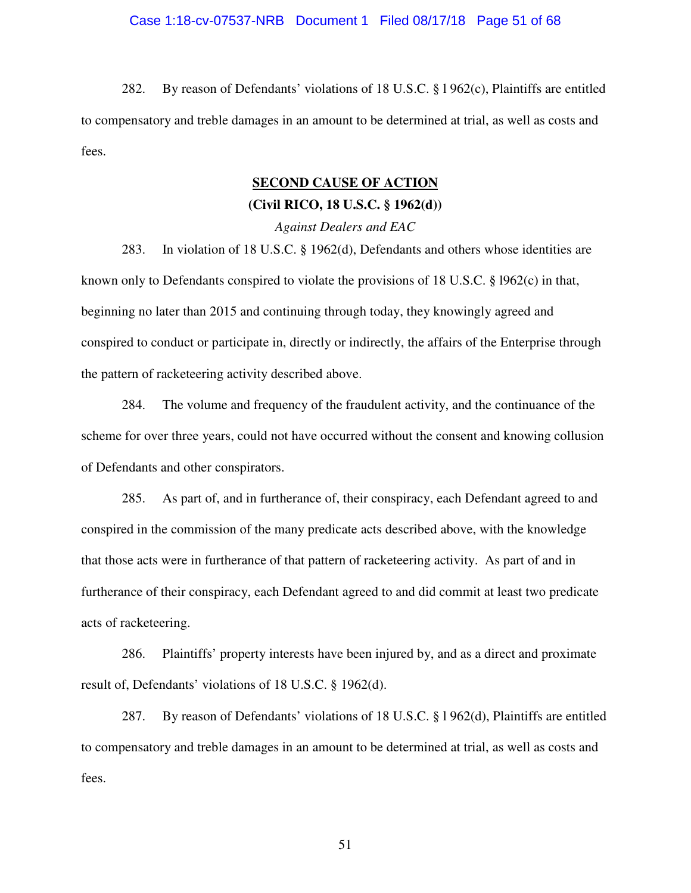#### Case 1:18-cv-07537-NRB Document 1 Filed 08/17/18 Page 51 of 68

282. By reason of Defendants' violations of 18 U.S.C. § l 962(c), Plaintiffs are entitled to compensatory and treble damages in an amount to be determined at trial, as well as costs and fees.

#### **SECOND CAUSE OF ACTION**

## **(Civil RICO, 18 U.S.C. § 1962(d))**

*Against Dealers and EAC* 

283. In violation of 18 U.S.C. § 1962(d), Defendants and others whose identities are known only to Defendants conspired to violate the provisions of 18 U.S.C. § l962(c) in that, beginning no later than 2015 and continuing through today, they knowingly agreed and conspired to conduct or participate in, directly or indirectly, the affairs of the Enterprise through the pattern of racketeering activity described above.

284. The volume and frequency of the fraudulent activity, and the continuance of the scheme for over three years, could not have occurred without the consent and knowing collusion of Defendants and other conspirators.

285. As part of, and in furtherance of, their conspiracy, each Defendant agreed to and conspired in the commission of the many predicate acts described above, with the knowledge that those acts were in furtherance of that pattern of racketeering activity. As part of and in furtherance of their conspiracy, each Defendant agreed to and did commit at least two predicate acts of racketeering.

286. Plaintiffs' property interests have been injured by, and as a direct and proximate result of, Defendants' violations of 18 U.S.C. § 1962(d).

287. By reason of Defendants' violations of 18 U.S.C. § l 962(d), Plaintiffs are entitled to compensatory and treble damages in an amount to be determined at trial, as well as costs and fees.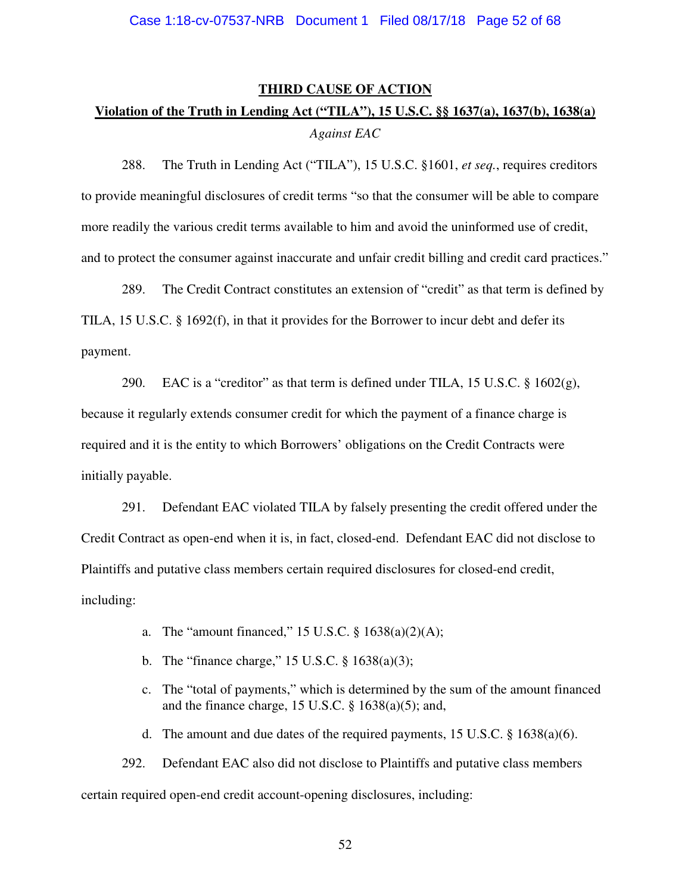#### **THIRD CAUSE OF ACTION**

# **Violation of the Truth in Lending Act ("TILA"), 15 U.S.C. §§ 1637(a), 1637(b), 1638(a)** *Against EAC*

288. The Truth in Lending Act ("TILA"), 15 U.S.C. §1601, *et seq.*, requires creditors to provide meaningful disclosures of credit terms "so that the consumer will be able to compare more readily the various credit terms available to him and avoid the uninformed use of credit, and to protect the consumer against inaccurate and unfair credit billing and credit card practices."

289. The Credit Contract constitutes an extension of "credit" as that term is defined by TILA, 15 U.S.C. § 1692(f), in that it provides for the Borrower to incur debt and defer its payment.

290. EAC is a "creditor" as that term is defined under TILA, 15 U.S.C.  $\S$  1602(g), because it regularly extends consumer credit for which the payment of a finance charge is required and it is the entity to which Borrowers' obligations on the Credit Contracts were initially payable.

291. Defendant EAC violated TILA by falsely presenting the credit offered under the Credit Contract as open-end when it is, in fact, closed-end. Defendant EAC did not disclose to Plaintiffs and putative class members certain required disclosures for closed-end credit, including:

- a. The "amount financed," 15 U.S.C. § 1638(a)(2)(A);
- b. The "finance charge," 15 U.S.C. § 1638(a)(3);
- c. The "total of payments," which is determined by the sum of the amount financed and the finance charge, 15 U.S.C. § 1638(a)(5); and,
- d. The amount and due dates of the required payments, 15 U.S.C.  $\S$  1638(a)(6).

292. Defendant EAC also did not disclose to Plaintiffs and putative class members certain required open-end credit account-opening disclosures, including: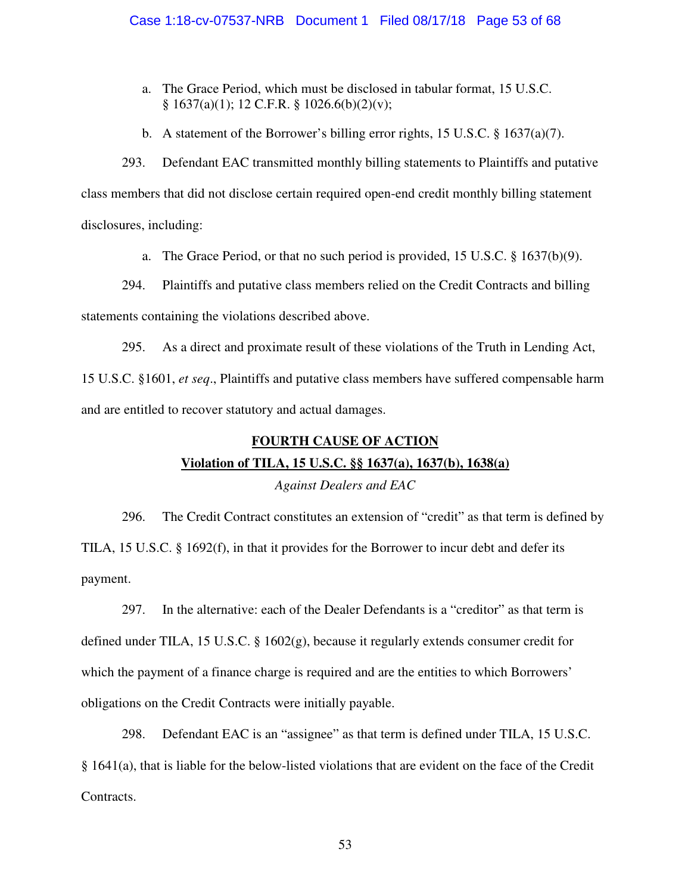- a. The Grace Period, which must be disclosed in tabular format, 15 U.S.C. § 1637(a)(1); 12 C.F.R. § 1026.6(b)(2)(v);
- b. A statement of the Borrower's billing error rights, 15 U.S.C. § 1637(a)(7).

293. Defendant EAC transmitted monthly billing statements to Plaintiffs and putative class members that did not disclose certain required open-end credit monthly billing statement disclosures, including:

a. The Grace Period, or that no such period is provided, 15 U.S.C. § 1637(b)(9).

294. Plaintiffs and putative class members relied on the Credit Contracts and billing statements containing the violations described above.

295. As a direct and proximate result of these violations of the Truth in Lending Act, 15 U.S.C. §1601, *et seq*., Plaintiffs and putative class members have suffered compensable harm and are entitled to recover statutory and actual damages.

# **FOURTH CAUSE OF ACTION**

# **Violation of TILA, 15 U.S.C. §§ 1637(a), 1637(b), 1638(a)**

# *Against Dealers and EAC*

296. The Credit Contract constitutes an extension of "credit" as that term is defined by TILA, 15 U.S.C. § 1692(f), in that it provides for the Borrower to incur debt and defer its payment.

297. In the alternative: each of the Dealer Defendants is a "creditor" as that term is defined under TILA, 15 U.S.C. § 1602(g), because it regularly extends consumer credit for which the payment of a finance charge is required and are the entities to which Borrowers' obligations on the Credit Contracts were initially payable.

298. Defendant EAC is an "assignee" as that term is defined under TILA, 15 U.S.C. § 1641(a), that is liable for the below-listed violations that are evident on the face of the Credit Contracts.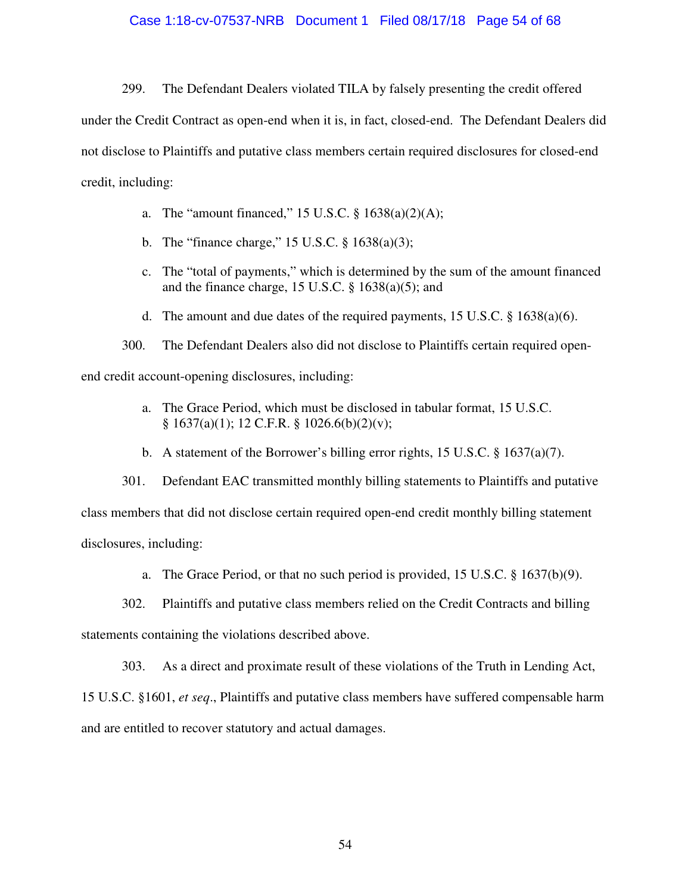#### Case 1:18-cv-07537-NRB Document 1 Filed 08/17/18 Page 54 of 68

299. The Defendant Dealers violated TILA by falsely presenting the credit offered under the Credit Contract as open-end when it is, in fact, closed-end. The Defendant Dealers did not disclose to Plaintiffs and putative class members certain required disclosures for closed-end credit, including:

- a. The "amount financed,"  $15$  U.S.C.  $\S$   $1638(a)(2)(A);$
- b. The "finance charge," 15 U.S.C. § 1638(a)(3);
- c. The "total of payments," which is determined by the sum of the amount financed and the finance charge, 15 U.S.C. § 1638(a)(5); and
- d. The amount and due dates of the required payments, 15 U.S.C. § 1638(a)(6).

300. The Defendant Dealers also did not disclose to Plaintiffs certain required openend credit account-opening disclosures, including:

- a. The Grace Period, which must be disclosed in tabular format, 15 U.S.C. § 1637(a)(1); 12 C.F.R. § 1026.6(b)(2)(v);
- b. A statement of the Borrower's billing error rights, 15 U.S.C. § 1637(a)(7).

301. Defendant EAC transmitted monthly billing statements to Plaintiffs and putative class members that did not disclose certain required open-end credit monthly billing statement disclosures, including:

a. The Grace Period, or that no such period is provided,  $15 \text{ U.S.C.}$  §  $1637(b)(9)$ .

302. Plaintiffs and putative class members relied on the Credit Contracts and billing

statements containing the violations described above.

303. As a direct and proximate result of these violations of the Truth in Lending Act,

15 U.S.C. §1601, *et seq*., Plaintiffs and putative class members have suffered compensable harm and are entitled to recover statutory and actual damages.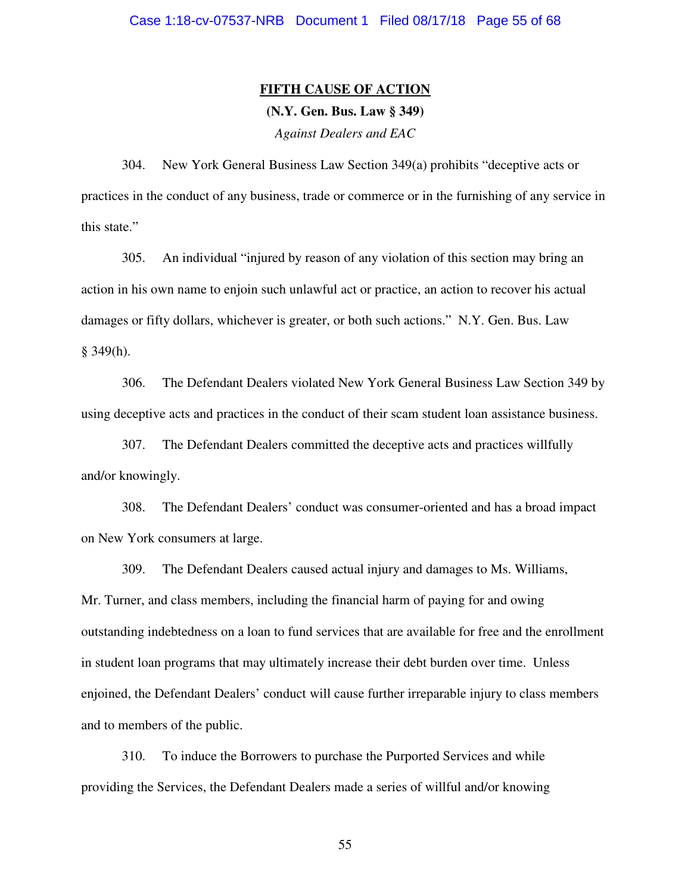# **FIFTH CAUSE OF ACTION**

# **(N.Y. Gen. Bus. Law § 349)**

*Against Dealers and EAC* 

304. New York General Business Law Section 349(a) prohibits "deceptive acts or practices in the conduct of any business, trade or commerce or in the furnishing of any service in this state."

305. An individual "injured by reason of any violation of this section may bring an action in his own name to enjoin such unlawful act or practice, an action to recover his actual damages or fifty dollars, whichever is greater, or both such actions." N.Y. Gen. Bus. Law  $§$  349(h).

306. The Defendant Dealers violated New York General Business Law Section 349 by using deceptive acts and practices in the conduct of their scam student loan assistance business.

307. The Defendant Dealers committed the deceptive acts and practices willfully and/or knowingly.

308. The Defendant Dealers' conduct was consumer-oriented and has a broad impact on New York consumers at large.

309. The Defendant Dealers caused actual injury and damages to Ms. Williams, Mr. Turner, and class members, including the financial harm of paying for and owing outstanding indebtedness on a loan to fund services that are available for free and the enrollment in student loan programs that may ultimately increase their debt burden over time. Unless enjoined, the Defendant Dealers' conduct will cause further irreparable injury to class members and to members of the public.

310. To induce the Borrowers to purchase the Purported Services and while providing the Services, the Defendant Dealers made a series of willful and/or knowing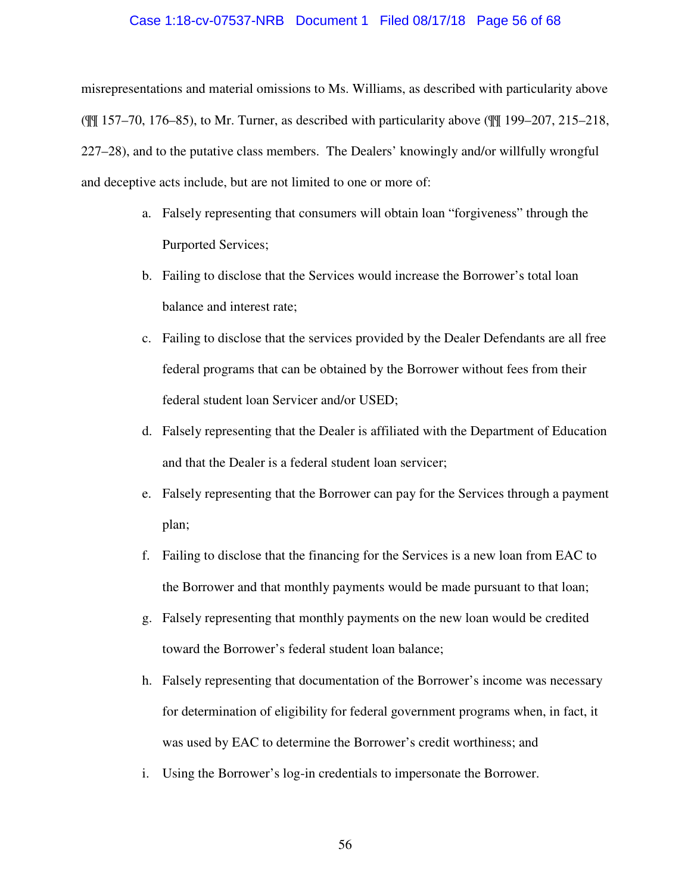#### Case 1:18-cv-07537-NRB Document 1 Filed 08/17/18 Page 56 of 68

misrepresentations and material omissions to Ms. Williams, as described with particularity above (¶¶ 157–70, 176–85), to Mr. Turner, as described with particularity above (¶¶ 199–207, 215–218, 227–28), and to the putative class members. The Dealers' knowingly and/or willfully wrongful and deceptive acts include, but are not limited to one or more of:

- a. Falsely representing that consumers will obtain loan "forgiveness" through the Purported Services;
- b. Failing to disclose that the Services would increase the Borrower's total loan balance and interest rate;
- c. Failing to disclose that the services provided by the Dealer Defendants are all free federal programs that can be obtained by the Borrower without fees from their federal student loan Servicer and/or USED;
- d. Falsely representing that the Dealer is affiliated with the Department of Education and that the Dealer is a federal student loan servicer;
- e. Falsely representing that the Borrower can pay for the Services through a payment plan;
- f. Failing to disclose that the financing for the Services is a new loan from EAC to the Borrower and that monthly payments would be made pursuant to that loan;
- g. Falsely representing that monthly payments on the new loan would be credited toward the Borrower's federal student loan balance;
- h. Falsely representing that documentation of the Borrower's income was necessary for determination of eligibility for federal government programs when, in fact, it was used by EAC to determine the Borrower's credit worthiness; and
- i. Using the Borrower's log-in credentials to impersonate the Borrower.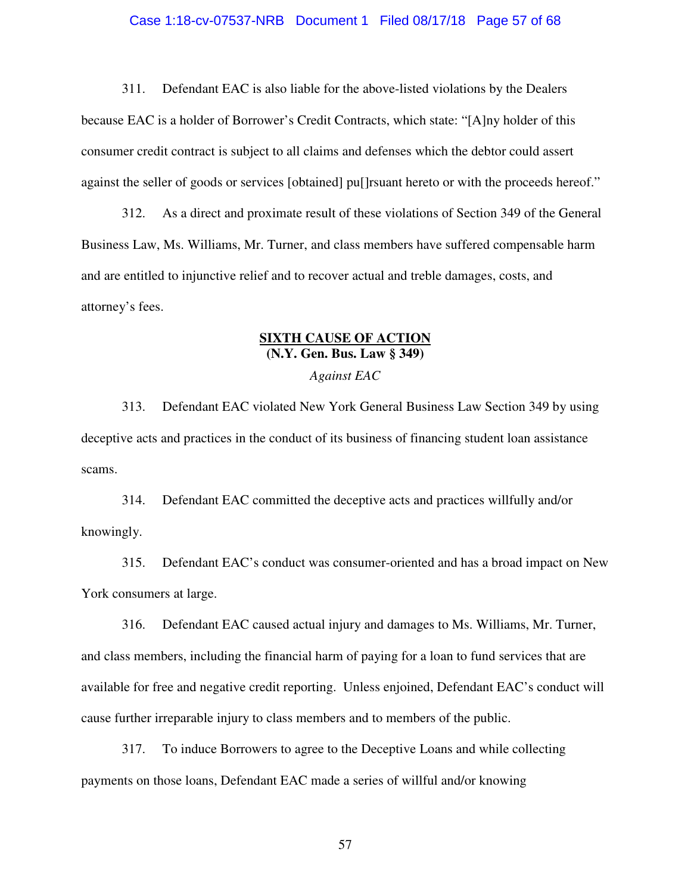#### Case 1:18-cv-07537-NRB Document 1 Filed 08/17/18 Page 57 of 68

311. Defendant EAC is also liable for the above-listed violations by the Dealers because EAC is a holder of Borrower's Credit Contracts, which state: "[A]ny holder of this consumer credit contract is subject to all claims and defenses which the debtor could assert against the seller of goods or services [obtained] pu[]rsuant hereto or with the proceeds hereof."

312. As a direct and proximate result of these violations of Section 349 of the General Business Law, Ms. Williams, Mr. Turner, and class members have suffered compensable harm and are entitled to injunctive relief and to recover actual and treble damages, costs, and attorney's fees.

# **SIXTH CAUSE OF ACTION (N.Y. Gen. Bus. Law § 349)**

#### *Against EAC*

313. Defendant EAC violated New York General Business Law Section 349 by using deceptive acts and practices in the conduct of its business of financing student loan assistance scams.

314. Defendant EAC committed the deceptive acts and practices willfully and/or knowingly.

315. Defendant EAC's conduct was consumer-oriented and has a broad impact on New York consumers at large.

316. Defendant EAC caused actual injury and damages to Ms. Williams, Mr. Turner, and class members, including the financial harm of paying for a loan to fund services that are available for free and negative credit reporting. Unless enjoined, Defendant EAC's conduct will cause further irreparable injury to class members and to members of the public.

317. To induce Borrowers to agree to the Deceptive Loans and while collecting payments on those loans, Defendant EAC made a series of willful and/or knowing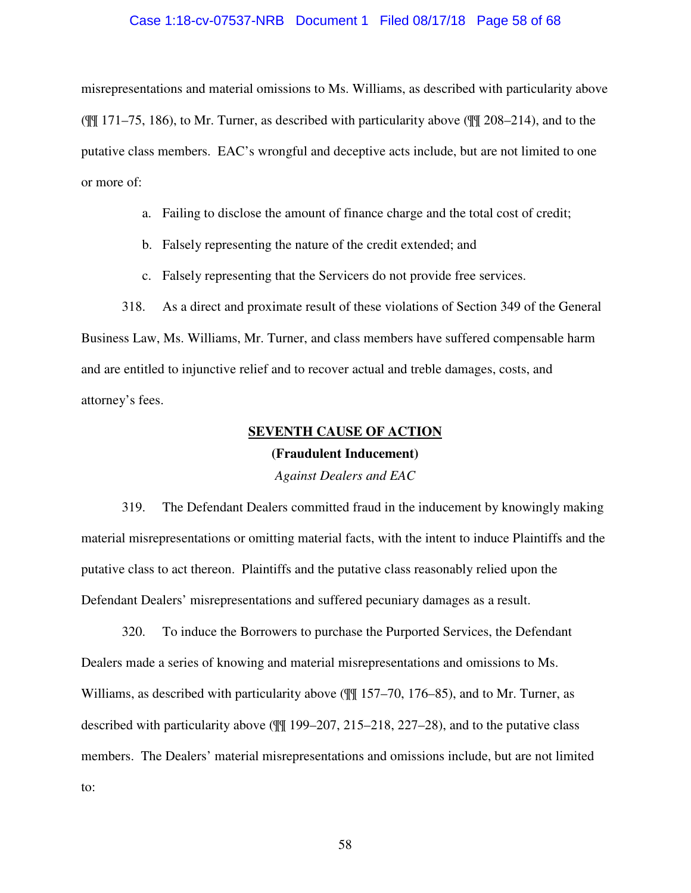#### Case 1:18-cv-07537-NRB Document 1 Filed 08/17/18 Page 58 of 68

misrepresentations and material omissions to Ms. Williams, as described with particularity above (¶¶ 171–75, 186), to Mr. Turner, as described with particularity above (¶¶ 208–214), and to the putative class members. EAC's wrongful and deceptive acts include, but are not limited to one or more of:

- a. Failing to disclose the amount of finance charge and the total cost of credit;
- b. Falsely representing the nature of the credit extended; and
- c. Falsely representing that the Servicers do not provide free services.

318. As a direct and proximate result of these violations of Section 349 of the General Business Law, Ms. Williams, Mr. Turner, and class members have suffered compensable harm and are entitled to injunctive relief and to recover actual and treble damages, costs, and attorney's fees.

# **SEVENTH CAUSE OF ACTION (Fraudulent Inducement)**

*Against Dealers and EAC*

319. The Defendant Dealers committed fraud in the inducement by knowingly making material misrepresentations or omitting material facts, with the intent to induce Plaintiffs and the putative class to act thereon. Plaintiffs and the putative class reasonably relied upon the Defendant Dealers' misrepresentations and suffered pecuniary damages as a result.

320. To induce the Borrowers to purchase the Purported Services, the Defendant Dealers made a series of knowing and material misrepresentations and omissions to Ms. Williams, as described with particularity above ( $\frac{1}{157}$  = 70, 176–85), and to Mr. Turner, as described with particularity above ( $\frac{100}{199}$  199–207, 215–218, 227–28), and to the putative class members. The Dealers' material misrepresentations and omissions include, but are not limited to: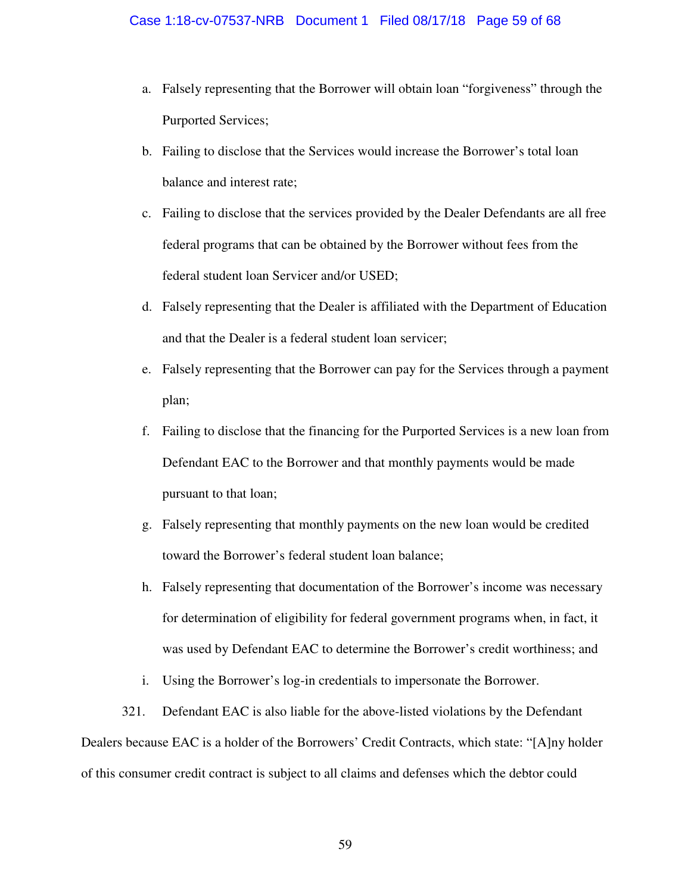- a. Falsely representing that the Borrower will obtain loan "forgiveness" through the Purported Services;
- b. Failing to disclose that the Services would increase the Borrower's total loan balance and interest rate;
- c. Failing to disclose that the services provided by the Dealer Defendants are all free federal programs that can be obtained by the Borrower without fees from the federal student loan Servicer and/or USED;
- d. Falsely representing that the Dealer is affiliated with the Department of Education and that the Dealer is a federal student loan servicer;
- e. Falsely representing that the Borrower can pay for the Services through a payment plan;
- f. Failing to disclose that the financing for the Purported Services is a new loan from Defendant EAC to the Borrower and that monthly payments would be made pursuant to that loan;
- g. Falsely representing that monthly payments on the new loan would be credited toward the Borrower's federal student loan balance;
- h. Falsely representing that documentation of the Borrower's income was necessary for determination of eligibility for federal government programs when, in fact, it was used by Defendant EAC to determine the Borrower's credit worthiness; and
- i. Using the Borrower's log-in credentials to impersonate the Borrower.
- 321. Defendant EAC is also liable for the above-listed violations by the Defendant Dealers because EAC is a holder of the Borrowers' Credit Contracts, which state: "[A]ny holder of this consumer credit contract is subject to all claims and defenses which the debtor could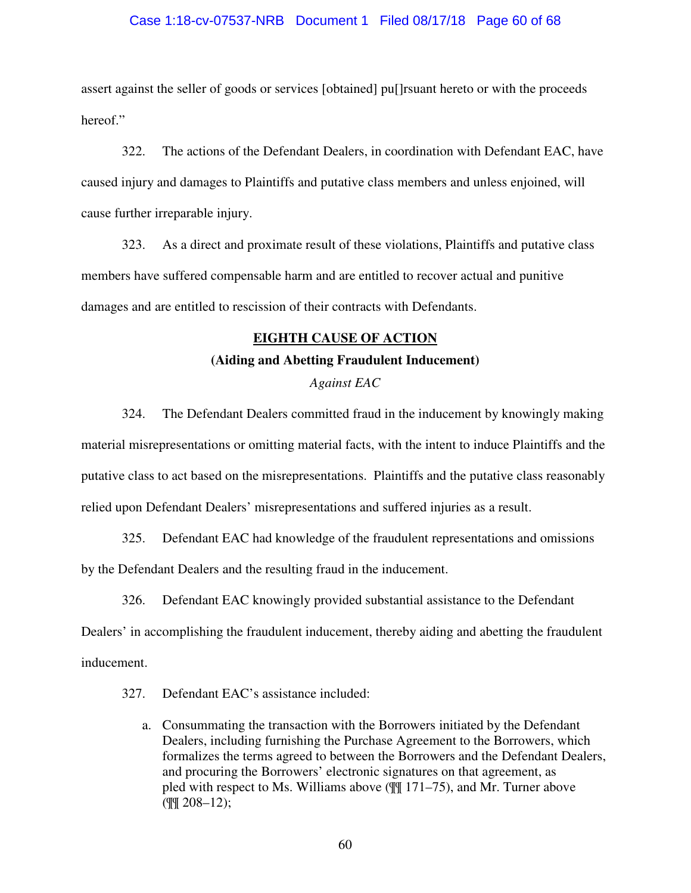#### Case 1:18-cv-07537-NRB Document 1 Filed 08/17/18 Page 60 of 68

assert against the seller of goods or services [obtained] pu[]rsuant hereto or with the proceeds hereof."

322. The actions of the Defendant Dealers, in coordination with Defendant EAC, have caused injury and damages to Plaintiffs and putative class members and unless enjoined, will cause further irreparable injury.

323. As a direct and proximate result of these violations, Plaintiffs and putative class members have suffered compensable harm and are entitled to recover actual and punitive damages and are entitled to rescission of their contracts with Defendants.

# **EIGHTH CAUSE OF ACTION**

# **(Aiding and Abetting Fraudulent Inducement)**  *Against EAC*

324. The Defendant Dealers committed fraud in the inducement by knowingly making material misrepresentations or omitting material facts, with the intent to induce Plaintiffs and the putative class to act based on the misrepresentations. Plaintiffs and the putative class reasonably relied upon Defendant Dealers' misrepresentations and suffered injuries as a result.

325. Defendant EAC had knowledge of the fraudulent representations and omissions by the Defendant Dealers and the resulting fraud in the inducement.

326. Defendant EAC knowingly provided substantial assistance to the Defendant Dealers' in accomplishing the fraudulent inducement, thereby aiding and abetting the fraudulent inducement.

327. Defendant EAC's assistance included:

a. Consummating the transaction with the Borrowers initiated by the Defendant Dealers, including furnishing the Purchase Agreement to the Borrowers, which formalizes the terms agreed to between the Borrowers and the Defendant Dealers, and procuring the Borrowers' electronic signatures on that agreement, as pled with respect to Ms. Williams above (¶¶ 171–75), and Mr. Turner above  $($  $\sqrt{$ | $\sqrt{$  208–12);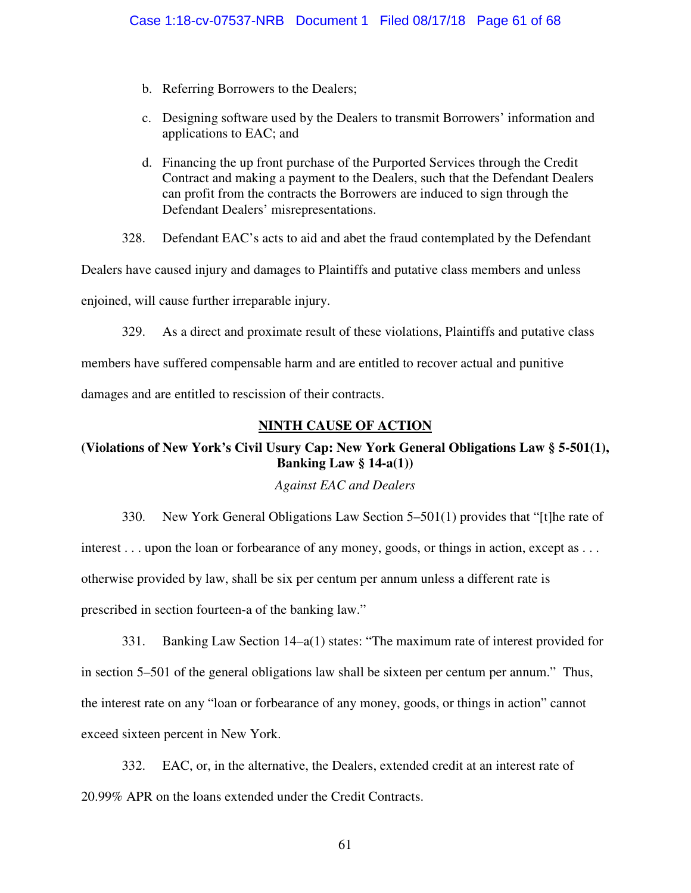- b. Referring Borrowers to the Dealers;
- c. Designing software used by the Dealers to transmit Borrowers' information and applications to EAC; and
- d. Financing the up front purchase of the Purported Services through the Credit Contract and making a payment to the Dealers, such that the Defendant Dealers can profit from the contracts the Borrowers are induced to sign through the Defendant Dealers' misrepresentations.

328. Defendant EAC's acts to aid and abet the fraud contemplated by the Defendant

Dealers have caused injury and damages to Plaintiffs and putative class members and unless

enjoined, will cause further irreparable injury.

329. As a direct and proximate result of these violations, Plaintiffs and putative class members have suffered compensable harm and are entitled to recover actual and punitive damages and are entitled to rescission of their contracts.

# **NINTH CAUSE OF ACTION**

# **(Violations of New York's Civil Usury Cap: New York General Obligations Law § 5-501(1), Banking Law § 14-a(1))**

## *Against EAC and Dealers*

330. New York General Obligations Law Section 5–501(1) provides that "[t]he rate of interest . . . upon the loan or forbearance of any money, goods, or things in action, except as . . . otherwise provided by law, shall be six per centum per annum unless a different rate is prescribed in section fourteen-a of the banking law."

331. Banking Law Section 14–a(1) states: "The maximum rate of interest provided for in section 5–501 of the general obligations law shall be sixteen per centum per annum." Thus, the interest rate on any "loan or forbearance of any money, goods, or things in action" cannot exceed sixteen percent in New York.

332. EAC, or, in the alternative, the Dealers, extended credit at an interest rate of 20.99% APR on the loans extended under the Credit Contracts.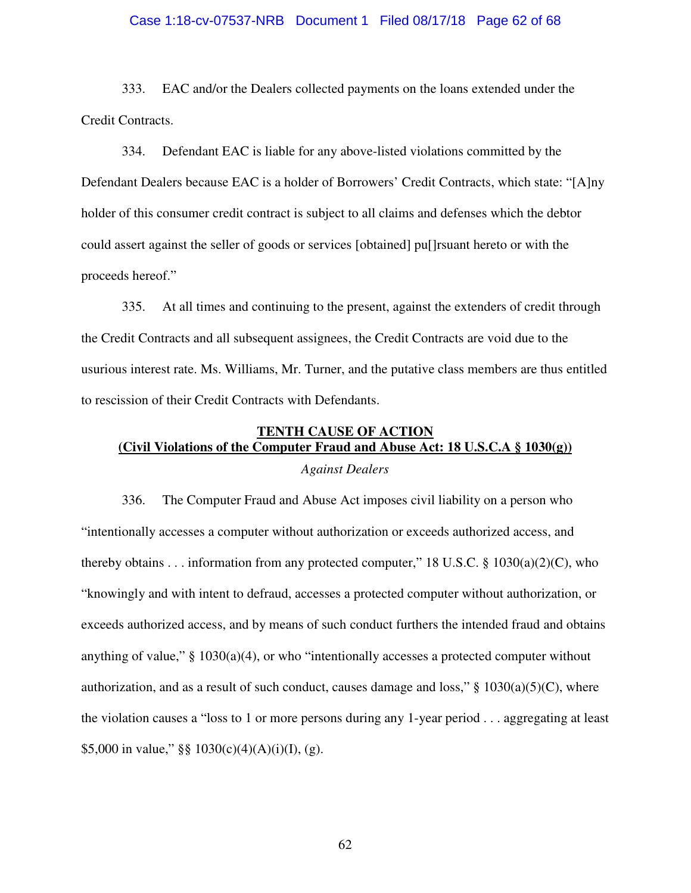#### Case 1:18-cv-07537-NRB Document 1 Filed 08/17/18 Page 62 of 68

333. EAC and/or the Dealers collected payments on the loans extended under the Credit Contracts.

334. Defendant EAC is liable for any above-listed violations committed by the Defendant Dealers because EAC is a holder of Borrowers' Credit Contracts, which state: "[A]ny holder of this consumer credit contract is subject to all claims and defenses which the debtor could assert against the seller of goods or services [obtained] pu[]rsuant hereto or with the proceeds hereof."

335. At all times and continuing to the present, against the extenders of credit through the Credit Contracts and all subsequent assignees, the Credit Contracts are void due to the usurious interest rate. Ms. Williams, Mr. Turner, and the putative class members are thus entitled to rescission of their Credit Contracts with Defendants.

# **TENTH CAUSE OF ACTION (Civil Violations of the Computer Fraud and Abuse Act: 18 U.S.C.A § 1030(g))**  *Against Dealers*

336. The Computer Fraud and Abuse Act imposes civil liability on a person who "intentionally accesses a computer without authorization or exceeds authorized access, and thereby obtains . . . information from any protected computer," 18 U.S.C.  $\S$  1030(a)(2)(C), who "knowingly and with intent to defraud, accesses a protected computer without authorization, or exceeds authorized access, and by means of such conduct furthers the intended fraud and obtains anything of value," § 1030(a)(4), or who "intentionally accesses a protected computer without authorization, and as a result of such conduct, causes damage and loss,"  $\S$  1030(a)(5)(C), where the violation causes a "loss to 1 or more persons during any 1-year period . . . aggregating at least \$5,000 in value," §§  $1030(c)(4)(A)(i)(I)$ , (g).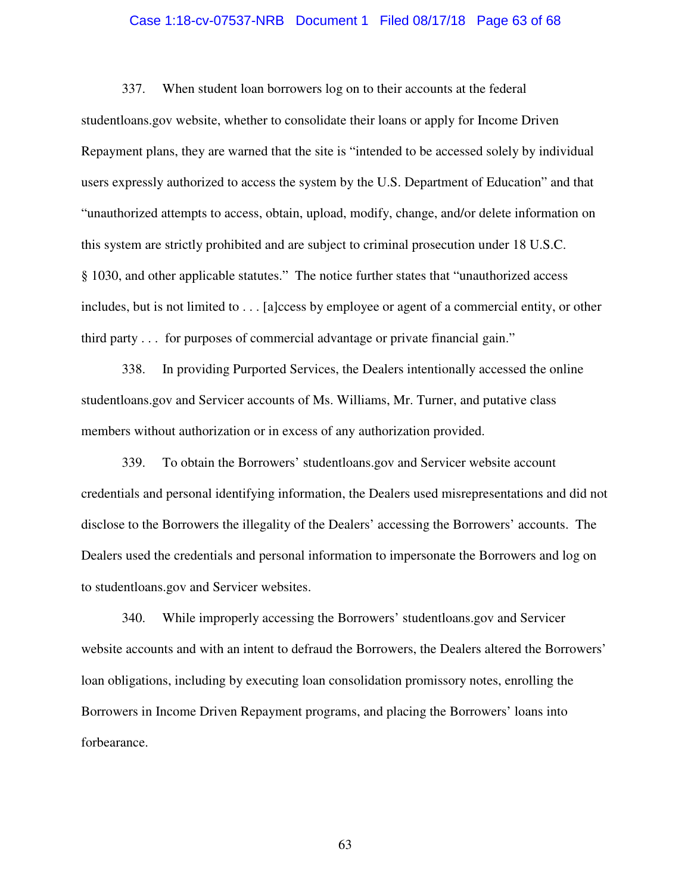#### Case 1:18-cv-07537-NRB Document 1 Filed 08/17/18 Page 63 of 68

337. When student loan borrowers log on to their accounts at the federal studentloans.gov website, whether to consolidate their loans or apply for Income Driven Repayment plans, they are warned that the site is "intended to be accessed solely by individual users expressly authorized to access the system by the U.S. Department of Education" and that "unauthorized attempts to access, obtain, upload, modify, change, and/or delete information on this system are strictly prohibited and are subject to criminal prosecution under 18 U.S.C. § 1030, and other applicable statutes." The notice further states that "unauthorized access includes, but is not limited to . . . [a]ccess by employee or agent of a commercial entity, or other third party . . . for purposes of commercial advantage or private financial gain."

338. In providing Purported Services, the Dealers intentionally accessed the online studentloans.gov and Servicer accounts of Ms. Williams, Mr. Turner, and putative class members without authorization or in excess of any authorization provided.

339. To obtain the Borrowers' studentloans.gov and Servicer website account credentials and personal identifying information, the Dealers used misrepresentations and did not disclose to the Borrowers the illegality of the Dealers' accessing the Borrowers' accounts. The Dealers used the credentials and personal information to impersonate the Borrowers and log on to studentloans.gov and Servicer websites.

340. While improperly accessing the Borrowers' studentloans.gov and Servicer website accounts and with an intent to defraud the Borrowers, the Dealers altered the Borrowers' loan obligations, including by executing loan consolidation promissory notes, enrolling the Borrowers in Income Driven Repayment programs, and placing the Borrowers' loans into forbearance.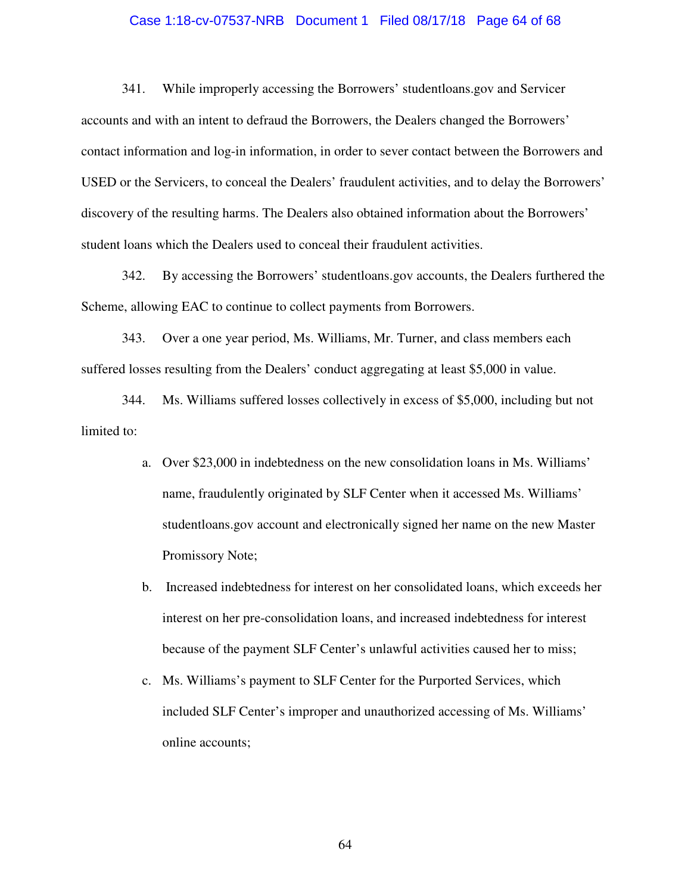#### Case 1:18-cv-07537-NRB Document 1 Filed 08/17/18 Page 64 of 68

341. While improperly accessing the Borrowers' studentloans.gov and Servicer accounts and with an intent to defraud the Borrowers, the Dealers changed the Borrowers' contact information and log-in information, in order to sever contact between the Borrowers and USED or the Servicers, to conceal the Dealers' fraudulent activities, and to delay the Borrowers' discovery of the resulting harms. The Dealers also obtained information about the Borrowers' student loans which the Dealers used to conceal their fraudulent activities.

342. By accessing the Borrowers' studentloans.gov accounts, the Dealers furthered the Scheme, allowing EAC to continue to collect payments from Borrowers.

343. Over a one year period, Ms. Williams, Mr. Turner, and class members each suffered losses resulting from the Dealers' conduct aggregating at least \$5,000 in value.

344. Ms. Williams suffered losses collectively in excess of \$5,000, including but not limited to:

- a. Over \$23,000 in indebtedness on the new consolidation loans in Ms. Williams' name, fraudulently originated by SLF Center when it accessed Ms. Williams' studentloans.gov account and electronically signed her name on the new Master Promissory Note;
- b. Increased indebtedness for interest on her consolidated loans, which exceeds her interest on her pre-consolidation loans, and increased indebtedness for interest because of the payment SLF Center's unlawful activities caused her to miss;
- c. Ms. Williams's payment to SLF Center for the Purported Services, which included SLF Center's improper and unauthorized accessing of Ms. Williams' online accounts;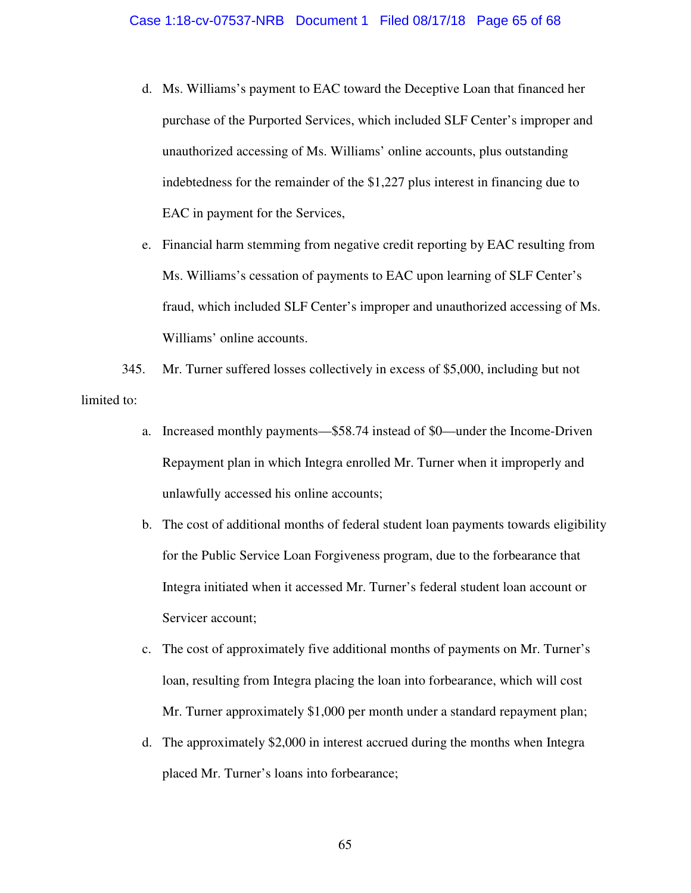- d. Ms. Williams's payment to EAC toward the Deceptive Loan that financed her purchase of the Purported Services, which included SLF Center's improper and unauthorized accessing of Ms. Williams' online accounts, plus outstanding indebtedness for the remainder of the \$1,227 plus interest in financing due to EAC in payment for the Services,
- e. Financial harm stemming from negative credit reporting by EAC resulting from Ms. Williams's cessation of payments to EAC upon learning of SLF Center's fraud, which included SLF Center's improper and unauthorized accessing of Ms. Williams' online accounts.

345. Mr. Turner suffered losses collectively in excess of \$5,000, including but not limited to:

- a. Increased monthly payments—\$58.74 instead of \$0—under the Income-Driven Repayment plan in which Integra enrolled Mr. Turner when it improperly and unlawfully accessed his online accounts;
- b. The cost of additional months of federal student loan payments towards eligibility for the Public Service Loan Forgiveness program, due to the forbearance that Integra initiated when it accessed Mr. Turner's federal student loan account or Servicer account;
- c. The cost of approximately five additional months of payments on Mr. Turner's loan, resulting from Integra placing the loan into forbearance, which will cost Mr. Turner approximately \$1,000 per month under a standard repayment plan;
- d. The approximately \$2,000 in interest accrued during the months when Integra placed Mr. Turner's loans into forbearance;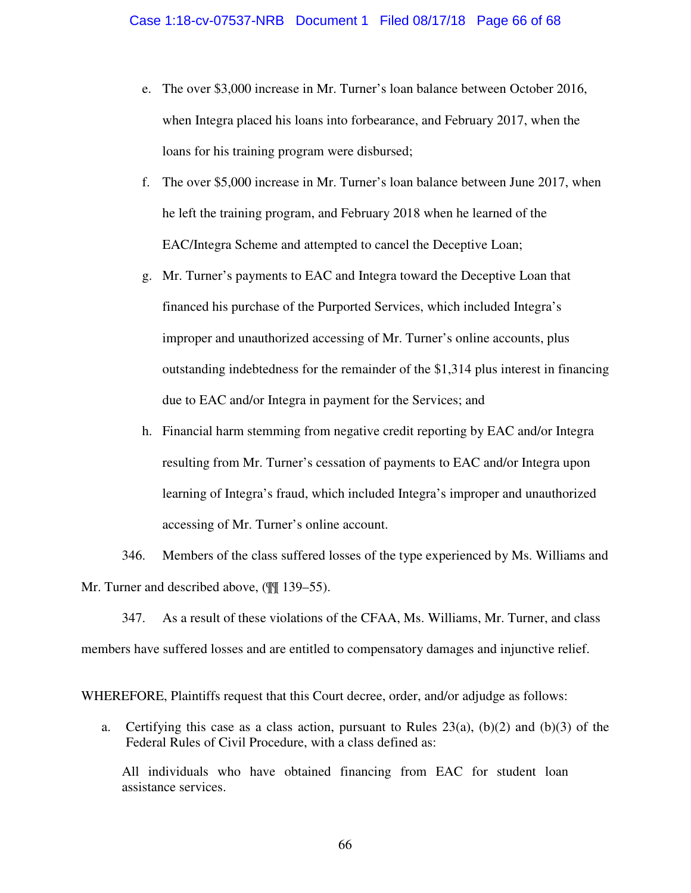- e. The over \$3,000 increase in Mr. Turner's loan balance between October 2016, when Integra placed his loans into forbearance, and February 2017, when the loans for his training program were disbursed;
- f. The over \$5,000 increase in Mr. Turner's loan balance between June 2017, when he left the training program, and February 2018 when he learned of the EAC/Integra Scheme and attempted to cancel the Deceptive Loan;
- g. Mr. Turner's payments to EAC and Integra toward the Deceptive Loan that financed his purchase of the Purported Services, which included Integra's improper and unauthorized accessing of Mr. Turner's online accounts, plus outstanding indebtedness for the remainder of the \$1,314 plus interest in financing due to EAC and/or Integra in payment for the Services; and
- h. Financial harm stemming from negative credit reporting by EAC and/or Integra resulting from Mr. Turner's cessation of payments to EAC and/or Integra upon learning of Integra's fraud, which included Integra's improper and unauthorized accessing of Mr. Turner's online account.

346. Members of the class suffered losses of the type experienced by Ms. Williams and Mr. Turner and described above, (¶¶ 139–55).

347. As a result of these violations of the CFAA, Ms. Williams, Mr. Turner, and class members have suffered losses and are entitled to compensatory damages and injunctive relief.

WHEREFORE, Plaintiffs request that this Court decree, order, and/or adjudge as follows:

a. Certifying this case as a class action, pursuant to Rules  $23(a)$ ,  $(b)(2)$  and  $(b)(3)$  of the Federal Rules of Civil Procedure, with a class defined as:

All individuals who have obtained financing from EAC for student loan assistance services.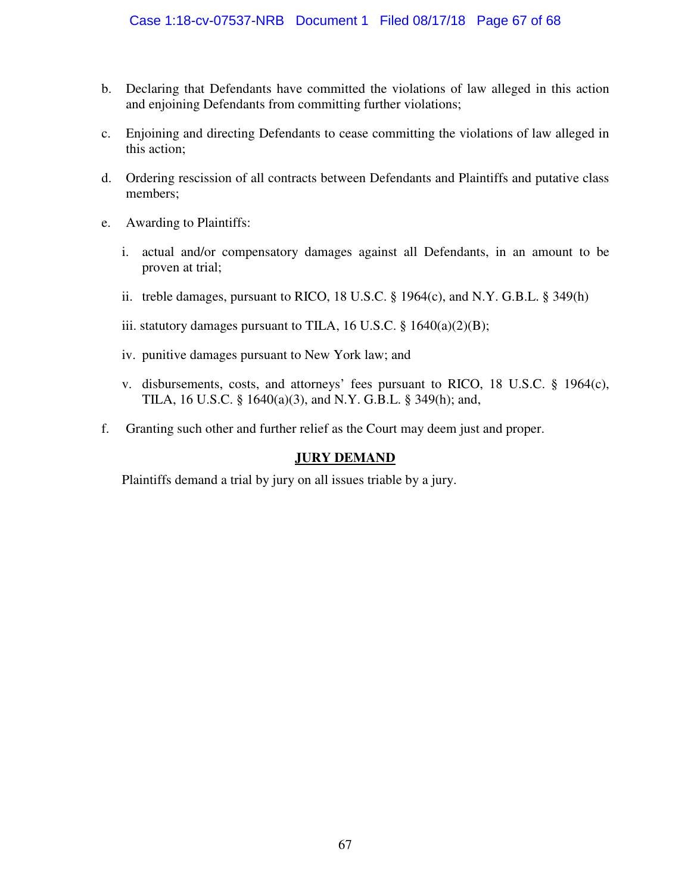- b. Declaring that Defendants have committed the violations of law alleged in this action and enjoining Defendants from committing further violations;
- c. Enjoining and directing Defendants to cease committing the violations of law alleged in this action;
- d. Ordering rescission of all contracts between Defendants and Plaintiffs and putative class members;
- e. Awarding to Plaintiffs:
	- i. actual and/or compensatory damages against all Defendants, in an amount to be proven at trial;
	- ii. treble damages, pursuant to RICO, 18 U.S.C. § 1964(c), and N.Y. G.B.L. § 349(h)
	- iii. statutory damages pursuant to TILA, 16 U.S.C.  $\S$  1640(a)(2)(B);
	- iv. punitive damages pursuant to New York law; and
	- v. disbursements, costs, and attorneys' fees pursuant to RICO, 18 U.S.C. § 1964(c), TILA, 16 U.S.C. § 1640(a)(3), and N.Y. G.B.L. § 349(h); and,
- f. Granting such other and further relief as the Court may deem just and proper.

# **JURY DEMAND**

Plaintiffs demand a trial by jury on all issues triable by a jury.